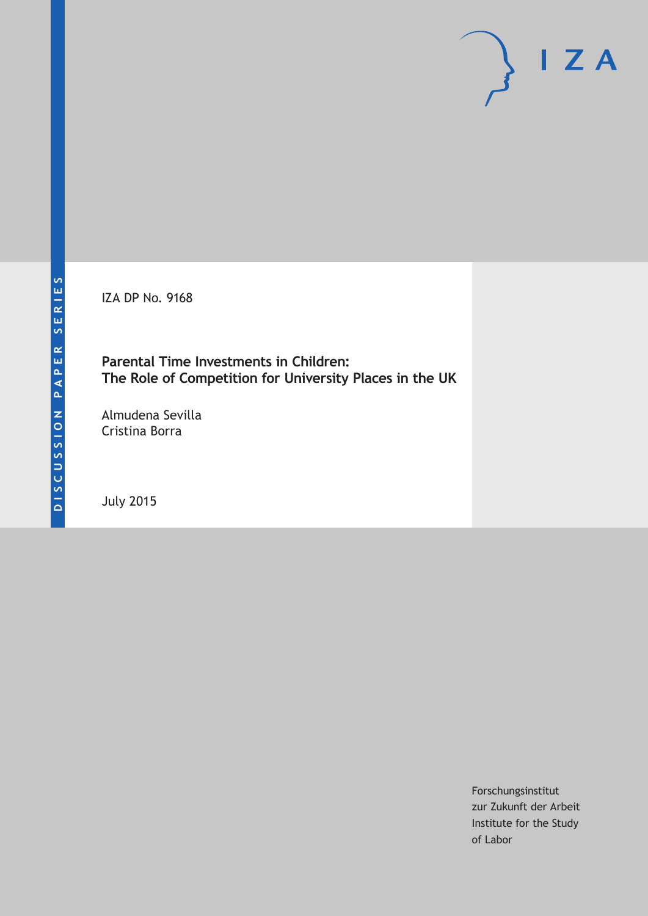IZA DP No. 9168

**Parental Time Investments in Children: The Role of Competition for University Places in the UK**

Almudena Sevilla Cristina Borra

July 2015

Forschungsinstitut zur Zukunft der Arbeit Institute for the Study of Labor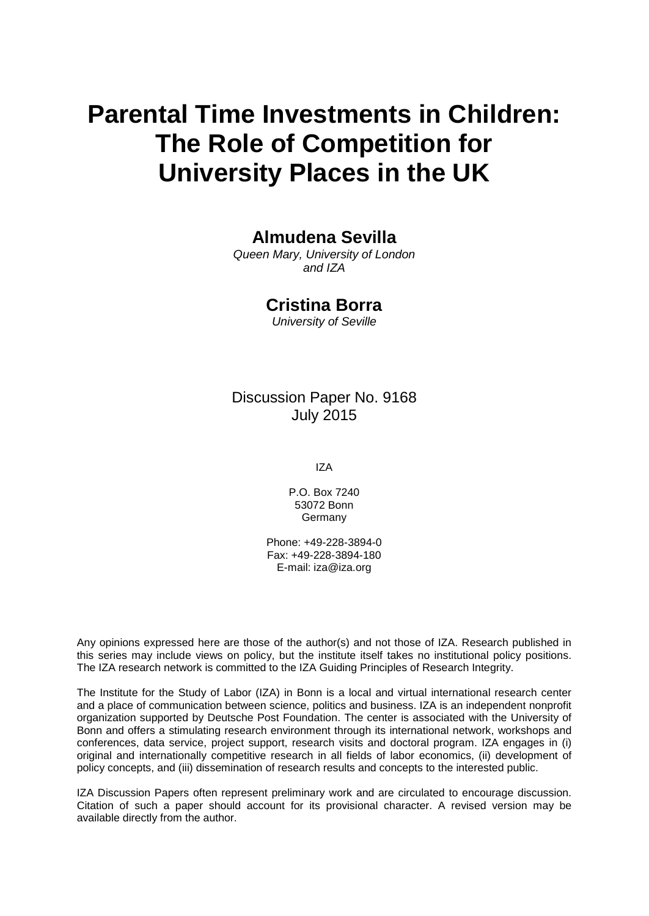# **Parental Time Investments in Children: The Role of Competition for University Places in the UK**

# **Almudena Sevilla**

*Queen Mary, University of London and IZA*

# **Cristina Borra**

*University of Seville*

# Discussion Paper No. 9168 July 2015

IZA

P.O. Box 7240 53072 Bonn Germany

Phone: +49-228-3894-0 Fax: +49-228-3894-180 E-mail: iza@iza.org

Any opinions expressed here are those of the author(s) and not those of IZA. Research published in this series may include views on policy, but the institute itself takes no institutional policy positions. The IZA research network is committed to the IZA Guiding Principles of Research Integrity.

The Institute for the Study of Labor (IZA) in Bonn is a local and virtual international research center and a place of communication between science, politics and business. IZA is an independent nonprofit organization supported by Deutsche Post Foundation. The center is associated with the University of Bonn and offers a stimulating research environment through its international network, workshops and conferences, data service, project support, research visits and doctoral program. IZA engages in (i) original and internationally competitive research in all fields of labor economics, (ii) development of policy concepts, and (iii) dissemination of research results and concepts to the interested public.

<span id="page-1-0"></span>IZA Discussion Papers often represent preliminary work and are circulated to encourage discussion. Citation of such a paper should account for its provisional character. A revised version may be available directly from the author.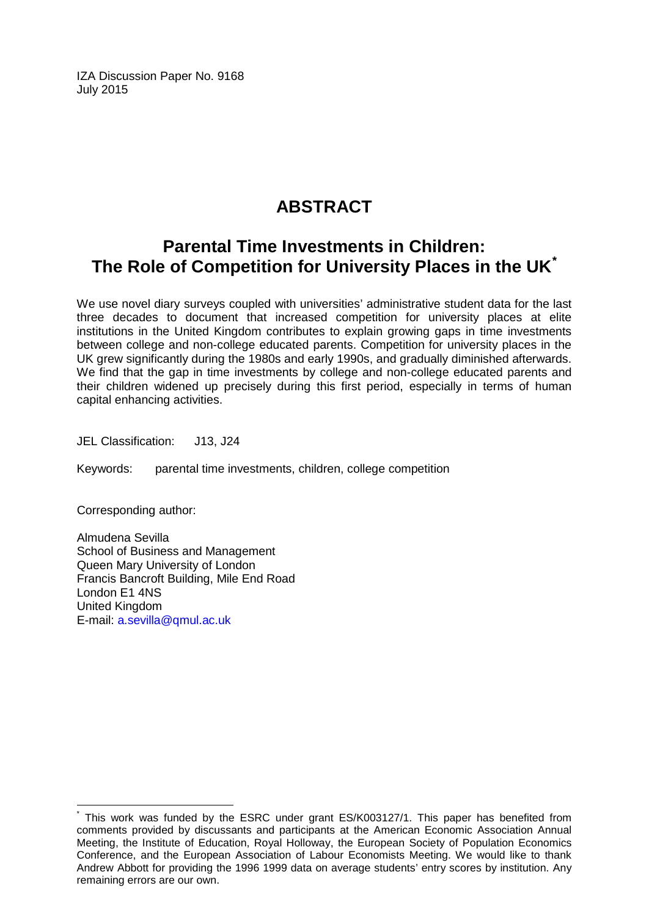IZA Discussion Paper No. 9168 July 2015

# **ABSTRACT**

# **Parental Time Investments in Children: The Role of Competition for University Places in the UK[\\*](#page-1-0)**

We use novel diary surveys coupled with universities' administrative student data for the last three decades to document that increased competition for university places at elite institutions in the United Kingdom contributes to explain growing gaps in time investments between college and non-college educated parents. Competition for university places in the UK grew significantly during the 1980s and early 1990s, and gradually diminished afterwards. We find that the gap in time investments by college and non-college educated parents and their children widened up precisely during this first period, especially in terms of human capital enhancing activities.

JEL Classification: J13, J24

Keywords: parental time investments, children, college competition

Corresponding author:

Almudena Sevilla School of Business and Management Queen Mary University of London Francis Bancroft Building, Mile End Road London E1 4NS United Kingdom E-mail: [a.sevilla@qmul.ac.uk](mailto:a.sevilla@qmul.ac.uk)

This work was funded by the ESRC under grant ES/K003127/1. This paper has benefited from comments provided by discussants and participants at the American Economic Association Annual Meeting, the Institute of Education, Royal Holloway, the European Society of Population Economics Conference, and the European Association of Labour Economists Meeting. We would like to thank Andrew Abbott for providing the 1996 1999 data on average students' entry scores by institution. Any remaining errors are our own.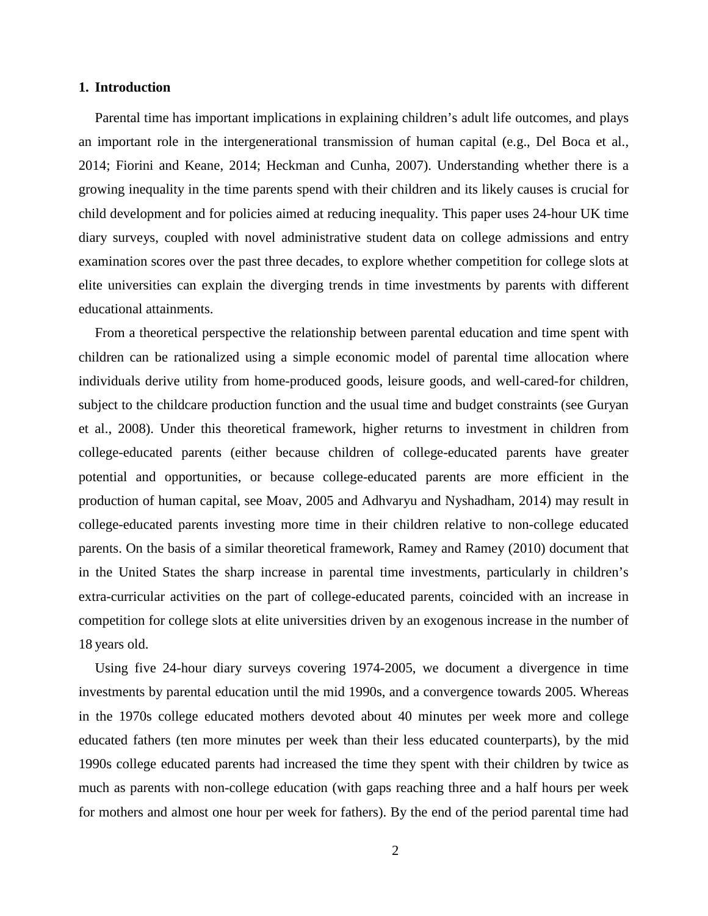#### **1. Introduction**

Parental time has important implications in explaining children's adult life outcomes, and plays an important role in the intergenerational transmission of human capital (e.g., Del Boca et al., 2014; Fiorini and Keane, 2014; Heckman and Cunha, 2007). Understanding whether there is a growing inequality in the time parents spend with their children and its likely causes is crucial for child development and for policies aimed at reducing inequality. This paper uses 24-hour UK time diary surveys, coupled with novel administrative student data on college admissions and entry examination scores over the past three decades, to explore whether competition for college slots at elite universities can explain the diverging trends in time investments by parents with different educational attainments.

From a theoretical perspective the relationship between parental education and time spent with children can be rationalized using a simple economic model of parental time allocation where individuals derive utility from home-produced goods, leisure goods, and well-cared-for children, subject to the childcare production function and the usual time and budget constraints (see Guryan et al., 2008). Under this theoretical framework, higher returns to investment in children from college-educated parents (either because children of college-educated parents have greater potential and opportunities, or because college-educated parents are more efficient in the production of human capital, see Moav, 2005 and Adhvaryu and Nyshadham, 2014) may result in college-educated parents investing more time in their children relative to non-college educated parents. On the basis of a similar theoretical framework, Ramey and Ramey (2010) document that in the United States the sharp increase in parental time investments, particularly in children's extra-curricular activities on the part of college-educated parents, coincided with an increase in competition for college slots at elite universities driven by an exogenous increase in the number of 18 years old.

Using five 24-hour diary surveys covering 1974-2005, we document a divergence in time investments by parental education until the mid 1990s, and a convergence towards 2005. Whereas in the 1970s college educated mothers devoted about 40 minutes per week more and college educated fathers (ten more minutes per week than their less educated counterparts), by the mid 1990s college educated parents had increased the time they spent with their children by twice as much as parents with non-college education (with gaps reaching three and a half hours per week for mothers and almost one hour per week for fathers). By the end of the period parental time had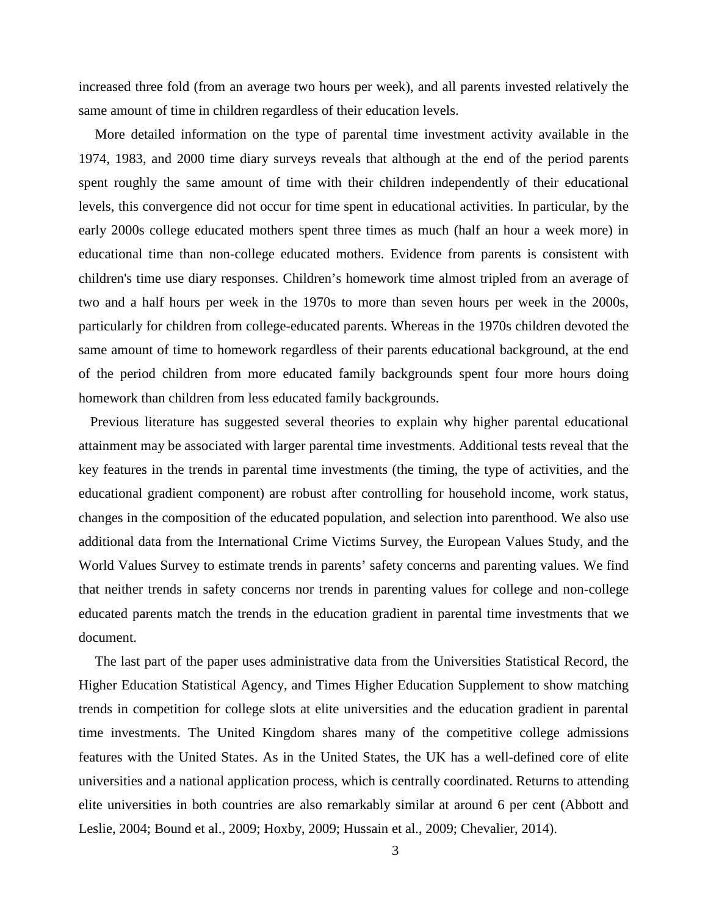increased three fold (from an average two hours per week), and all parents invested relatively the same amount of time in children regardless of their education levels.

More detailed information on the type of parental time investment activity available in the 1974, 1983, and 2000 time diary surveys reveals that although at the end of the period parents spent roughly the same amount of time with their children independently of their educational levels, this convergence did not occur for time spent in educational activities. In particular, by the early 2000s college educated mothers spent three times as much (half an hour a week more) in educational time than non-college educated mothers. Evidence from parents is consistent with children's time use diary responses. Children's homework time almost tripled from an average of two and a half hours per week in the 1970s to more than seven hours per week in the 2000s, particularly for children from college-educated parents. Whereas in the 1970s children devoted the same amount of time to homework regardless of their parents educational background, at the end of the period children from more educated family backgrounds spent four more hours doing homework than children from less educated family backgrounds.

Previous literature has suggested several theories to explain why higher parental educational attainment may be associated with larger parental time investments. Additional tests reveal that the key features in the trends in parental time investments (the timing, the type of activities, and the educational gradient component) are robust after controlling for household income, work status, changes in the composition of the educated population, and selection into parenthood. We also use additional data from the International Crime Victims Survey, the European Values Study, and the World Values Survey to estimate trends in parents' safety concerns and parenting values. We find that neither trends in safety concerns nor trends in parenting values for college and non-college educated parents match the trends in the education gradient in parental time investments that we document.

The last part of the paper uses administrative data from the Universities Statistical Record, the Higher Education Statistical Agency, and Times Higher Education Supplement to show matching trends in competition for college slots at elite universities and the education gradient in parental time investments. The United Kingdom shares many of the competitive college admissions features with the United States. As in the United States, the UK has a well-defined core of elite universities and a national application process, which is centrally coordinated. Returns to attending elite universities in both countries are also remarkably similar at around 6 per cent (Abbott and Leslie, 2004; Bound et al., 2009; Hoxby, 2009; Hussain et al., 2009; Chevalier, 2014).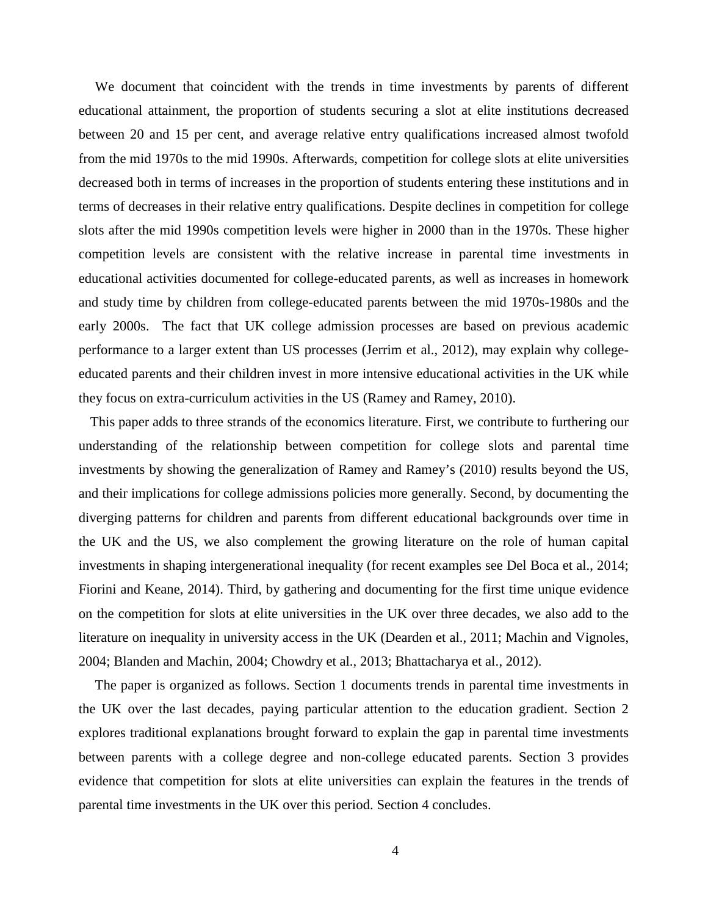We document that coincident with the trends in time investments by parents of different educational attainment, the proportion of students securing a slot at elite institutions decreased between 20 and 15 per cent, and average relative entry qualifications increased almost twofold from the mid 1970s to the mid 1990s. Afterwards, competition for college slots at elite universities decreased both in terms of increases in the proportion of students entering these institutions and in terms of decreases in their relative entry qualifications. Despite declines in competition for college slots after the mid 1990s competition levels were higher in 2000 than in the 1970s. These higher competition levels are consistent with the relative increase in parental time investments in educational activities documented for college-educated parents, as well as increases in homework and study time by children from college-educated parents between the mid 1970s-1980s and the early 2000s. The fact that UK college admission processes are based on previous academic performance to a larger extent than US processes (Jerrim et al., 2012), may explain why collegeeducated parents and their children invest in more intensive educational activities in the UK while they focus on extra-curriculum activities in the US (Ramey and Ramey, 2010).

This paper adds to three strands of the economics literature. First, we contribute to furthering our understanding of the relationship between competition for college slots and parental time investments by showing the generalization of Ramey and Ramey's (2010) results beyond the US, and their implications for college admissions policies more generally. Second, by documenting the diverging patterns for children and parents from different educational backgrounds over time in the UK and the US, we also complement the growing literature on the role of human capital investments in shaping intergenerational inequality (for recent examples see Del Boca et al., 2014; Fiorini and Keane, 2014). Third, by gathering and documenting for the first time unique evidence on the competition for slots at elite universities in the UK over three decades, we also add to the literature on inequality in university access in the UK (Dearden et al., 2011; Machin and Vignoles, 2004; Blanden and Machin, 2004; Chowdry et al., 2013; Bhattacharya et al., 2012).

The paper is organized as follows. Section 1 documents trends in parental time investments in the UK over the last decades, paying particular attention to the education gradient. Section 2 explores traditional explanations brought forward to explain the gap in parental time investments between parents with a college degree and non-college educated parents. Section 3 provides evidence that competition for slots at elite universities can explain the features in the trends of parental time investments in the UK over this period. Section 4 concludes.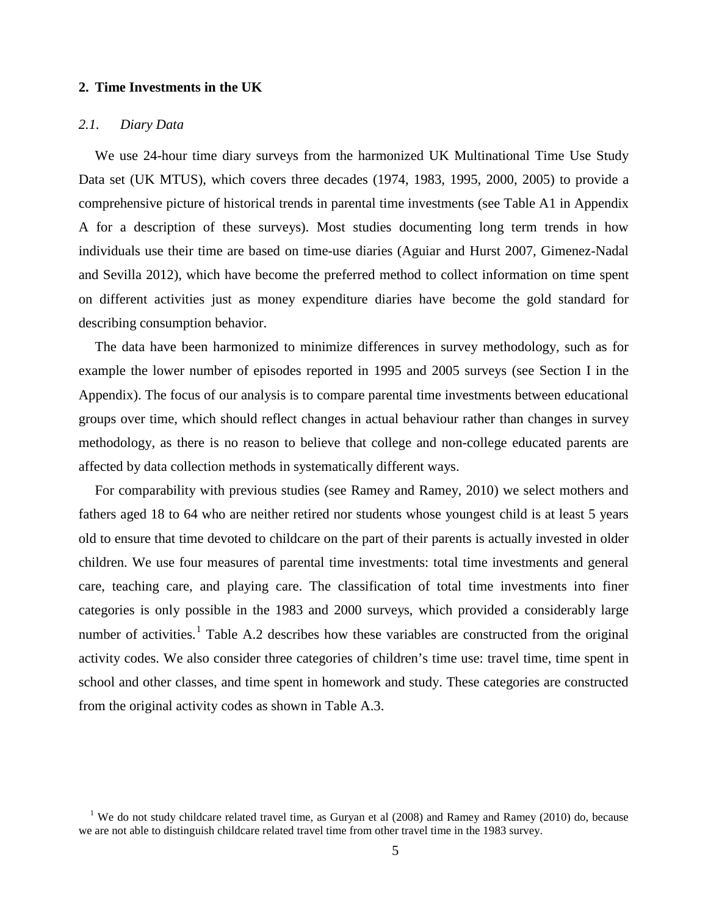#### **2. Time Investments in the UK**

#### *2.1. Diary Data*

We use 24-hour time diary surveys from the harmonized UK Multinational Time Use Study Data set (UK MTUS), which covers three decades (1974, 1983, 1995, 2000, 2005) to provide a comprehensive picture of historical trends in parental time investments (see Table A1 in Appendix A for a description of these surveys). Most studies documenting long term trends in how individuals use their time are based on time-use diaries (Aguiar and Hurst 2007, Gimenez-Nadal and Sevilla 2012), which have become the preferred method to collect information on time spent on different activities just as money expenditure diaries have become the gold standard for describing consumption behavior.

The data have been harmonized to minimize differences in survey methodology, such as for example the lower number of episodes reported in 1995 and 2005 surveys (see Section I in the Appendix). The focus of our analysis is to compare parental time investments between educational groups over time, which should reflect changes in actual behaviour rather than changes in survey methodology, as there is no reason to believe that college and non-college educated parents are affected by data collection methods in systematically different ways.

For comparability with previous studies (see Ramey and Ramey, 2010) we select mothers and fathers aged 18 to 64 who are neither retired nor students whose youngest child is at least 5 years old to ensure that time devoted to childcare on the part of their parents is actually invested in older children. We use four measures of parental time investments: total time investments and general care, teaching care, and playing care. The classification of total time investments into finer categories is only possible in the 1983 and 2000 surveys, which provided a considerably large number of activities.<sup>1</sup> Table A.2 describes how these variables are constructed from the original activity codes. We also consider three categories of children's time use: travel time, time spent in school and other classes, and time spent in homework and study. These categories are constructed from the original activity codes as shown in Table A.3.

<span id="page-6-0"></span><sup>&</sup>lt;sup>1</sup> We do not study childcare related travel time, as Guryan et al (2008) and Ramey and Ramey (2010) do, because we are not able to distinguish childcare related travel time from other travel time in the 1983 survey.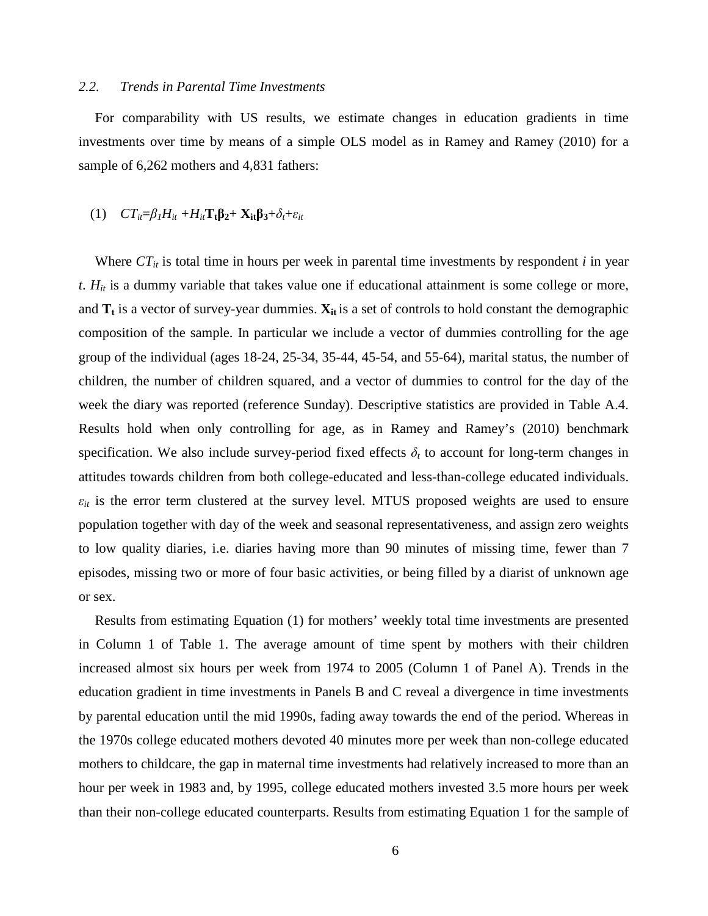#### *2.2. Trends in Parental Time Investments*

For comparability with US results, we estimate changes in education gradients in time investments over time by means of a simple OLS model as in Ramey and Ramey (2010) for a sample of  $6,262$  mothers and  $4,831$  fathers:

# (1)  $CT_i = \beta_I H_i + H_i \mathbf{T_t} \mathbf{B_2} + \mathbf{X_i} \mathbf{B_3} + \delta_t + \varepsilon_i$

Where  $CT_{it}$  is total time in hours per week in parental time investments by respondent *i* in year *t*. *Hit* is a dummy variable that takes value one if educational attainment is some college or more, and  $T_t$  is a vector of survey-year dummies.  $X_{it}$  is a set of controls to hold constant the demographic composition of the sample. In particular we include a vector of dummies controlling for the age group of the individual (ages 18-24, 25-34, 35-44, 45-54, and 55-64), marital status, the number of children, the number of children squared, and a vector of dummies to control for the day of the week the diary was reported (reference Sunday). Descriptive statistics are provided in Table A.4. Results hold when only controlling for age, as in Ramey and Ramey's (2010) benchmark specification. We also include survey-period fixed effects  $\delta_t$  to account for long-term changes in attitudes towards children from both college-educated and less-than-college educated individuals.  $\varepsilon_{it}$  is the error term clustered at the survey level. MTUS proposed weights are used to ensure population together with day of the week and seasonal representativeness, and assign zero weights to low quality diaries, i.e. diaries having more than 90 minutes of missing time, fewer than 7 episodes, missing two or more of four basic activities, or being filled by a diarist of unknown age or sex.

Results from estimating Equation (1) for mothers' weekly total time investments are presented in Column 1 of Table 1. The average amount of time spent by mothers with their children increased almost six hours per week from 1974 to 2005 (Column 1 of Panel A). Trends in the education gradient in time investments in Panels B and C reveal a divergence in time investments by parental education until the mid 1990s, fading away towards the end of the period. Whereas in the 1970s college educated mothers devoted 40 minutes more per week than non-college educated mothers to childcare, the gap in maternal time investments had relatively increased to more than an hour per week in 1983 and, by 1995, college educated mothers invested 3.5 more hours per week than their non-college educated counterparts. Results from estimating Equation 1 for the sample of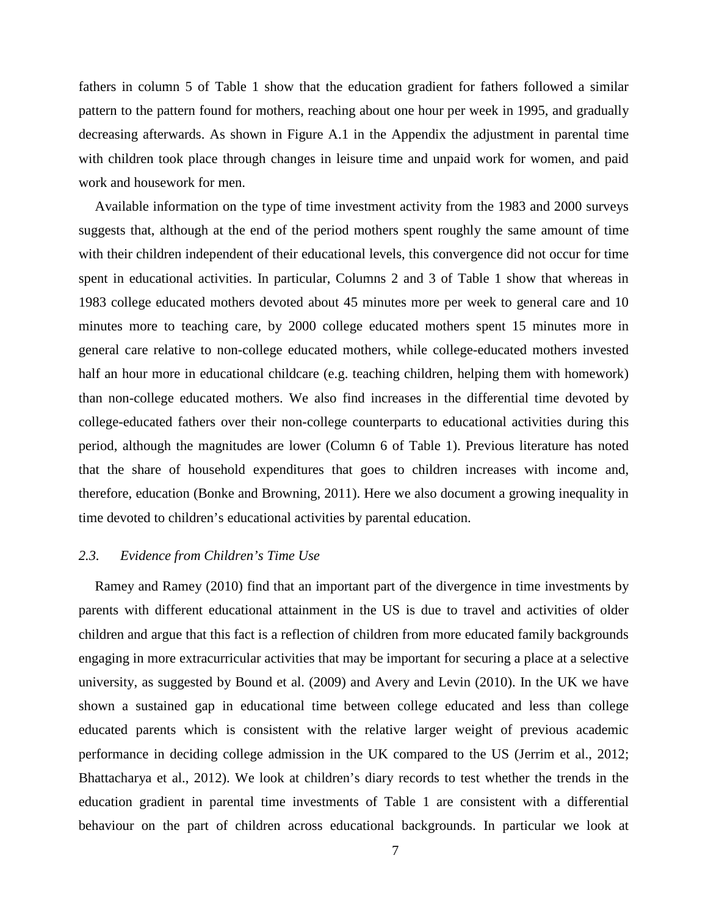fathers in column 5 of Table 1 show that the education gradient for fathers followed a similar pattern to the pattern found for mothers, reaching about one hour per week in 1995, and gradually decreasing afterwards. As shown in Figure A.1 in the Appendix the adjustment in parental time with children took place through changes in leisure time and unpaid work for women, and paid work and housework for men.

Available information on the type of time investment activity from the 1983 and 2000 surveys suggests that, although at the end of the period mothers spent roughly the same amount of time with their children independent of their educational levels, this convergence did not occur for time spent in educational activities. In particular, Columns 2 and 3 of Table 1 show that whereas in 1983 college educated mothers devoted about 45 minutes more per week to general care and 10 minutes more to teaching care, by 2000 college educated mothers spent 15 minutes more in general care relative to non-college educated mothers, while college-educated mothers invested half an hour more in educational childcare (e.g. teaching children, helping them with homework) than non-college educated mothers. We also find increases in the differential time devoted by college-educated fathers over their non-college counterparts to educational activities during this period, although the magnitudes are lower (Column 6 of Table 1). Previous literature has noted that the share of household expenditures that goes to children increases with income and, therefore, education (Bonke and Browning, 2011). Here we also document a growing inequality in time devoted to children's educational activities by parental education.

### *2.3. Evidence from Children's Time Use*

Ramey and Ramey (2010) find that an important part of the divergence in time investments by parents with different educational attainment in the US is due to travel and activities of older children and argue that this fact is a reflection of children from more educated family backgrounds engaging in more extracurricular activities that may be important for securing a place at a selective university, as suggested by Bound et al. (2009) and Avery and Levin (2010). In the UK we have shown a sustained gap in educational time between college educated and less than college educated parents which is consistent with the relative larger weight of previous academic performance in deciding college admission in the UK compared to the US (Jerrim et al., 2012; Bhattacharya et al., 2012). We look at children's diary records to test whether the trends in the education gradient in parental time investments of Table 1 are consistent with a differential behaviour on the part of children across educational backgrounds. In particular we look at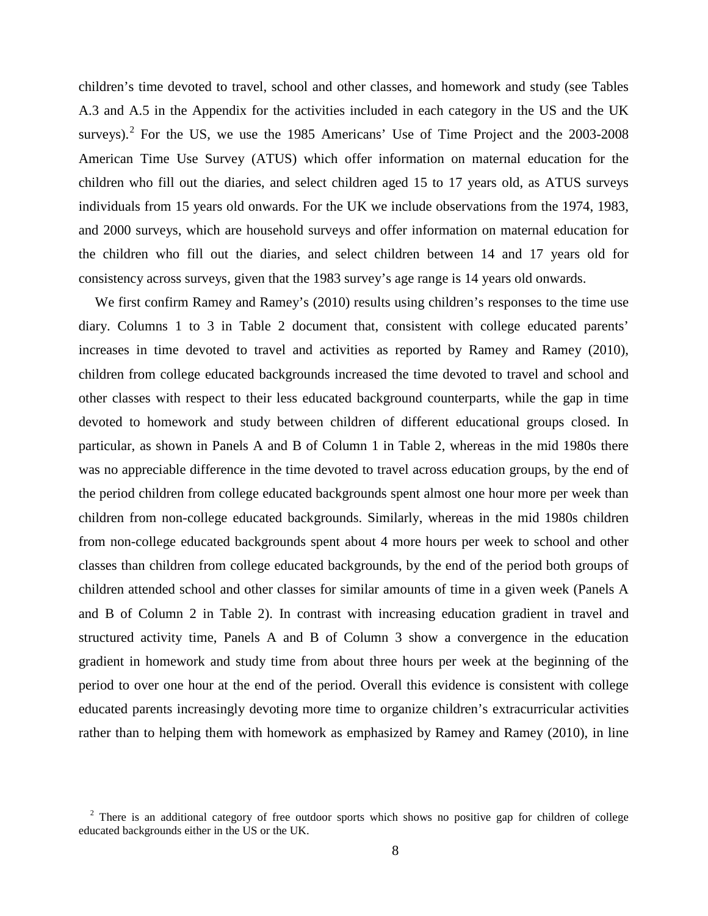children's time devoted to travel, school and other classes, and homework and study (see Tables A.3 and A.5 in the Appendix for the activities included in each category in the US and the UK surveys).<sup>[2](#page-6-0)</sup> For the US, we use the 1985 Americans' Use of Time Project and the  $2003$ - $2008$ American Time Use Survey (ATUS) which offer information on maternal education for the children who fill out the diaries, and select children aged 15 to 17 years old, as ATUS surveys individuals from 15 years old onwards. For the UK we include observations from the 1974, 1983, and 2000 surveys, which are household surveys and offer information on maternal education for the children who fill out the diaries, and select children between 14 and 17 years old for consistency across surveys, given that the 1983 survey's age range is 14 years old onwards.

We first confirm Ramey and Ramey's (2010) results using children's responses to the time use diary. Columns 1 to 3 in Table 2 document that, consistent with college educated parents' increases in time devoted to travel and activities as reported by Ramey and Ramey (2010), children from college educated backgrounds increased the time devoted to travel and school and other classes with respect to their less educated background counterparts, while the gap in time devoted to homework and study between children of different educational groups closed. In particular, as shown in Panels A and B of Column 1 in Table 2, whereas in the mid 1980s there was no appreciable difference in the time devoted to travel across education groups, by the end of the period children from college educated backgrounds spent almost one hour more per week than children from non-college educated backgrounds. Similarly, whereas in the mid 1980s children from non-college educated backgrounds spent about 4 more hours per week to school and other classes than children from college educated backgrounds, by the end of the period both groups of children attended school and other classes for similar amounts of time in a given week (Panels A and B of Column 2 in Table 2). In contrast with increasing education gradient in travel and structured activity time, Panels A and B of Column 3 show a convergence in the education gradient in homework and study time from about three hours per week at the beginning of the period to over one hour at the end of the period. Overall this evidence is consistent with college educated parents increasingly devoting more time to organize children's extracurricular activities rather than to helping them with homework as emphasized by Ramey and Ramey (2010), in line

<span id="page-9-0"></span><sup>&</sup>lt;sup>2</sup> There is an additional category of free outdoor sports which shows no positive gap for children of college educated backgrounds either in the US or the UK.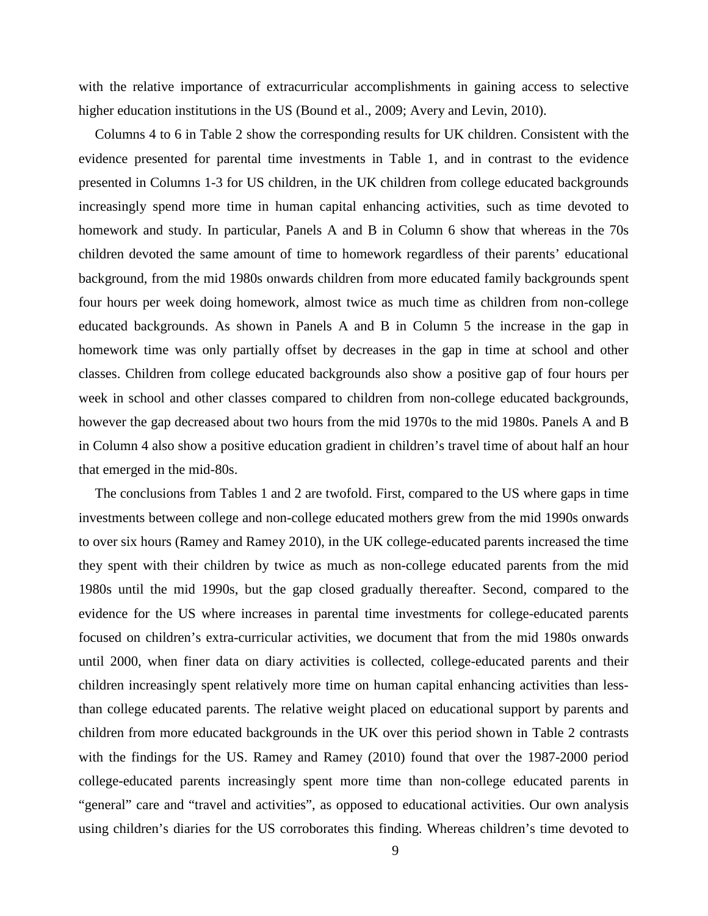with the relative importance of extracurricular accomplishments in gaining access to selective higher education institutions in the US (Bound et al., 2009; Avery and Levin, 2010).

Columns 4 to 6 in Table 2 show the corresponding results for UK children. Consistent with the evidence presented for parental time investments in Table 1, and in contrast to the evidence presented in Columns 1-3 for US children, in the UK children from college educated backgrounds increasingly spend more time in human capital enhancing activities, such as time devoted to homework and study. In particular, Panels A and B in Column 6 show that whereas in the 70s children devoted the same amount of time to homework regardless of their parents' educational background, from the mid 1980s onwards children from more educated family backgrounds spent four hours per week doing homework, almost twice as much time as children from non-college educated backgrounds. As shown in Panels A and B in Column 5 the increase in the gap in homework time was only partially offset by decreases in the gap in time at school and other classes. Children from college educated backgrounds also show a positive gap of four hours per week in school and other classes compared to children from non-college educated backgrounds, however the gap decreased about two hours from the mid 1970s to the mid 1980s. Panels A and B in Column 4 also show a positive education gradient in children's travel time of about half an hour that emerged in the mid-80s.

The conclusions from Tables 1 and 2 are twofold. First, compared to the US where gaps in time investments between college and non-college educated mothers grew from the mid 1990s onwards to over six hours (Ramey and Ramey 2010), in the UK college-educated parents increased the time they spent with their children by twice as much as non-college educated parents from the mid 1980s until the mid 1990s, but the gap closed gradually thereafter. Second, compared to the evidence for the US where increases in parental time investments for college-educated parents focused on children's extra-curricular activities, we document that from the mid 1980s onwards until 2000, when finer data on diary activities is collected, college-educated parents and their children increasingly spent relatively more time on human capital enhancing activities than lessthan college educated parents. The relative weight placed on educational support by parents and children from more educated backgrounds in the UK over this period shown in Table 2 contrasts with the findings for the US. Ramey and Ramey (2010) found that over the 1987-2000 period college-educated parents increasingly spent more time than non-college educated parents in "general" care and "travel and activities", as opposed to educational activities. Our own analysis using children's diaries for the US corroborates this finding. Whereas children's time devoted to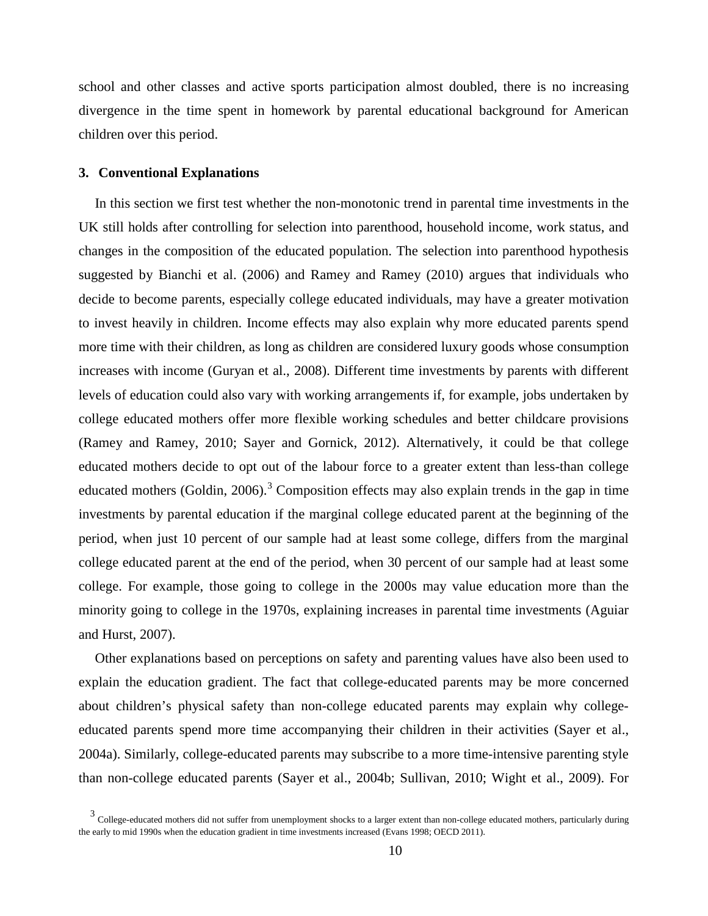school and other classes and active sports participation almost doubled, there is no increasing divergence in the time spent in homework by parental educational background for American children over this period.

#### **3. Conventional Explanations**

In this section we first test whether the non-monotonic trend in parental time investments in the UK still holds after controlling for selection into parenthood, household income, work status, and changes in the composition of the educated population. The selection into parenthood hypothesis suggested by Bianchi et al. (2006) and Ramey and Ramey (2010) argues that individuals who decide to become parents, especially college educated individuals, may have a greater motivation to invest heavily in children. Income effects may also explain why more educated parents spend more time with their children, as long as children are considered luxury goods whose consumption increases with income (Guryan et al., 2008). Different time investments by parents with different levels of education could also vary with working arrangements if, for example, jobs undertaken by college educated mothers offer more flexible working schedules and better childcare provisions (Ramey and Ramey, 2010; Sayer and Gornick, 2012). Alternatively, it could be that college educated mothers decide to opt out of the labour force to a greater extent than less-than college educated mothers (Goldin, 2006).<sup>[3](#page-9-0)</sup> Composition effects may also explain trends in the gap in time investments by parental education if the marginal college educated parent at the beginning of the period, when just 10 percent of our sample had at least some college, differs from the marginal college educated parent at the end of the period, when 30 percent of our sample had at least some college. For example, those going to college in the 2000s may value education more than the minority going to college in the 1970s, explaining increases in parental time investments (Aguiar and Hurst, 2007).

Other explanations based on perceptions on safety and parenting values have also been used to explain the education gradient. The fact that college-educated parents may be more concerned about children's physical safety than non-college educated parents may explain why collegeeducated parents spend more time accompanying their children in their activities (Sayer et al., 2004a). Similarly, college-educated parents may subscribe to a more time-intensive parenting style than non-college educated parents (Sayer et al., 2004b; Sullivan, 2010; Wight et al., 2009). For

<span id="page-11-0"></span><sup>&</sup>lt;sup>3</sup> College-educated mothers did not suffer from unemployment shocks to a larger extent than non-college educated mothers, particularly during the early to mid 1990s when the education gradient in time investments increased (Evans 1998; OECD 2011).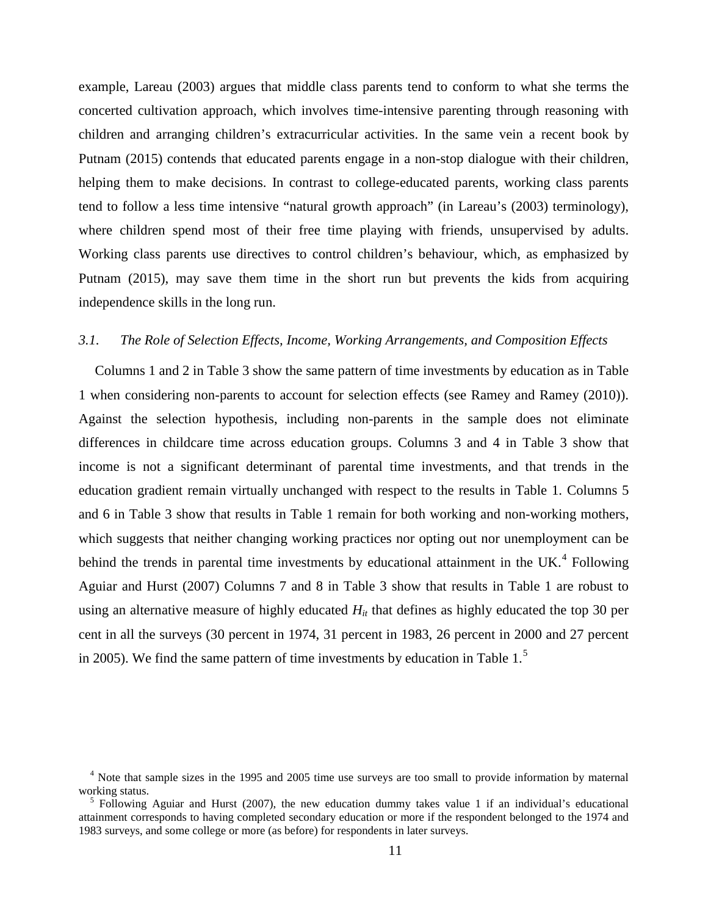example, Lareau (2003) argues that middle class parents tend to conform to what she terms the concerted cultivation approach, which involves time-intensive parenting through reasoning with children and arranging children's extracurricular activities. In the same vein a recent book by Putnam (2015) contends that educated parents engage in a non-stop dialogue with their children, helping them to make decisions. In contrast to college-educated parents, working class parents tend to follow a less time intensive "natural growth approach" (in Lareau's (2003) terminology), where children spend most of their free time playing with friends, unsupervised by adults. Working class parents use directives to control children's behaviour, which, as emphasized by Putnam (2015), may save them time in the short run but prevents the kids from acquiring independence skills in the long run.

### *3.1. The Role of Selection Effects, Income, Working Arrangements, and Composition Effects*

Columns 1 and 2 in Table 3 show the same pattern of time investments by education as in Table 1 when considering non-parents to account for selection effects (see Ramey and Ramey (2010)). Against the selection hypothesis, including non-parents in the sample does not eliminate differences in childcare time across education groups. Columns 3 and 4 in Table 3 show that income is not a significant determinant of parental time investments, and that trends in the education gradient remain virtually unchanged with respect to the results in Table 1. Columns 5 and 6 in Table 3 show that results in Table 1 remain for both working and non-working mothers, which suggests that neither changing working practices nor opting out nor unemployment can be behind the trends in parental time investments by educational attainment in the UK. $4$  Following Aguiar and Hurst (2007) Columns 7 and 8 in Table 3 show that results in Table 1 are robust to using an alternative measure of highly educated  $H_{it}$  that defines as highly educated the top 30 per cent in all the surveys (30 percent in 1974, 31 percent in 1983, 26 percent in 2000 and 27 percent in 2005). We find the same pattern of time investments by education in Table 1.[5](#page-12-0)

<span id="page-12-1"></span> $<sup>4</sup>$  Note that sample sizes in the 1995 and 2005 time use surveys are too small to provide information by maternal working status.</sup>

<span id="page-12-0"></span><sup>&</sup>lt;sup>5</sup> Following Aguiar and Hurst (2007), the new education dummy takes value 1 if an individual's educational attainment corresponds to having completed secondary education or more if the respondent belonged to the 1974 and 1983 surveys, and some college or more (as before) for respondents in later surveys.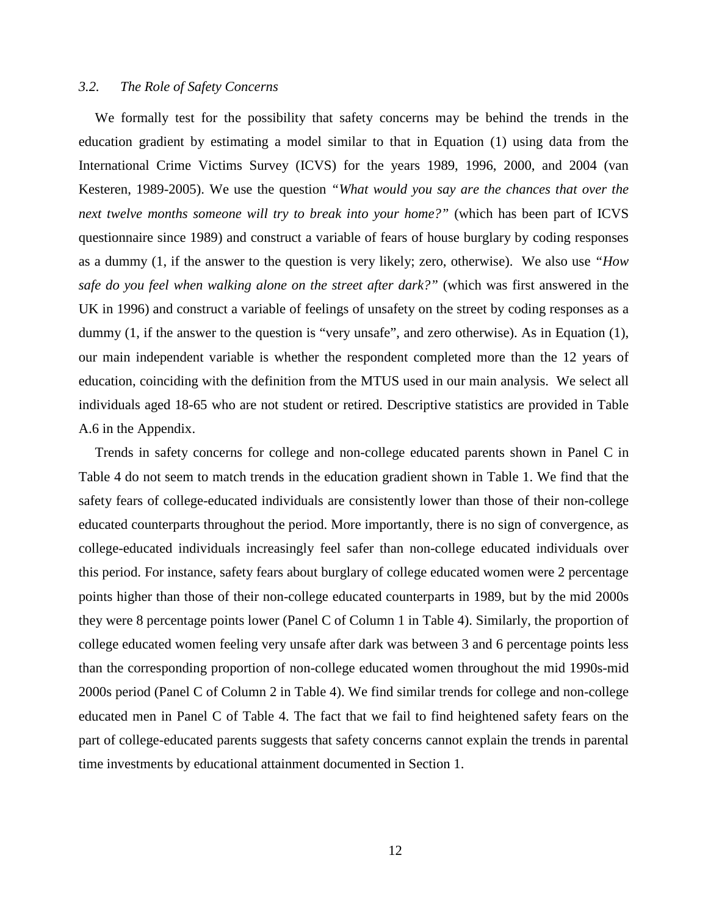### *3.2. The Role of Safety Concerns*

We formally test for the possibility that safety concerns may be behind the trends in the education gradient by estimating a model similar to that in Equation (1) using data from the International Crime Victims Survey (ICVS) for the years 1989, 1996, 2000, and 2004 (van Kesteren, 1989-2005). We use the question *"What would you say are the chances that over the next twelve months someone will try to break into your home?"* (which has been part of ICVS questionnaire since 1989) and construct a variable of fears of house burglary by coding responses as a dummy (1, if the answer to the question is very likely; zero, otherwise). We also use *"How safe do you feel when walking alone on the street after dark?"* (which was first answered in the UK in 1996) and construct a variable of feelings of unsafety on the street by coding responses as a dummy (1, if the answer to the question is "very unsafe", and zero otherwise). As in Equation (1), our main independent variable is whether the respondent completed more than the 12 years of education, coinciding with the definition from the MTUS used in our main analysis. We select all individuals aged 18-65 who are not student or retired. Descriptive statistics are provided in Table A.6 in the Appendix.

Trends in safety concerns for college and non-college educated parents shown in Panel C in Table 4 do not seem to match trends in the education gradient shown in Table 1. We find that the safety fears of college-educated individuals are consistently lower than those of their non-college educated counterparts throughout the period. More importantly, there is no sign of convergence, as college-educated individuals increasingly feel safer than non-college educated individuals over this period. For instance, safety fears about burglary of college educated women were 2 percentage points higher than those of their non-college educated counterparts in 1989, but by the mid 2000s they were 8 percentage points lower (Panel C of Column 1 in Table 4). Similarly, the proportion of college educated women feeling very unsafe after dark was between 3 and 6 percentage points less than the corresponding proportion of non-college educated women throughout the mid 1990s-mid 2000s period (Panel C of Column 2 in Table 4). We find similar trends for college and non-college educated men in Panel C of Table 4. The fact that we fail to find heightened safety fears on the part of college-educated parents suggests that safety concerns cannot explain the trends in parental time investments by educational attainment documented in Section 1.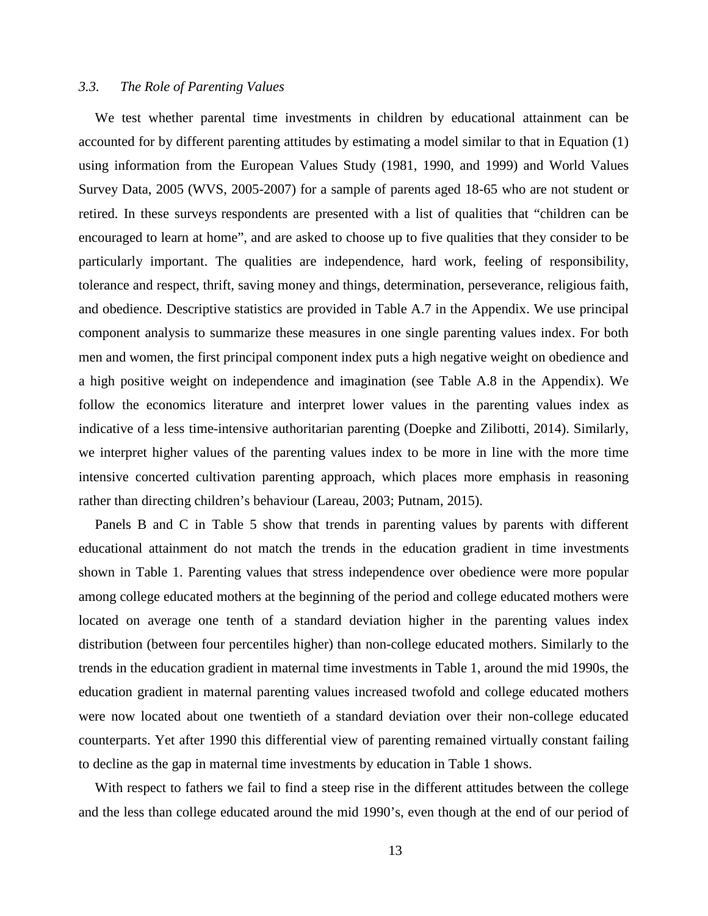### *3.3. The Role of Parenting Values*

We test whether parental time investments in children by educational attainment can be accounted for by different parenting attitudes by estimating a model similar to that in Equation (1) using information from the European Values Study (1981, 1990, and 1999) and World Values Survey Data, 2005 (WVS, 2005-2007) for a sample of parents aged 18-65 who are not student or retired. In these surveys respondents are presented with a list of qualities that "children can be encouraged to learn at home", and are asked to choose up to five qualities that they consider to be particularly important. The qualities are independence, hard work, feeling of responsibility, tolerance and respect, thrift, saving money and things, determination, perseverance, religious faith, and obedience. Descriptive statistics are provided in Table A.7 in the Appendix. We use principal component analysis to summarize these measures in one single parenting values index. For both men and women, the first principal component index puts a high negative weight on obedience and a high positive weight on independence and imagination (see Table A.8 in the Appendix). We follow the economics literature and interpret lower values in the parenting values index as indicative of a less time-intensive authoritarian parenting (Doepke and Zilibotti, 2014). Similarly, we interpret higher values of the parenting values index to be more in line with the more time intensive concerted cultivation parenting approach, which places more emphasis in reasoning rather than directing children's behaviour (Lareau, 2003; Putnam, 2015).

Panels B and C in Table 5 show that trends in parenting values by parents with different educational attainment do not match the trends in the education gradient in time investments shown in Table 1. Parenting values that stress independence over obedience were more popular among college educated mothers at the beginning of the period and college educated mothers were located on average one tenth of a standard deviation higher in the parenting values index distribution (between four percentiles higher) than non-college educated mothers. Similarly to the trends in the education gradient in maternal time investments in Table 1, around the mid 1990s, the education gradient in maternal parenting values increased twofold and college educated mothers were now located about one twentieth of a standard deviation over their non-college educated counterparts. Yet after 1990 this differential view of parenting remained virtually constant failing to decline as the gap in maternal time investments by education in Table 1 shows.

With respect to fathers we fail to find a steep rise in the different attitudes between the college and the less than college educated around the mid 1990's, even though at the end of our period of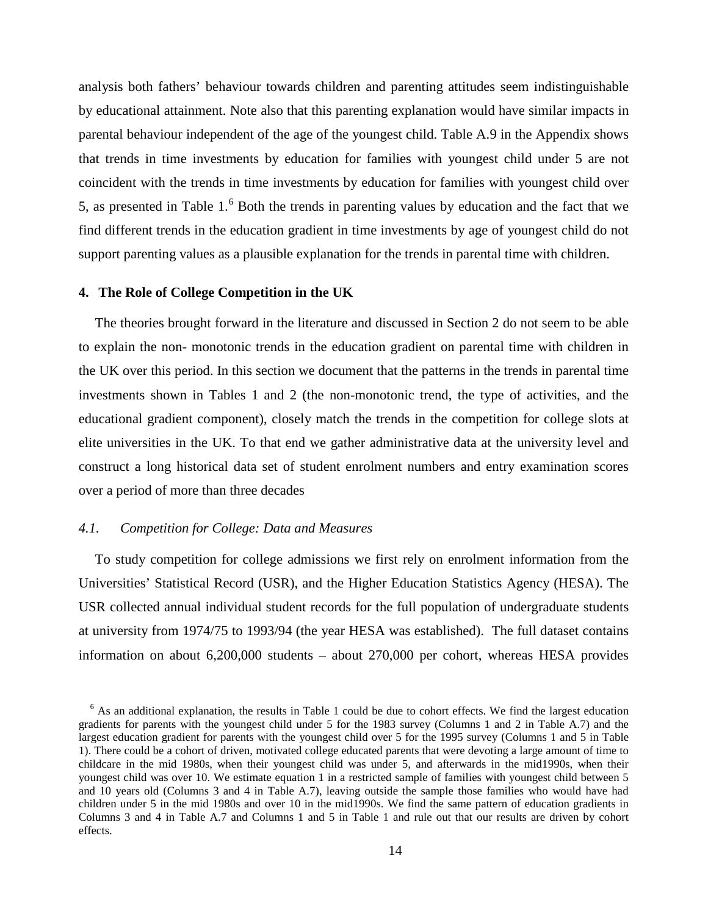analysis both fathers' behaviour towards children and parenting attitudes seem indistinguishable by educational attainment. Note also that this parenting explanation would have similar impacts in parental behaviour independent of the age of the youngest child. Table A.9 in the Appendix shows that trends in time investments by education for families with youngest child under 5 are not coincident with the trends in time investments by education for families with youngest child over 5, as presented in Table  $1<sup>6</sup>$  $1<sup>6</sup>$  $1<sup>6</sup>$  Both the trends in parenting values by education and the fact that we find different trends in the education gradient in time investments by age of youngest child do not support parenting values as a plausible explanation for the trends in parental time with children.

#### **4. The Role of College Competition in the UK**

The theories brought forward in the literature and discussed in Section 2 do not seem to be able to explain the non- monotonic trends in the education gradient on parental time with children in the UK over this period. In this section we document that the patterns in the trends in parental time investments shown in Tables 1 and 2 (the non-monotonic trend, the type of activities, and the educational gradient component), closely match the trends in the competition for college slots at elite universities in the UK. To that end we gather administrative data at the university level and construct a long historical data set of student enrolment numbers and entry examination scores over a period of more than three decades

### *4.1. Competition for College: Data and Measures*

To study competition for college admissions we first rely on enrolment information from the Universities' Statistical Record (USR), and the Higher Education Statistics Agency (HESA). The USR collected annual individual student records for the full population of undergraduate students at university from 1974/75 to 1993/94 (the year HESA was established). The full dataset contains information on about 6,200,000 students – about 270,000 per cohort, whereas HESA provides

<span id="page-15-0"></span> $6$  As an additional explanation, the results in Table 1 could be due to cohort effects. We find the largest education gradients for parents with the youngest child under 5 for the 1983 survey (Columns 1 and 2 in Table A.7) and the largest education gradient for parents with the youngest child over 5 for the 1995 survey (Columns 1 and 5 in Table 1). There could be a cohort of driven, motivated college educated parents that were devoting a large amount of time to childcare in the mid 1980s, when their youngest child was under 5, and afterwards in the mid1990s, when their youngest child was over 10. We estimate equation 1 in a restricted sample of families with youngest child between 5 and 10 years old (Columns 3 and 4 in Table A.7), leaving outside the sample those families who would have had children under 5 in the mid 1980s and over 10 in the mid1990s. We find the same pattern of education gradients in Columns 3 and 4 in Table A.7 and Columns 1 and 5 in Table 1 and rule out that our results are driven by cohort effects.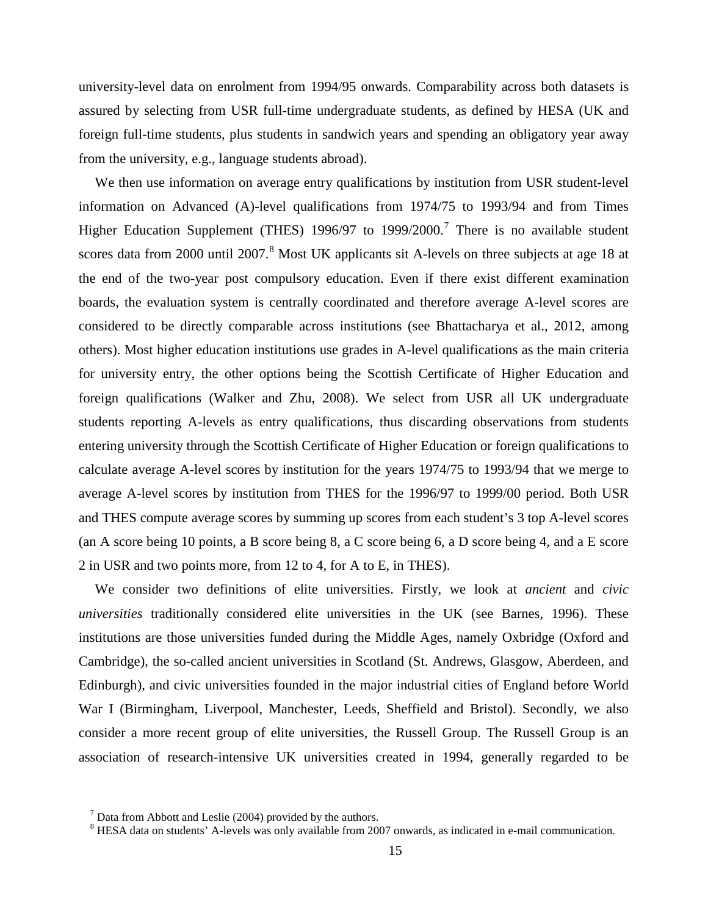university-level data on enrolment from 1994/95 onwards. Comparability across both datasets is assured by selecting from USR full-time undergraduate students, as defined by HESA (UK and foreign full-time students, plus students in sandwich years and spending an obligatory year away from the university, e.g., language students abroad).

We then use information on average entry qualifications by institution from USR student-level information on Advanced (A)-level qualifications from 1974/75 to 1993/94 and from Times Higher Education Supplement (THES) 1996/9[7](#page-15-0) to 1999/2000.<sup>7</sup> There is no available student scores data from 2000 until 2007.<sup>[8](#page-16-0)</sup> Most UK applicants sit A-levels on three subjects at age 18 at the end of the two-year post compulsory education. Even if there exist different examination boards, the evaluation system is centrally coordinated and therefore average A-level scores are considered to be directly comparable across institutions (see Bhattacharya et al., 2012, among others). Most higher education institutions use grades in A-level qualifications as the main criteria for university entry, the other options being the Scottish Certificate of Higher Education and foreign qualifications (Walker and Zhu, 2008). We select from USR all UK undergraduate students reporting A-levels as entry qualifications, thus discarding observations from students entering university through the Scottish Certificate of Higher Education or foreign qualifications to calculate average A-level scores by institution for the years 1974/75 to 1993/94 that we merge to average A-level scores by institution from THES for the 1996/97 to 1999/00 period. Both USR and THES compute average scores by summing up scores from each student's 3 top A-level scores (an A score being 10 points, a B score being 8, a C score being 6, a D score being 4, and a E score 2 in USR and two points more, from 12 to 4, for A to E, in THES).

We consider two definitions of elite universities. Firstly, we look at *ancient* and *civic universities* traditionally considered elite universities in the UK (see Barnes, 1996). These institutions are those universities funded during the Middle Ages, namely Oxbridge (Oxford and Cambridge), the so-called ancient universities in Scotland (St. Andrews, Glasgow, Aberdeen, and Edinburgh), and civic universities founded in the major industrial cities of England before World War I (Birmingham, Liverpool, Manchester, Leeds, Sheffield and Bristol). Secondly, we also consider a more recent group of elite universities, the Russell Group. The Russell Group is an association of research-intensive UK universities created in 1994, generally regarded to be

<span id="page-16-1"></span><span id="page-16-0"></span>

<sup>&</sup>lt;sup>7</sup> Data from Abbott and Leslie (2004) provided by the authors.<br><sup>8</sup> HESA data on students' A-levels was only available from 2007 onwards, as indicated in e-mail communication.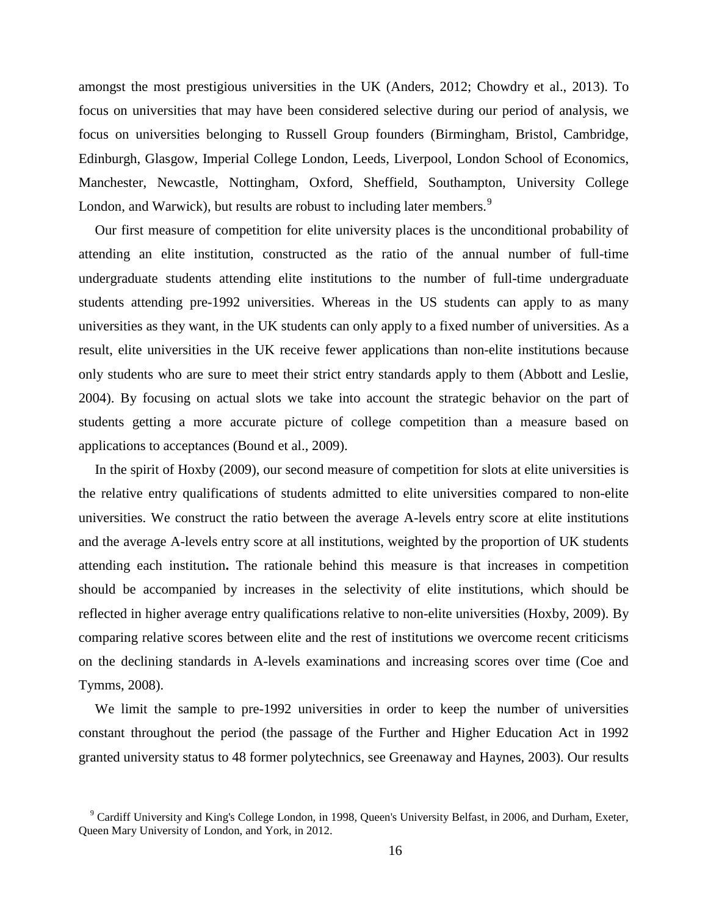amongst the most prestigious universities in the UK (Anders, 2012; Chowdry et al., 2013). To focus on universities that may have been considered selective during our period of analysis, we focus on universities belonging to Russell Group founders (Birmingham, Bristol, Cambridge, Edinburgh, Glasgow, Imperial College London, Leeds, Liverpool, London School of Economics, Manchester, Newcastle, Nottingham, Oxford, Sheffield, Southampton, University College London, and Warwick), but results are robust to including later members.<sup>[9](#page-16-1)</sup>

Our first measure of competition for elite university places is the unconditional probability of attending an elite institution, constructed as the ratio of the annual number of full-time undergraduate students attending elite institutions to the number of full-time undergraduate students attending pre-1992 universities. Whereas in the US students can apply to as many universities as they want, in the UK students can only apply to a fixed number of universities. As a result, elite universities in the UK receive fewer applications than non-elite institutions because only students who are sure to meet their strict entry standards apply to them (Abbott and Leslie, 2004). By focusing on actual slots we take into account the strategic behavior on the part of students getting a more accurate picture of college competition than a measure based on applications to acceptances (Bound et al., 2009).

In the spirit of Hoxby (2009), our second measure of competition for slots at elite universities is the relative entry qualifications of students admitted to elite universities compared to non-elite universities. We construct the ratio between the average A-levels entry score at elite institutions and the average A-levels entry score at all institutions, weighted by the proportion of UK students attending each institution**.** The rationale behind this measure is that increases in competition should be accompanied by increases in the selectivity of elite institutions, which should be reflected in higher average entry qualifications relative to non-elite universities (Hoxby, 2009). By comparing relative scores between elite and the rest of institutions we overcome recent criticisms on the declining standards in A-levels examinations and increasing scores over time (Coe and Tymms, 2008).

We limit the sample to pre-1992 universities in order to keep the number of universities constant throughout the period (the passage of the Further and Higher Education Act in 1992 granted university status to 48 former polytechnics, see Greenaway and Haynes, 2003). Our results

<span id="page-17-0"></span><sup>&</sup>lt;sup>9</sup> Cardiff University and King's College London, in 1998, Queen's University Belfast, in 2006, and Durham, Exeter, Queen Mary University of London, and York, in 2012.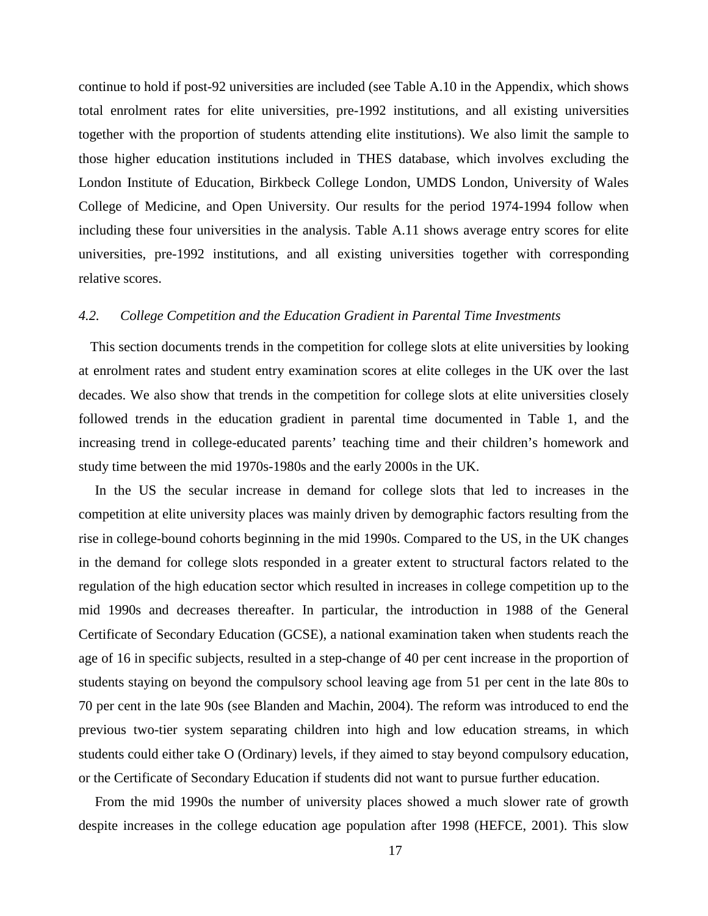continue to hold if post-92 universities are included (see Table A.10 in the Appendix, which shows total enrolment rates for elite universities, pre-1992 institutions, and all existing universities together with the proportion of students attending elite institutions). We also limit the sample to those higher education institutions included in THES database, which involves excluding the London Institute of Education, Birkbeck College London, UMDS London, University of Wales College of Medicine, and Open University. Our results for the period 1974-1994 follow when including these four universities in the analysis. Table A.11 shows average entry scores for elite universities, pre-1992 institutions, and all existing universities together with corresponding relative scores.

#### *4.2. College Competition and the Education Gradient in Parental Time Investments*

This section documents trends in the competition for college slots at elite universities by looking at enrolment rates and student entry examination scores at elite colleges in the UK over the last decades. We also show that trends in the competition for college slots at elite universities closely followed trends in the education gradient in parental time documented in Table 1, and the increasing trend in college-educated parents' teaching time and their children's homework and study time between the mid 1970s-1980s and the early 2000s in the UK.

In the US the secular increase in demand for college slots that led to increases in the competition at elite university places was mainly driven by demographic factors resulting from the rise in college-bound cohorts beginning in the mid 1990s. Compared to the US, in the UK changes in the demand for college slots responded in a greater extent to structural factors related to the regulation of the high education sector which resulted in increases in college competition up to the mid 1990s and decreases thereafter. In particular, the introduction in 1988 of the General Certificate of Secondary Education (GCSE), a national examination taken when students reach the age of 16 in specific subjects, resulted in a step-change of 40 per cent increase in the proportion of students staying on beyond the compulsory school leaving age from 51 per cent in the late 80s to 70 per cent in the late 90s (see Blanden and Machin, 2004). The reform was introduced to end the previous two-tier system separating children into high and low education streams, in which students could either take O (Ordinary) levels, if they aimed to stay beyond compulsory education, or the Certificate of Secondary Education if students did not want to pursue further education.

From the mid 1990s the number of university places showed a much slower rate of growth despite increases in the college education age population after 1998 (HEFCE, 2001). This slow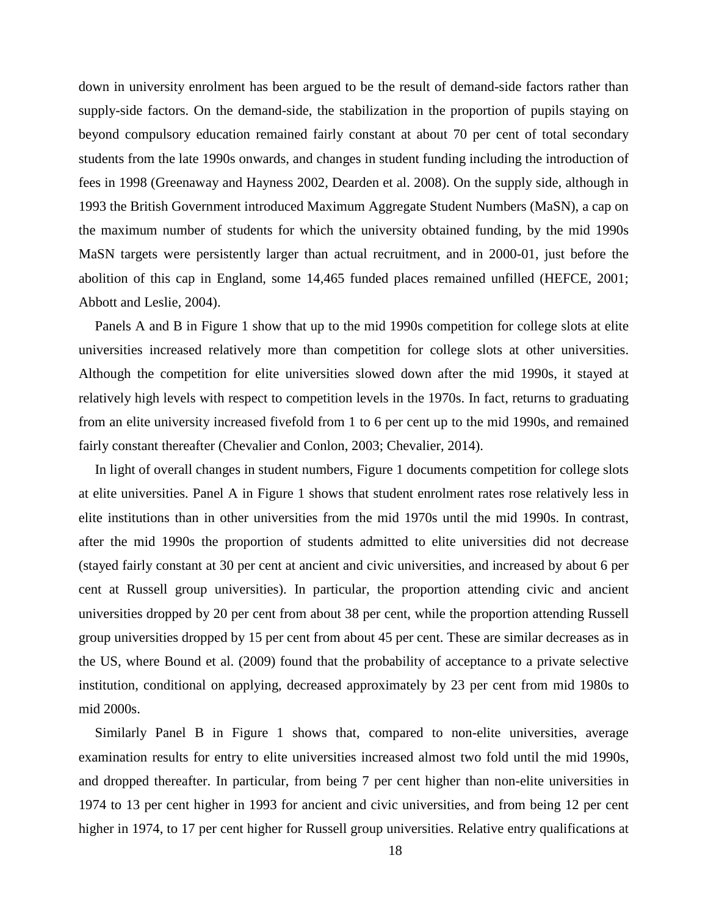down in university enrolment has been argued to be the result of demand-side factors rather than supply-side factors. On the demand-side, the stabilization in the proportion of pupils staying on beyond compulsory education remained fairly constant at about 70 per cent of total secondary students from the late 1990s onwards, and changes in student funding including the introduction of fees in 1998 (Greenaway and Hayness 2002, Dearden et al. 2008). On the supply side, although in 1993 the British Government introduced Maximum Aggregate Student Numbers (MaSN), a cap on the maximum number of students for which the university obtained funding, by the mid 1990s MaSN targets were persistently larger than actual recruitment, and in 2000-01, just before the abolition of this cap in England, some 14,465 funded places remained unfilled (HEFCE, 2001; Abbott and Leslie, 2004).

Panels A and B in Figure 1 show that up to the mid 1990s competition for college slots at elite universities increased relatively more than competition for college slots at other universities. Although the competition for elite universities slowed down after the mid 1990s, it stayed at relatively high levels with respect to competition levels in the 1970s. In fact, returns to graduating from an elite university increased fivefold from 1 to 6 per cent up to the mid 1990s, and remained fairly constant thereafter (Chevalier and Conlon, 2003; Chevalier, 2014).

In light of overall changes in student numbers, Figure 1 documents competition for college slots at elite universities. Panel A in Figure 1 shows that student enrolment rates rose relatively less in elite institutions than in other universities from the mid 1970s until the mid 1990s. In contrast, after the mid 1990s the proportion of students admitted to elite universities did not decrease (stayed fairly constant at 30 per cent at ancient and civic universities, and increased by about 6 per cent at Russell group universities). In particular, the proportion attending civic and ancient universities dropped by 20 per cent from about 38 per cent, while the proportion attending Russell group universities dropped by 15 per cent from about 45 per cent. These are similar decreases as in the US, where Bound et al. (2009) found that the probability of acceptance to a private selective institution, conditional on applying, decreased approximately by 23 per cent from mid 1980s to mid 2000s.

Similarly Panel B in Figure 1 shows that, compared to non-elite universities, average examination results for entry to elite universities increased almost two fold until the mid 1990s, and dropped thereafter. In particular, from being 7 per cent higher than non-elite universities in 1974 to 13 per cent higher in 1993 for ancient and civic universities, and from being 12 per cent higher in 1974, to 17 per cent higher for Russell group universities. Relative entry qualifications at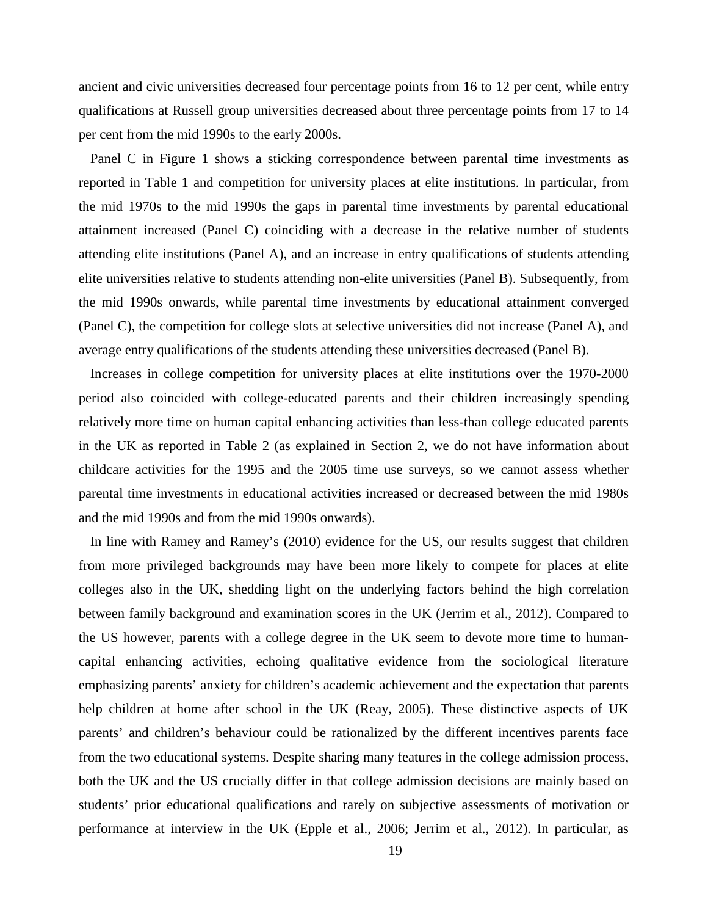ancient and civic universities decreased four percentage points from 16 to 12 per cent, while entry qualifications at Russell group universities decreased about three percentage points from 17 to 14 per cent from the mid 1990s to the early 2000s.

Panel C in Figure 1 shows a sticking correspondence between parental time investments as reported in Table 1 and competition for university places at elite institutions. In particular, from the mid 1970s to the mid 1990s the gaps in parental time investments by parental educational attainment increased (Panel C) coinciding with a decrease in the relative number of students attending elite institutions (Panel A), and an increase in entry qualifications of students attending elite universities relative to students attending non-elite universities (Panel B). Subsequently, from the mid 1990s onwards, while parental time investments by educational attainment converged (Panel C), the competition for college slots at selective universities did not increase (Panel A), and average entry qualifications of the students attending these universities decreased (Panel B).

Increases in college competition for university places at elite institutions over the 1970-2000 period also coincided with college-educated parents and their children increasingly spending relatively more time on human capital enhancing activities than less-than college educated parents in the UK as reported in Table 2 (as explained in Section 2, we do not have information about childcare activities for the 1995 and the 2005 time use surveys, so we cannot assess whether parental time investments in educational activities increased or decreased between the mid 1980s and the mid 1990s and from the mid 1990s onwards).

In line with Ramey and Ramey's (2010) evidence for the US, our results suggest that children from more privileged backgrounds may have been more likely to compete for places at elite colleges also in the UK, shedding light on the underlying factors behind the high correlation between family background and examination scores in the UK (Jerrim et al., 2012). Compared to the US however, parents with a college degree in the UK seem to devote more time to humancapital enhancing activities, echoing qualitative evidence from the sociological literature emphasizing parents' anxiety for children's academic achievement and the expectation that parents help children at home after school in the UK (Reay, 2005). These distinctive aspects of UK parents' and children's behaviour could be rationalized by the different incentives parents face from the two educational systems. Despite sharing many features in the college admission process, both the UK and the US crucially differ in that college admission decisions are mainly based on students' prior educational qualifications and rarely on subjective assessments of motivation or performance at interview in the UK (Epple et al., 2006; Jerrim et al., 2012). In particular, as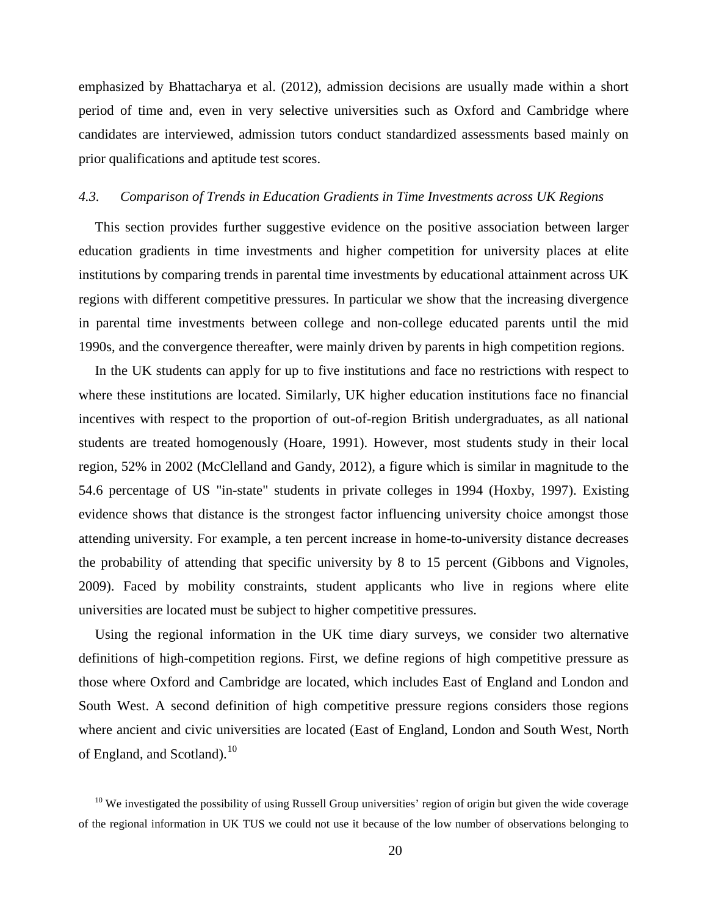emphasized by Bhattacharya et al. (2012), admission decisions are usually made within a short period of time and, even in very selective universities such as Oxford and Cambridge where candidates are interviewed, admission tutors conduct standardized assessments based mainly on prior qualifications and aptitude test scores.

#### *4.3. Comparison of Trends in Education Gradients in Time Investments across UK Regions*

This section provides further suggestive evidence on the positive association between larger education gradients in time investments and higher competition for university places at elite institutions by comparing trends in parental time investments by educational attainment across UK regions with different competitive pressures. In particular we show that the increasing divergence in parental time investments between college and non-college educated parents until the mid 1990s, and the convergence thereafter, were mainly driven by parents in high competition regions.

In the UK students can apply for up to five institutions and face no restrictions with respect to where these institutions are located. Similarly, UK higher education institutions face no financial incentives with respect to the proportion of out-of-region British undergraduates, as all national students are treated homogenously (Hoare, 1991). However, most students study in their local region, 52% in 2002 (McClelland and Gandy, 2012), a figure which is similar in magnitude to the 54.6 percentage of US "in-state" students in private colleges in 1994 (Hoxby, 1997). Existing evidence shows that distance is the strongest factor influencing university choice amongst those attending university. For example, a ten percent increase in home-to-university distance decreases the probability of attending that specific university by 8 to 15 percent (Gibbons and Vignoles, 2009). Faced by mobility constraints, student applicants who live in regions where elite universities are located must be subject to higher competitive pressures.

Using the regional information in the UK time diary surveys, we consider two alternative definitions of high-competition regions. First, we define regions of high competitive pressure as those where Oxford and Cambridge are located, which includes East of England and London and South West. A second definition of high competitive pressure regions considers those regions where ancient and civic universities are located (East of England, London and South West, North of England, and Scotland).<sup>[10](#page-17-0)</sup>

 $10$  We investigated the possibility of using Russell Group universities' region of origin but given the wide coverage of the regional information in UK TUS we could not use it because of the low number of observations belonging to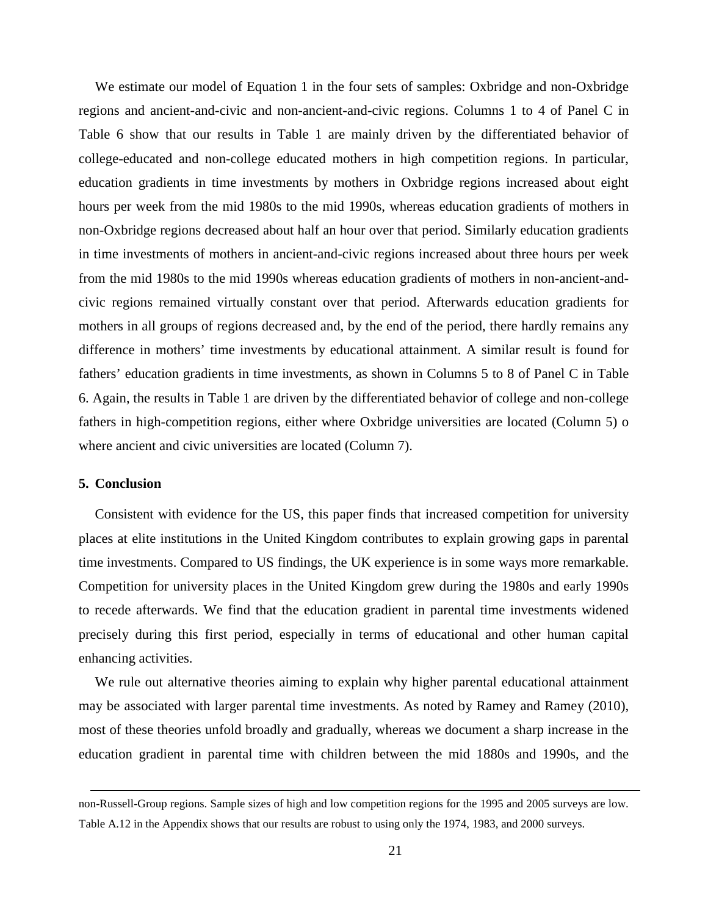We estimate our model of Equation 1 in the four sets of samples: Oxbridge and non-Oxbridge regions and ancient-and-civic and non-ancient-and-civic regions. Columns 1 to 4 of Panel C in Table 6 show that our results in Table 1 are mainly driven by the differentiated behavior of college-educated and non-college educated mothers in high competition regions. In particular, education gradients in time investments by mothers in Oxbridge regions increased about eight hours per week from the mid 1980s to the mid 1990s, whereas education gradients of mothers in non-Oxbridge regions decreased about half an hour over that period. Similarly education gradients in time investments of mothers in ancient-and-civic regions increased about three hours per week from the mid 1980s to the mid 1990s whereas education gradients of mothers in non-ancient-andcivic regions remained virtually constant over that period. Afterwards education gradients for mothers in all groups of regions decreased and, by the end of the period, there hardly remains any difference in mothers' time investments by educational attainment. A similar result is found for fathers' education gradients in time investments, as shown in Columns 5 to 8 of Panel C in Table 6. Again, the results in Table 1 are driven by the differentiated behavior of college and non-college fathers in high-competition regions, either where Oxbridge universities are located (Column 5) o where ancient and civic universities are located (Column 7).

# **5. Conclusion**

Consistent with evidence for the US, this paper finds that increased competition for university places at elite institutions in the United Kingdom contributes to explain growing gaps in parental time investments. Compared to US findings, the UK experience is in some ways more remarkable. Competition for university places in the United Kingdom grew during the 1980s and early 1990s to recede afterwards. We find that the education gradient in parental time investments widened precisely during this first period, especially in terms of educational and other human capital enhancing activities.

We rule out alternative theories aiming to explain why higher parental educational attainment may be associated with larger parental time investments. As noted by Ramey and Ramey (2010), most of these theories unfold broadly and gradually, whereas we document a sharp increase in the education gradient in parental time with children between the mid 1880s and 1990s, and the

non-Russell-Group regions. Sample sizes of high and low competition regions for the 1995 and 2005 surveys are low. Table A.12 in the Appendix shows that our results are robust to using only the 1974, 1983, and 2000 surveys.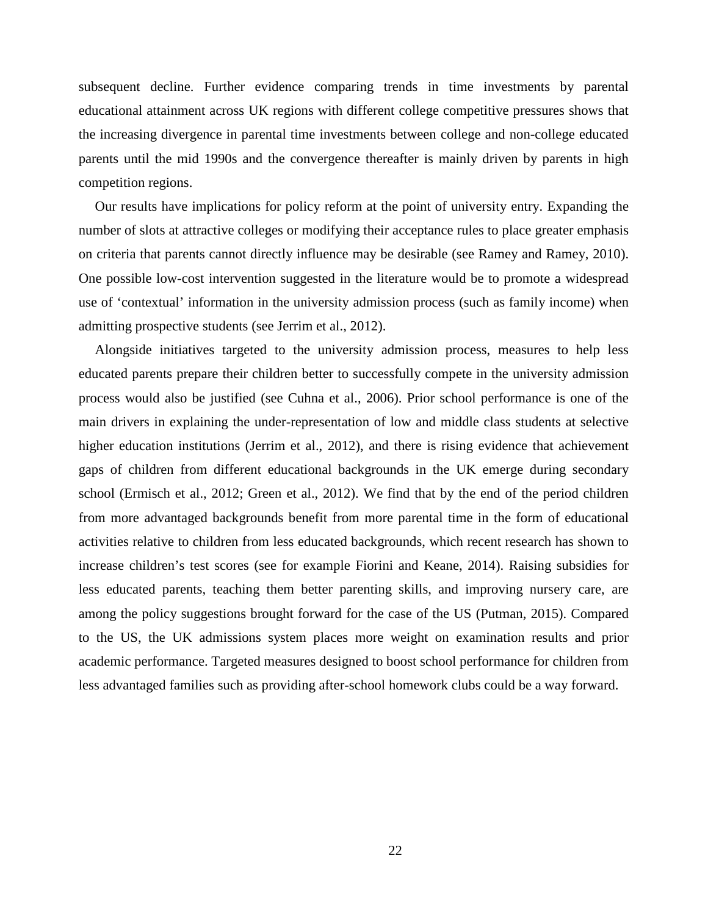subsequent decline. Further evidence comparing trends in time investments by parental educational attainment across UK regions with different college competitive pressures shows that the increasing divergence in parental time investments between college and non-college educated parents until the mid 1990s and the convergence thereafter is mainly driven by parents in high competition regions.

Our results have implications for policy reform at the point of university entry. Expanding the number of slots at attractive colleges or modifying their acceptance rules to place greater emphasis on criteria that parents cannot directly influence may be desirable (see Ramey and Ramey, 2010). One possible low-cost intervention suggested in the literature would be to promote a widespread use of 'contextual' information in the university admission process (such as family income) when admitting prospective students (see Jerrim et al., 2012).

Alongside initiatives targeted to the university admission process, measures to help less educated parents prepare their children better to successfully compete in the university admission process would also be justified (see Cuhna et al., 2006). Prior school performance is one of the main drivers in explaining the under-representation of low and middle class students at selective higher education institutions (Jerrim et al., 2012), and there is rising evidence that achievement gaps of children from different educational backgrounds in the UK emerge during secondary school (Ermisch et al., 2012; Green et al., 2012). We find that by the end of the period children from more advantaged backgrounds benefit from more parental time in the form of educational activities relative to children from less educated backgrounds, which recent research has shown to increase children's test scores (see for example Fiorini and Keane, 2014). Raising subsidies for less educated parents, teaching them better parenting skills, and improving nursery care, are among the policy suggestions brought forward for the case of the US (Putman, 2015). Compared to the US, the UK admissions system places more weight on examination results and prior academic performance. Targeted measures designed to boost school performance for children from less advantaged families such as providing after-school homework clubs could be a way forward.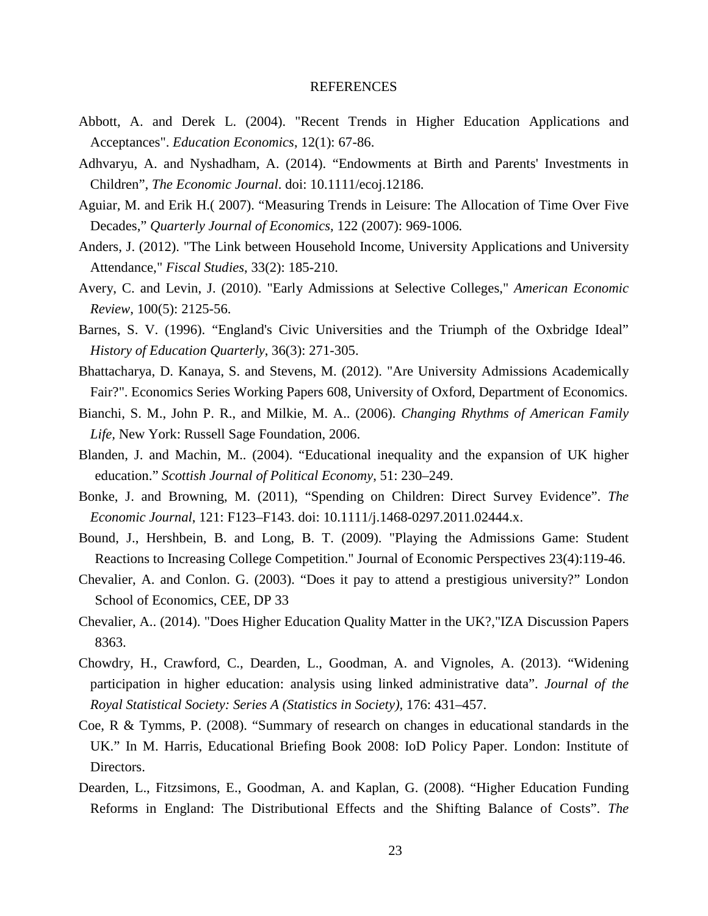#### REFERENCES

- Abbott, A. and Derek L. (2004). "Recent Trends in Higher Education Applications and Acceptances". *Education Economics*, 12(1): 67-86.
- Adhvaryu, A. and Nyshadham, A. (2014). "Endowments at Birth and Parents' Investments in Children", *The Economic Journal*. doi: 10.1111/ecoj.12186.
- Aguiar, M. and Erik H.( 2007). "Measuring Trends in Leisure: The Allocation of Time Over Five Decades," *Quarterly Journal of Economics,* 122 (2007): 969-1006*.*
- Anders, J. (2012). "The Link between Household Income, University Applications and University Attendance," *Fiscal Studies*, 33(2): 185-210.
- Avery, C. and Levin, J. (2010). "Early Admissions at Selective Colleges," *American Economic Review*, 100(5): 2125-56.
- Barnes, S. V. (1996). "England's Civic Universities and the Triumph of the Oxbridge Ideal" *History of Education Quarterly*, 36(3): 271-305.
- Bhattacharya, D. Kanaya, S. and Stevens, M. (2012). "Are University Admissions Academically Fair?". Economics Series Working Papers 608, University of Oxford, Department of Economics.
- Bianchi, S. M., John P. R., and Milkie, M. A.. (2006). *Changing Rhythms of American Family Life,* New York: Russell Sage Foundation, 2006.
- Blanden, J. and Machin, M.. (2004). "Educational inequality and the expansion of UK higher education." *Scottish Journal of Political Economy*, 51: 230–249.
- Bonke, J. and Browning, M. (2011), "Spending on Children: Direct Survey Evidence". *The Economic Journal*, 121: F123–F143. doi: 10.1111/j.1468-0297.2011.02444.x.
- Bound, J., Hershbein, B. and Long, B. T. (2009). "Playing the Admissions Game: Student Reactions to Increasing College Competition." Journal of Economic Perspectives 23(4):119-46.
- Chevalier, A. and Conlon. G. (2003). "Does it pay to attend a prestigious university?" London School of Economics, CEE, DP 33
- Chevalier, A.. (2014). "Does Higher Education Quality Matter in the UK?,"IZA Discussion Papers 8363.
- Chowdry, H., Crawford, C., Dearden, L., Goodman, A. and Vignoles, A. (2013). "Widening participation in higher education: analysis using linked administrative data". *Journal of the Royal Statistical Society: Series A (Statistics in Society),* 176: 431–457.
- Coe, R & Tymms, P. (2008). "Summary of research on changes in educational standards in the UK." In M. Harris, Educational Briefing Book 2008: IoD Policy Paper. London: Institute of Directors.
- Dearden, L., Fitzsimons, E., Goodman, A. and Kaplan, G. (2008). "Higher Education Funding Reforms in England: The Distributional Effects and the Shifting Balance of Costs". *The*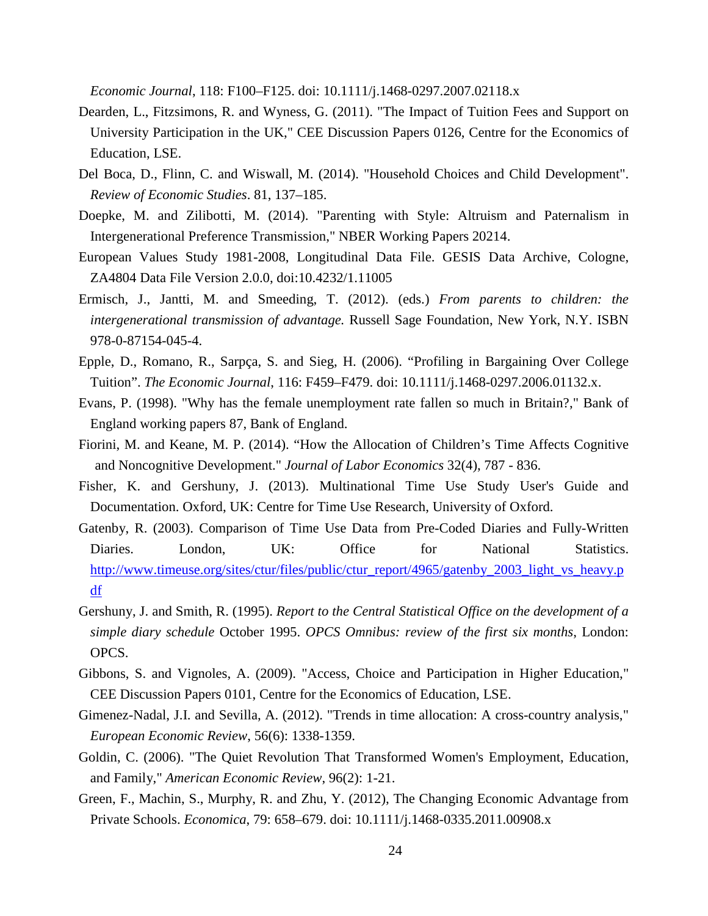*Economic Journal*, 118: F100–F125. doi: 10.1111/j.1468-0297.2007.02118.x

- Dearden, L., Fitzsimons, R. and Wyness, G. (2011). "The Impact of Tuition Fees and Support on University Participation in the UK," CEE Discussion Papers 0126, Centre for the Economics of Education, LSE.
- Del Boca, D., Flinn, C. and Wiswall, M. (2014). "Household Choices and Child Development". *Review of Economic Studies*. 81, 137–185.
- Doepke, M. and Zilibotti, M. (2014). "Parenting with Style: Altruism and Paternalism in Intergenerational Preference Transmission," NBER Working Papers 20214.
- European Values Study 1981-2008, Longitudinal Data File. GESIS Data Archive, Cologne, ZA4804 Data File Version 2.0.0, doi:10.4232/1.11005
- Ermisch, J., Jantti, M. and Smeeding, T. (2012). (eds.) *From parents to children: the intergenerational transmission of advantage.* Russell Sage Foundation, New York, N.Y. ISBN 978-0-87154-045-4.
- Epple, D., Romano, R., Sarpça, S. and Sieg, H. (2006). "Profiling in Bargaining Over College Tuition". *The Economic Journal*, 116: F459–F479. doi: 10.1111/j.1468-0297.2006.01132.x.
- Evans, P. (1998). "Why has the female unemployment rate fallen so much in Britain?," Bank of England working papers 87, Bank of England.
- Fiorini, M. and Keane, M. P. (2014). "How the Allocation of Children's Time Affects Cognitive and Noncognitive Development." *Journal of Labor Economics* 32(4), 787 - 836.
- Fisher, K. and Gershuny, J. (2013). Multinational Time Use Study User's Guide and Documentation. Oxford, UK: Centre for Time Use Research, University of Oxford.
- Gatenby, R. (2003). Comparison of Time Use Data from Pre-Coded Diaries and Fully-Written Diaries. London, UK: Office for National Statistics. [http://www.timeuse.org/sites/ctur/files/public/ctur\\_report/4965/gatenby\\_2003\\_light\\_vs\\_heavy.p](http://www.timeuse.org/sites/ctur/files/public/ctur_report/4965/gatenby_2003_light_vs_heavy.pdf) [df](http://www.timeuse.org/sites/ctur/files/public/ctur_report/4965/gatenby_2003_light_vs_heavy.pdf)
- Gershuny, J. and Smith, R. (1995). *Report to the Central Statistical Office on the development of a simple diary schedule* October 1995. *OPCS Omnibus: review of the first six months*, London: OPCS.
- Gibbons, S. and Vignoles, A. (2009). "Access, Choice and Participation in Higher Education," CEE Discussion Papers 0101, Centre for the Economics of Education, LSE.
- Gimenez-Nadal, J.I. and Sevilla, A. (2012). "Trends in time allocation: A cross-country analysis," *European Economic Review*, 56(6): 1338-1359.
- Goldin, C. (2006). "The Quiet Revolution That Transformed Women's Employment, Education, and Family," *American Economic Review*, 96(2): 1-21.
- Green, F., Machin, S., Murphy, R. and Zhu, Y. (2012), The Changing Economic Advantage from Private Schools. *Economica*, 79: 658–679. doi: 10.1111/j.1468-0335.2011.00908.x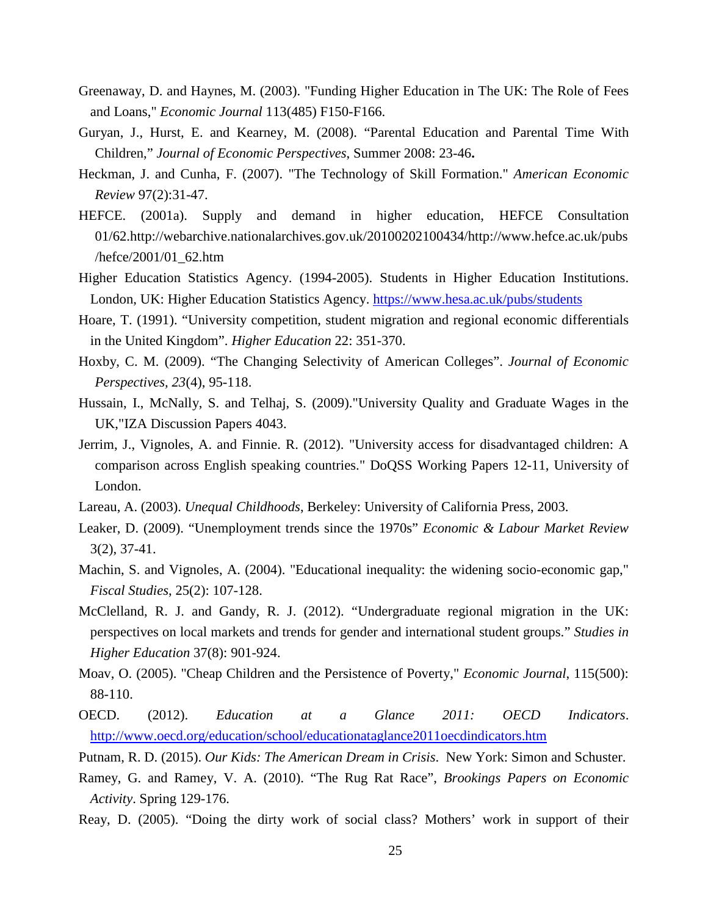- Greenaway, D. and Haynes, M. (2003). "Funding Higher Education in The UK: The Role of Fees and Loans," *Economic Journal* 113(485) F150-F166.
- Guryan, J., Hurst, E. and Kearney, M. (2008). "Parental Education and Parental Time With Children," *Journal of Economic Perspectives*, Summer 2008: 23-46**.**
- Heckman, J. and Cunha, F. (2007). "The Technology of Skill Formation." *American Economic Review* 97(2):31-47.
- HEFCE. (2001a). Supply and demand in higher education, HEFCE Consultation 01/62.http://webarchive.nationalarchives.gov.uk/20100202100434/http://www.hefce.ac.uk/pubs /hefce/2001/01\_62.htm
- Higher Education Statistics Agency. (1994-2005). Students in Higher Education Institutions. London, UK: Higher Education Statistics Agency.<https://www.hesa.ac.uk/pubs/students>
- Hoare, T. (1991). "University competition, student migration and regional economic differentials in the United Kingdom". *Higher Education* 22: 351-370.
- Hoxby, C. M. (2009). "The Changing Selectivity of American Colleges". *Journal of Economic Perspectives, 23*(4), 95-118.
- Hussain, I., McNally, S. and Telhaj, S. (2009)."University Quality and Graduate Wages in the UK,"IZA Discussion Papers 4043.
- Jerrim, J., Vignoles, A. and Finnie. R. (2012). "University access for disadvantaged children: A comparison across English speaking countries." DoQSS Working Papers 12-11, University of London.
- Lareau, A. (2003). *Unequal Childhoods*, Berkeley: University of California Press, 2003.
- Leaker, D. (2009). "Unemployment trends since the 1970s" *Economic & Labour Market Review* 3(2), 37-41.
- Machin, S. and Vignoles, A. (2004). "Educational inequality: the widening socio-economic gap," *Fiscal Studies*, 25(2): 107-128.
- McClelland, R. J. and Gandy, R. J. (2012). "Undergraduate regional migration in the UK: perspectives on local markets and trends for gender and international student groups." *Studies in Higher Education* 37(8): 901-924.
- Moav, O. (2005). "Cheap Children and the Persistence of Poverty," *Economic Journal*, 115(500): 88-110.
- OECD. (2012). *Education at a Glance 2011: OECD Indicators*. <http://www.oecd.org/education/school/educationataglance2011oecdindicators.htm>
- Putnam, R. D. (2015). *Our Kids: The American Dream in Crisis*. New York: Simon and Schuster.
- Ramey, G. and Ramey, V. A. (2010). "The Rug Rat Race", *Brookings Papers on Economic Activity*. Spring 129-176.
- Reay, D. (2005). "Doing the dirty work of social class? Mothers' work in support of their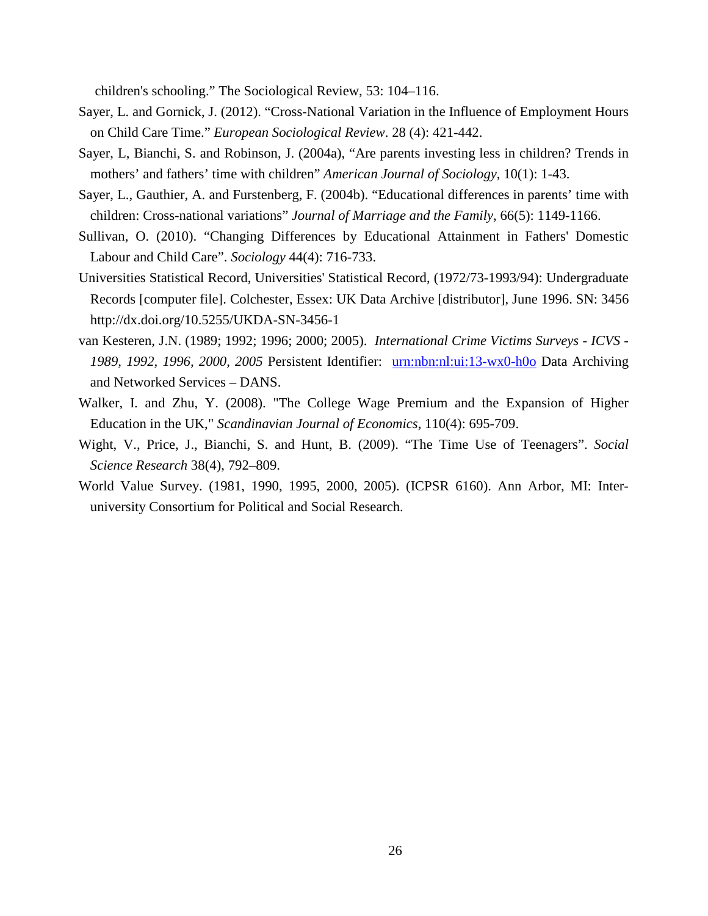children's schooling." The Sociological Review, 53: 104–116.

- Sayer, L. and Gornick, J. (2012). "Cross-National Variation in the Influence of Employment Hours on Child Care Time." *European Sociological Review*. 28 (4): 421-442.
- Sayer, L, Bianchi, S. and Robinson, J. (2004a), "Are parents investing less in children? Trends in mothers' and fathers' time with children" *American Journal of Sociology*, 10(1): 1-43.
- Sayer, L., Gauthier, A. and Furstenberg, F. (2004b). "Educational differences in parents' time with children: Cross-national variations" *Journal of Marriage and the Family*, 66(5): 1149-1166.
- Sullivan, O. (2010). "Changing Differences by Educational Attainment in Fathers' Domestic Labour and Child Care". *Sociology* 44(4): 716-733.
- Universities Statistical Record, Universities' Statistical Record, (1972/73-1993/94): Undergraduate Records [computer file]. Colchester, Essex: UK Data Archive [distributor], June 1996. SN: 3456 http://dx.doi.org/10.5255/UKDA-SN-3456-1
- van Kesteren, J.N. (1989; 1992; 1996; 2000; 2005). *International Crime Victims Surveys - ICVS - 1989, 1992, 1996, 2000, 2005* Persistent Identifier: [urn:nbn:nl:ui:13-wx0-h0o](http://persistent-identifier.nl/?identifier=urn:nbn:nl:ui:13-wx0-h0o) Data Archiving and Networked Services – DANS.
- Walker, I. and Zhu, Y. (2008). "The College Wage Premium and the Expansion of Higher Education in the UK," *Scandinavian Journal of Economics*, 110(4): 695-709.
- Wight, V., Price, J., Bianchi, S. and Hunt, B. (2009). "The Time Use of Teenagers". *Social Science Research* 38(4), 792–809.
- World Value Survey. (1981, 1990, 1995, 2000, 2005). (ICPSR 6160). Ann Arbor, MI: Interuniversity Consortium for Political and Social Research.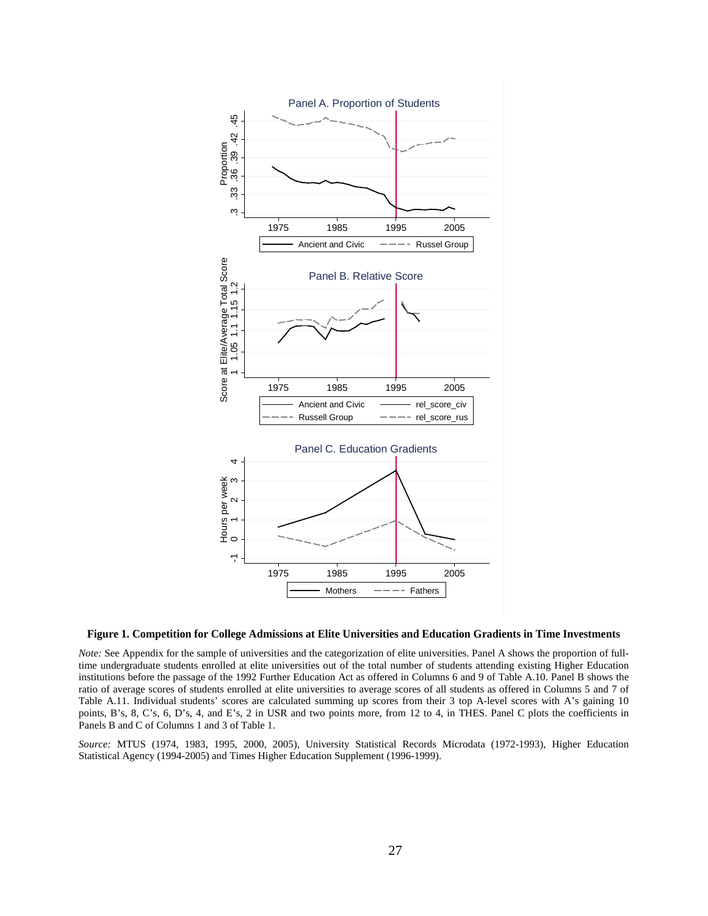

#### **Figure 1. Competition for College Admissions at Elite Universities and Education Gradients in Time Investments**

*Note:* See Appendix for the sample of universities and the categorization of elite universities. Panel A shows the proportion of fulltime undergraduate students enrolled at elite universities out of the total number of students attending existing Higher Education institutions before the passage of the 1992 Further Education Act as offered in Columns 6 and 9 of Table A.10. Panel B shows the ratio of average scores of students enrolled at elite universities to average scores of all students as offered in Columns 5 and 7 of Table A.11. Individual students' scores are calculated summing up scores from their 3 top A-level scores with A's gaining 10 points, B's, 8, C's, 6, D's, 4, and E's, 2 in USR and two points more, from 12 to 4, in THES. Panel C plots the coefficients in Panels B and C of Columns 1 and 3 of Table 1.

*Source:* MTUS (1974, 1983, 1995, 2000, 2005), University Statistical Records Microdata (1972-1993), Higher Education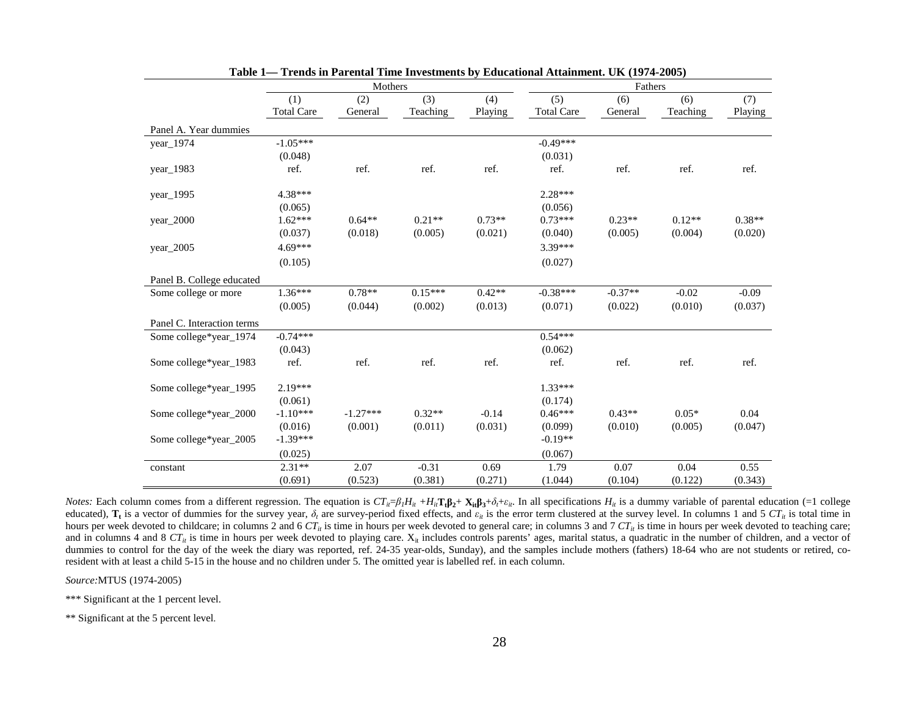|                            | Mothers           |            |           |          | Fathers           |           |          |          |
|----------------------------|-------------------|------------|-----------|----------|-------------------|-----------|----------|----------|
|                            | (1)               | (2)        | (3)       | (4)      | (5)               | (6)       | (6)      | (7)      |
|                            | <b>Total Care</b> | General    | Teaching  | Playing  | <b>Total Care</b> | General   | Teaching | Playing  |
| Panel A. Year dummies      |                   |            |           |          |                   |           |          |          |
| year_1974                  | $-1.05***$        |            |           |          | $-0.49***$        |           |          |          |
|                            | (0.048)           |            |           |          | (0.031)           |           |          |          |
| year_1983                  | ref.              | ref.       | ref.      | ref.     | ref.              | ref.      | ref.     | ref.     |
| year_1995                  | 4.38***           |            |           |          | $2.28***$         |           |          |          |
|                            | (0.065)           |            |           |          | (0.056)           |           |          |          |
| $year\_2000$               | $1.62***$         | $0.64**$   | $0.21**$  | $0.73**$ | $0.73***$         | $0.23**$  | $0.12**$ | $0.38**$ |
|                            | (0.037)           | (0.018)    | (0.005)   | (0.021)  | (0.040)           | (0.005)   | (0.004)  | (0.020)  |
| year_2005                  | $4.69***$         |            |           |          | 3.39***           |           |          |          |
|                            | (0.105)           |            |           |          | (0.027)           |           |          |          |
| Panel B. College educated  |                   |            |           |          |                   |           |          |          |
| Some college or more       | $1.36***$         | $0.78**$   | $0.15***$ | $0.42**$ | $-0.38***$        | $-0.37**$ | $-0.02$  | $-0.09$  |
|                            | (0.005)           | (0.044)    | (0.002)   | (0.013)  | (0.071)           | (0.022)   | (0.010)  | (0.037)  |
| Panel C. Interaction terms |                   |            |           |          |                   |           |          |          |
| Some college*year_1974     | $-0.74***$        |            |           |          | $0.54***$         |           |          |          |
|                            | (0.043)           |            |           |          | (0.062)           |           |          |          |
| Some college*year_1983     | ref.              | ref.       | ref.      | ref.     | ref.              | ref.      | ref.     | ref.     |
| Some college*year_1995     | $2.19***$         |            |           |          | $1.33***$         |           |          |          |
|                            | (0.061)           |            |           |          | (0.174)           |           |          |          |
| Some college*year_2000     | $-1.10***$        | $-1.27***$ | $0.32**$  | $-0.14$  | $0.46***$         | $0.43**$  | $0.05*$  | 0.04     |
|                            | (0.016)           | (0.001)    | (0.011)   | (0.031)  | (0.099)           | (0.010)   | (0.005)  | (0.047)  |
| Some college*year_2005     | $-1.39***$        |            |           |          | $-0.19**$         |           |          |          |
|                            | (0.025)           |            |           |          | (0.067)           |           |          |          |
| constant                   | $2.31**$          | 2.07       | $-0.31$   | 0.69     | 1.79              | 0.07      | 0.04     | 0.55     |
|                            | (0.691)           | (0.523)    | (0.381)   | (0.271)  | (1.044)           | (0.104)   | (0.122)  | (0.343)  |

**Table 1— Trends in Parental Time Investments by Educational Attainment. UK (1974-2005)**

*Notes:* Each column comes from a different regression. The equation is  $CT_i = \beta_l H_{it} + H_{it}T_t \beta_2 + X_{it} \beta_3 + \delta_t + \epsilon_{it}$ . In all specifications  $H_{it}$  is a dummy variable of parental education (=1 college educated),  $T_t$  is a vector of dummies for the survey year,  $\delta_t$  are survey-period fixed effects, and  $\varepsilon_{it}$  is the error term clustered at the survey level. In columns 1 and 5 CT<sub>it</sub> is total time in hours per week devoted to childcare; in columns 2 and 6  $CT_i$  is time in hours per week devoted to general care; in columns 3 and 7  $CT_i$  is time in hours per week devoted to teaching care; and in columns 4 and 8  $CT_{it}$  is time in hours per week devoted to playing care.  $X_{it}$  includes controls parents' ages, marital status, a quadratic in the number of children, and a vector of dummies to control for the day of the week the diary was reported, ref. 24-35 year-olds, Sunday), and the samples include mothers (fathers) 18-64 who are not students or retired, coresident with at least a child 5-15 in the house and no children under 5. The omitted year is labelled ref. in each column.

*Source:*MTUS (1974-2005)

\*\*\* Significant at the 1 percent level.

\*\* Significant at the 5 percent level.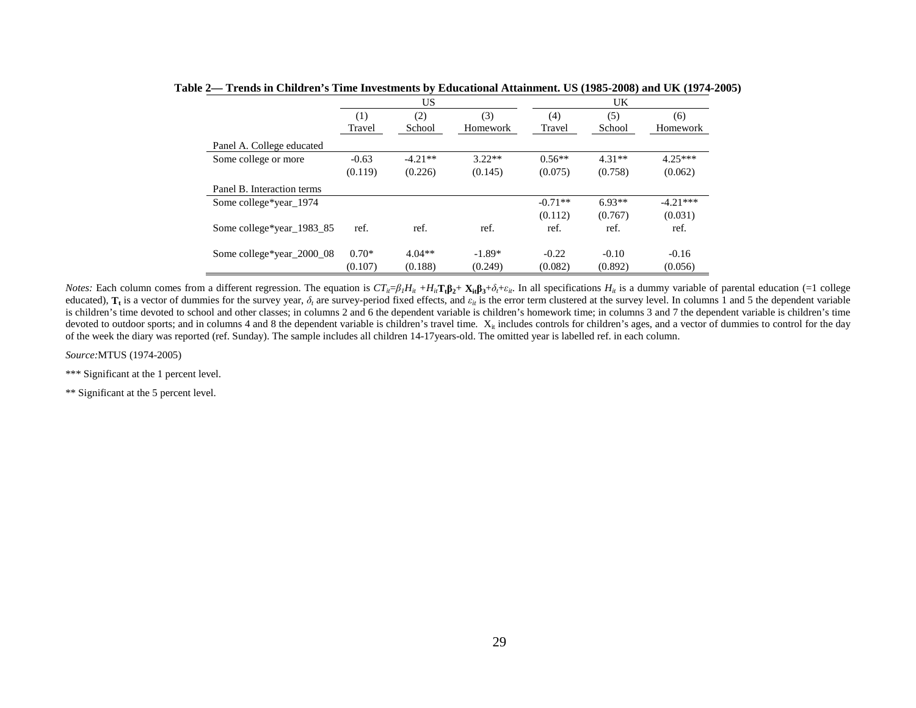|                            |         | US        |          | UK        |          |            |  |
|----------------------------|---------|-----------|----------|-----------|----------|------------|--|
|                            | (1)     | (2)       | (3)      | (4)       | (5)      | (6)        |  |
|                            | Travel  | School    | Homework | Travel    | School   | Homework   |  |
| Panel A. College educated  |         |           |          |           |          |            |  |
| Some college or more       | $-0.63$ | $-4.21**$ | $3.22**$ | $0.56**$  | $4.31**$ | $4.25***$  |  |
|                            | (0.119) | (0.226)   | (0.145)  | (0.075)   | (0.758)  | (0.062)    |  |
| Panel B. Interaction terms |         |           |          |           |          |            |  |
| Some college*year 1974     |         |           |          | $-0.71**$ | $6.93**$ | $-4.21***$ |  |
|                            |         |           |          | (0.112)   | (0.767)  | (0.031)    |  |
| Some college*year_1983_85  | ref.    | ref.      | ref.     | ref.      | ref.     | ref.       |  |
| Some college*year_2000_08  | $0.70*$ | $4.04**$  | $-1.89*$ | $-0.22$   | $-0.10$  | $-0.16$    |  |
|                            | (0.107) | (0.188)   | (0.249)  | (0.082)   | (0.892)  | (0.056)    |  |

**Table 2— Trends in Children's Time Investments by Educational Attainment. US (1985-2008) and UK (1974-2005)** 

*Notes:* Each column comes from a different regression. The equation is  $CT_i = \beta_l H_i + H_i \mathbf{T}_i \mathbf{\beta}_2 + \mathbf{X}_i \mathbf{\beta}_3 + \delta_l + \epsilon_i$ . In all specifications  $H_i$  is a dummy variable of parental education (=1 college educated),  $T_t$  is a vector of dummies for the survey year,  $\delta_t$  are survey-period fixed effects, and  $\varepsilon_{tt}$  is the error term clustered at the survey level. In columns 1 and 5 the dependent variable is children's time devoted to school and other classes; in columns 2 and 6 the dependent variable is children's homework time; in columns 3 and 7 the dependent variable is children's time devoted to outdoor sports; and in columns 4 and 8 the dependent variable is children's travel time.  $X_i$  includes controls for children's ages, and a vector of dummies to control for the day of the week the diary was reported (ref. Sunday). The sample includes all children 14-17years-old. The omitted year is labelled ref. in each column.

*Source:*MTUS (1974-2005)

\*\*\* Significant at the 1 percent level.

\*\* Significant at the 5 percent level.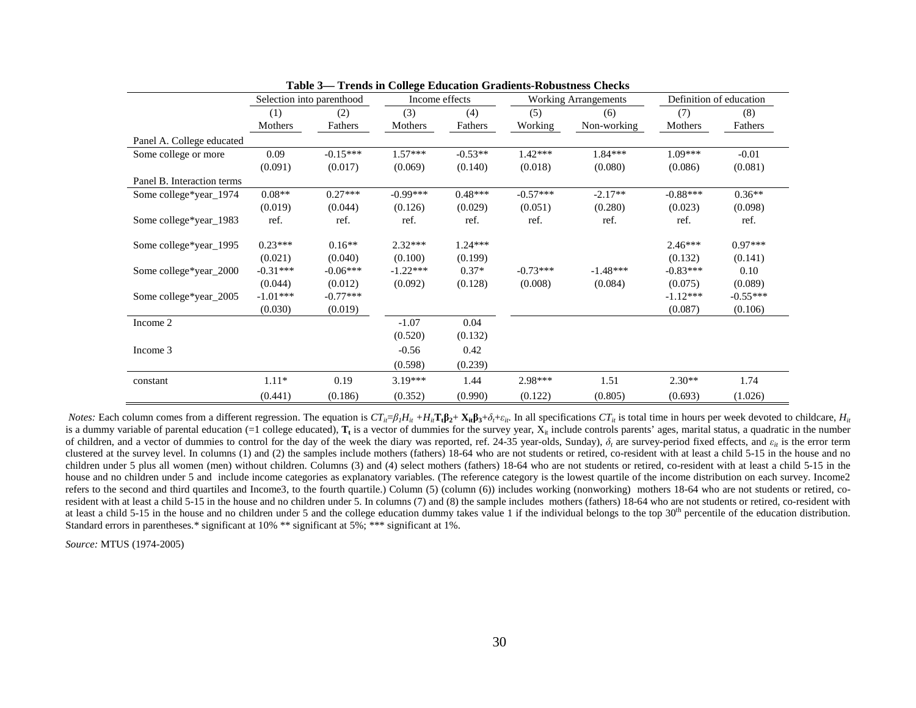|                            | Selection into parenthood |                       |                       | Income effects       |                       | <b>Working Arrangements</b> | Definition of education |                      |
|----------------------------|---------------------------|-----------------------|-----------------------|----------------------|-----------------------|-----------------------------|-------------------------|----------------------|
|                            | (1)                       | (2)                   | (3)                   | (4)                  | (5)                   | (6)                         | (7)                     | (8)                  |
|                            | Mothers                   | Fathers               | Mothers               | Fathers              | Working               | Non-working                 | Mothers                 | Fathers              |
| Panel A. College educated  |                           |                       |                       |                      |                       |                             |                         |                      |
| Some college or more       | 0.09                      | $-0.15***$            | $1.57***$             | $-0.53**$            | $1.42***$             | $1.84***$                   | $1.09***$               | $-0.01$              |
|                            | (0.091)                   | (0.017)               | (0.069)               | (0.140)              | (0.018)               | (0.080)                     | (0.086)                 | (0.081)              |
| Panel B. Interaction terms |                           |                       |                       |                      |                       |                             |                         |                      |
| Some college*year_1974     | $0.08**$                  | $0.27***$             | $-0.99***$            | $0.48***$            | $-0.57***$            | $-2.17**$                   | $-0.88***$              | $0.36**$             |
|                            | (0.019)                   | (0.044)               | (0.126)               | (0.029)              | (0.051)               | (0.280)                     | (0.023)                 | (0.098)              |
| Some college*year_1983     | ref.                      | ref.                  | ref.                  | ref.                 | ref.                  | ref.                        | ref.                    | ref.                 |
| Some college*year_1995     | $0.23***$<br>(0.021)      | $0.16**$<br>(0.040)   | $2.32***$<br>(0.100)  | $1.24***$<br>(0.199) |                       |                             | $2.46***$<br>(0.132)    | $0.97***$<br>(0.141) |
| Some college*year_2000     | $-0.31***$<br>(0.044)     | $-0.06***$<br>(0.012) | $-1.22***$<br>(0.092) | $0.37*$<br>(0.128)   | $-0.73***$<br>(0.008) | $-1.48***$<br>(0.084)       | $-0.83***$<br>(0.075)   | 0.10<br>(0.089)      |
| Some college*year_2005     | $-1.01***$                | $-0.77***$            |                       |                      |                       |                             | $-1.12***$              | $-0.55***$           |
|                            | (0.030)                   | (0.019)               |                       |                      |                       |                             | (0.087)                 | (0.106)              |
| Income 2                   |                           |                       | $-1.07$               | 0.04                 |                       |                             |                         |                      |
|                            |                           |                       | (0.520)               | (0.132)              |                       |                             |                         |                      |
| Income 3                   |                           |                       | $-0.56$               | 0.42                 |                       |                             |                         |                      |
|                            |                           |                       | (0.598)               | (0.239)              |                       |                             |                         |                      |
| constant                   | $1.11*$                   | 0.19                  | $3.19***$             | 1.44                 | 2.98***               | 1.51                        | $2.30**$                | 1.74                 |
|                            | (0.441)                   | (0.186)               | (0.352)               | (0.990)              | (0.122)               | (0.805)                     | (0.693)                 | (1.026)              |

**Table 3— Trends in College Education Gradients-Robustness Checks**

*Notes:* Each column comes from a different regression. The equation is  $CT_i = \beta_l H_{it} + H_i \mathbf{T}_t \mathbf{B}_2 + \mathbf{X}_i \mathbf{B}_3 + \delta_l + \epsilon_i$ . In all specifications  $CT_i$  is total time in hours per week devoted to childcare,  $H_i$ is a dummy variable of parental education (=1 college educated),  $T_t$  is a vector of dummies for the survey year,  $X_i$  include controls parents' ages, marital status, a quadratic in the number of children, and a vector of dummies to control for the day of the week the diary was reported, ref. 24-35 year-olds, Sunday), *δ<sup>t</sup>* are survey-period fixed effects, and *εit* is the error term clustered at the survey level. In columns (1) and (2) the samples include mothers (fathers) 18-64 who are not students or retired, co-resident with at least a child 5-15 in the house and no children under 5 plus all women (men) without children. Columns (3) and (4) select mothers (fathers) 18-64 who are not students or retired, co-resident with at least a child 5-15 in the house and no children under 5 and include income categories as explanatory variables. (The reference category is the lowest quartile of the income distribution on each survey. Income2 refers to the second and third quartiles and Income3, to the fourth quartile.) Column (5) (column (6)) includes working (nonworking) mothers 18-64 who are not students or retired, coresident with at least a child 5-15 in the house and no children under 5. In columns (7) and (8) the sample includes mothers (fathers) 18-64 who are not students or retired, co-resident with at least a child 5-15 in the house and no children under 5 and the college education dummy takes value 1 if the individual belongs to the top  $30<sup>th</sup>$  percentile of the education distribution. Standard errors in parentheses.\* significant at 10% \*\* significant at 5%; \*\*\* significant at 1%.

*Source:* MTUS (1974-2005)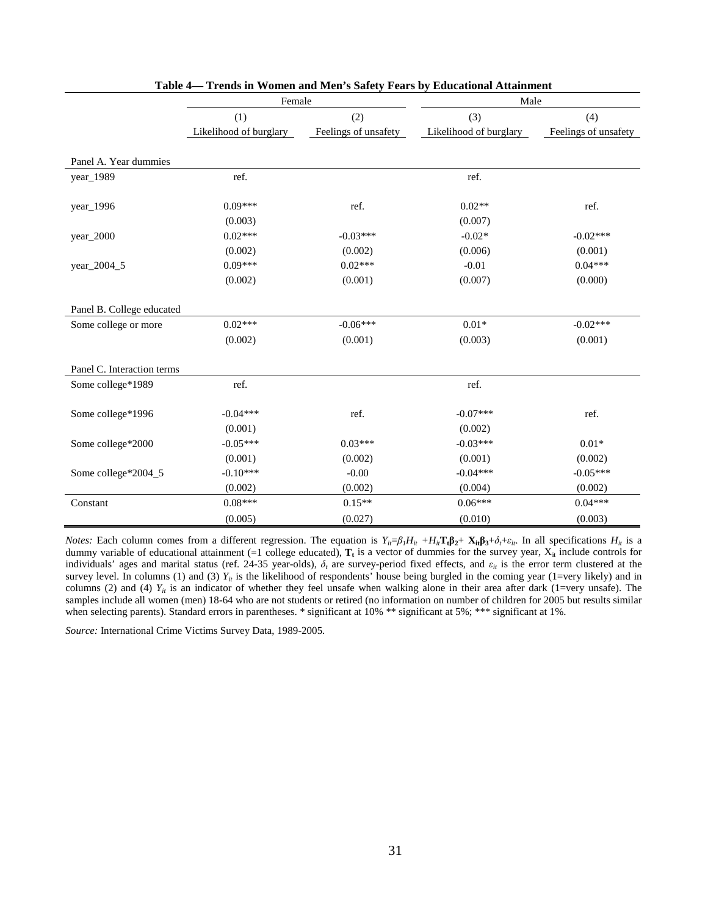|                            | Female                 |                      | Male                   |                      |  |
|----------------------------|------------------------|----------------------|------------------------|----------------------|--|
|                            | (1)                    | (2)                  | (3)                    | (4)                  |  |
|                            | Likelihood of burglary | Feelings of unsafety | Likelihood of burglary | Feelings of unsafety |  |
|                            |                        |                      |                        |                      |  |
| Panel A. Year dummies      |                        |                      |                        |                      |  |
| year_1989                  | ref.                   |                      | ref.                   |                      |  |
|                            |                        |                      |                        |                      |  |
| year_1996                  | $0.09***$              | ref.                 | $0.02**$               | ref.                 |  |
|                            | (0.003)                |                      | (0.007)                |                      |  |
| year_2000                  | $0.02***$              | $-0.03***$           | $-0.02*$               | $-0.02***$           |  |
|                            | (0.002)                | (0.002)              | (0.006)                | (0.001)              |  |
| year_2004_5                | $0.09***$              | $0.02***$            | $-0.01$                | $0.04***$            |  |
|                            | (0.002)                | (0.001)              | (0.007)                | (0.000)              |  |
|                            |                        |                      |                        |                      |  |
| Panel B. College educated  |                        |                      |                        |                      |  |
| Some college or more       | $0.02***$              | $-0.06***$           | $0.01*$                | $-0.02***$           |  |
|                            | (0.002)                | (0.001)              | (0.003)                | (0.001)              |  |
|                            |                        |                      |                        |                      |  |
| Panel C. Interaction terms |                        |                      |                        |                      |  |
| Some college*1989          | ref.                   |                      | ref.                   |                      |  |
|                            |                        |                      |                        |                      |  |
| Some college*1996          | $-0.04***$             | ref.                 | $-0.07***$             | ref.                 |  |
|                            | (0.001)                |                      | (0.002)                |                      |  |
| Some college*2000          | $-0.05***$             | $0.03***$            | $-0.03***$             | $0.01*$              |  |
|                            | (0.001)                | (0.002)              | (0.001)                | (0.002)              |  |
| Some college*2004_5        | $-0.10***$             | $-0.00$              | $-0.04***$             | $-0.05***$           |  |
|                            | (0.002)                | (0.002)              | (0.004)                | (0.002)              |  |
| Constant                   | $0.08***$              | $0.15**$             | $0.06***$              | $0.04***$            |  |
|                            | (0.005)                | (0.027)              | (0.010)                | (0.003)              |  |

| Table 4— Trends in Women and Men's Safety Fears by Educational Attainment |  |
|---------------------------------------------------------------------------|--|
|---------------------------------------------------------------------------|--|

*Notes:* Each column comes from a different regression. The equation is  $Y_{ii} = \beta_1 H_{it} + H_{it} \mathbf{T}_t \beta_2 + \mathbf{X}_{it} \beta_3 + \delta_t + \varepsilon_{it}$ . In all specifications  $H_{it}$  is a dummy variable of educational attainment (=1 college educated),  $T_t$  is a vector of dummies for the survey year,  $X_{it}$  include controls for individuals' ages and marital status (ref. 24-35 year-olds),  $\delta_t$  are survey-period fixed effects, and  $\varepsilon_{it}$  is the error term clustered at the survey level. In columns (1) and (3)  $Y_{ii}$  is the likelihood of respondents' house being burgled in the coming year (1=very likely) and in columns (2) and (4)  $Y_{ii}$  is an indicator of whether they feel unsafe when walking alone in their area after dark (1=very unsafe). The samples include all women (men) 18-64 who are not students or retired (no information on number of children for 2005 but results similar when selecting parents). Standard errors in parentheses. \* significant at 10% \*\* significant at 5%; \*\*\* significant at 1%.

*Source:* International Crime Victims Survey Data, 1989-2005.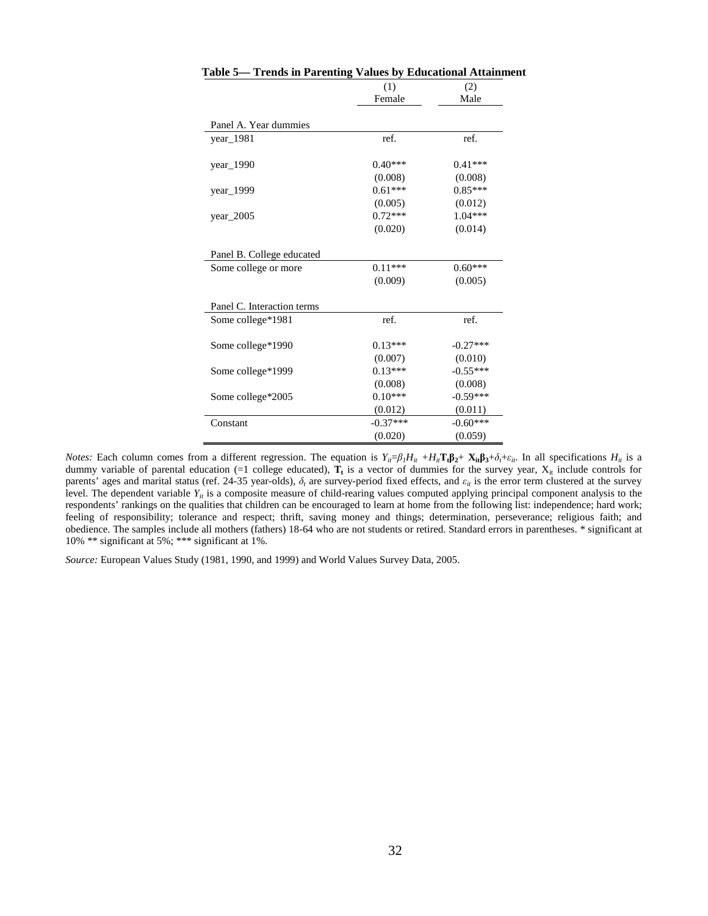|                            | (1)        | (2)        |
|----------------------------|------------|------------|
|                            | Female     | Male       |
|                            |            |            |
| Panel A. Year dummies      |            |            |
| year_1981                  | ref.       | ref.       |
|                            |            |            |
| $year\_1990$               | $0.40***$  | $0.41***$  |
|                            | (0.008)    | (0.008)    |
| year_1999                  | $0.61***$  | $0.85***$  |
|                            | (0.005)    | (0.012)    |
| year $2005$                | $0.72***$  | $1.04***$  |
|                            | (0.020)    | (0.014)    |
|                            |            |            |
| Panel B. College educated  |            |            |
| Some college or more       | $0.11***$  | $0.60***$  |
|                            | (0.009)    | (0.005)    |
| Panel C. Interaction terms |            |            |
| Some college*1981          | ref.       | ref.       |
| Some college*1990          | $0.13***$  | $-0.27***$ |
|                            | (0.007)    | (0.010)    |
| Some college*1999          | $0.13***$  | $-0.55***$ |
|                            | (0.008)    | (0.008)    |
| Some college*2005          | $0.10***$  | $-0.59***$ |
|                            | (0.012)    | (0.011)    |
| Constant                   | $-0.37***$ | $-0.60***$ |
|                            | (0.020)    | (0.059)    |

|  |  |  |  | Table 5— Trends in Parenting Values by Educational Attainment |  |
|--|--|--|--|---------------------------------------------------------------|--|
|--|--|--|--|---------------------------------------------------------------|--|

*Source:* European Values Study (1981, 1990, and 1999) and World Values Survey Data, 2005.

*Notes:* Each column comes from a different regression. The equation is  $Y_{ii} = \beta_1 H_{it} + H_{it} \mathbf{T}_t \beta_2 + \mathbf{X}_{it} \beta_3 + \delta_t + \varepsilon_{it}$ . In all specifications  $H_{it}$  is a dummy variable of parental education (=1 college educated),  $\mathbf{T}_t$  is a vector of dummies for the survey year,  $X_i$  include controls for parents' ages and marital status (ref. 24-35 year-olds),  $\delta_t$  are survey-period fixed effects, and  $\varepsilon_{it}$  is the error term clustered at the survey level. The dependent variable  $Y_{ii}$  is a composite measure of child-rearing values computed applying principal component analysis to the respondents' rankings on the qualities that children can be encouraged to learn at home from the following list: independence; hard work; feeling of responsibility; tolerance and respect; thrift, saving money and things; determination, perseverance; religious faith; and obedience. The samples include all mothers (fathers) 18-64 who are not students or retired. Standard errors in parentheses. \* significant at 10% \*\* significant at 5%; \*\*\* significant at 1%.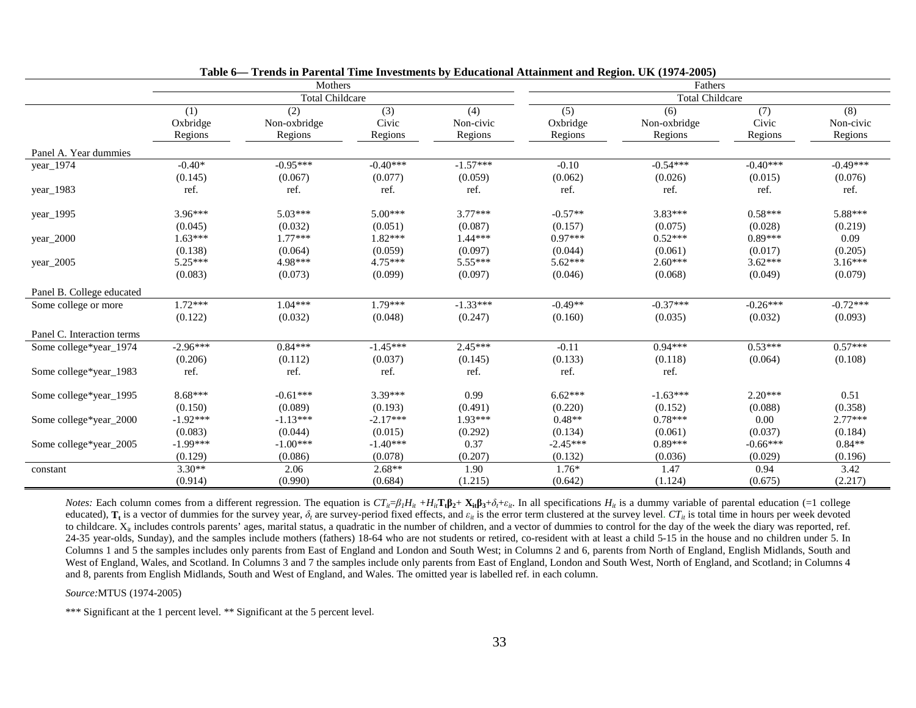|                            |                            | Mothers                        |                         |                             | Fathers                    |                                |                         |                             |  |
|----------------------------|----------------------------|--------------------------------|-------------------------|-----------------------------|----------------------------|--------------------------------|-------------------------|-----------------------------|--|
|                            |                            | <b>Total Childcare</b>         |                         |                             |                            | <b>Total Childcare</b>         |                         |                             |  |
|                            | (1)<br>Oxbridge<br>Regions | (2)<br>Non-oxbridge<br>Regions | (3)<br>Civic<br>Regions | (4)<br>Non-civic<br>Regions | (5)<br>Oxbridge<br>Regions | (6)<br>Non-oxbridge<br>Regions | (7)<br>Civic<br>Regions | (8)<br>Non-civic<br>Regions |  |
| Panel A. Year dummies      |                            |                                |                         |                             |                            |                                |                         |                             |  |
| year_1974                  | $-0.40*$                   | $-0.95***$                     | $-0.40***$              | $-1.57***$                  | $-0.10$                    | $-0.54***$                     | $-0.40***$              | $-0.49***$                  |  |
|                            | (0.145)                    | (0.067)                        | (0.077)                 | (0.059)                     | (0.062)                    | (0.026)                        | (0.015)                 | (0.076)                     |  |
| year_1983                  | ref.                       | ref.                           | ref.                    | ref.                        | ref.                       | ref.                           | ref.                    | ref.                        |  |
| year_1995                  | $3.96***$                  | $5.03***$                      | $5.00***$               | $3.77***$                   | $-0.57**$                  | $3.83***$                      | $0.58***$               | 5.88***                     |  |
|                            | (0.045)                    | (0.032)                        | (0.051)                 | (0.087)                     | (0.157)                    | (0.075)                        | (0.028)                 | (0.219)                     |  |
| year $2000$                | $1.63***$                  | $1.77***$                      | $1.82***$               | $1.44***$                   | $0.97***$                  | $0.52***$                      | $0.89***$               | 0.09                        |  |
|                            | (0.138)                    | (0.064)                        | (0.059)                 | (0.097)                     | (0.044)                    | (0.061)                        | (0.017)                 | (0.205)                     |  |
| year_2005                  | $5.25***$                  | 4.98***                        | $4.75***$               | $5.55***$                   | $5.62***$                  | $2.60***$                      | $3.62***$               | $3.16***$                   |  |
|                            | (0.083)                    | (0.073)                        | (0.099)                 | (0.097)                     | (0.046)                    | (0.068)                        | (0.049)                 | (0.079)                     |  |
| Panel B. College educated  |                            |                                |                         |                             |                            |                                |                         |                             |  |
| Some college or more       | $1.72***$                  | $1.04***$                      | $1.79***$               | $-1.33***$                  | $-0.49**$                  | $-0.37***$                     | $-0.26***$              | $-0.72***$                  |  |
|                            | (0.122)                    | (0.032)                        | (0.048)                 | (0.247)                     | (0.160)                    | (0.035)                        | (0.032)                 | (0.093)                     |  |
| Panel C. Interaction terms |                            |                                |                         |                             |                            |                                |                         |                             |  |
| Some college*year_1974     | $-2.96***$                 | $0.84***$                      | $-1.45***$              | $2.45***$                   | $-0.11$                    | $0.94***$                      | $0.53***$               | $0.57***$                   |  |
|                            | (0.206)                    | (0.112)                        | (0.037)                 | (0.145)                     | (0.133)                    | (0.118)                        | (0.064)                 | (0.108)                     |  |
| Some college*year_1983     | ref.                       | ref.                           | ref.                    | ref.                        | ref.                       | ref.                           |                         |                             |  |
| Some college*year_1995     | $8.68***$                  | $-0.61***$                     | 3.39***                 | 0.99                        | $6.62***$                  | $-1.63***$                     | $2.20***$               | 0.51                        |  |
|                            | (0.150)                    | (0.089)                        | (0.193)                 | (0.491)                     | (0.220)                    | (0.152)                        | (0.088)                 | (0.358)                     |  |
| Some college*year_2000     | $-1.92***$                 | $-1.13***$                     | $-2.17***$              | $1.93***$                   | $0.48**$                   | $0.78***$                      | 0.00                    | $2.77***$                   |  |
|                            | (0.083)                    | (0.044)                        | (0.015)                 | (0.292)                     | (0.134)                    | (0.061)                        | (0.037)                 | (0.184)                     |  |
| Some college*year_2005     | $-1.99***$                 | $-1.00***$                     | $-1.40***$              | 0.37                        | $-2.45***$                 | $0.89***$                      | $-0.66***$              | $0.84**$                    |  |
|                            | (0.129)                    | (0.086)                        | (0.078)                 | (0.207)                     | (0.132)                    | (0.036)                        | (0.029)                 | (0.196)                     |  |
| constant                   | $3.30**$                   | 2.06                           | $2.68**$                | 1.90                        | $1.76*$                    | 1.47                           | 0.94                    | 3.42                        |  |
|                            | (0.914)                    | (0.990)                        | (0.684)                 | (1.215)                     | (0.642)                    | (1.124)                        | (0.675)                 | (2.217)                     |  |

*Notes:* Each column comes from a different regression. The equation is  $CT_{ii}=\beta_lH_{ii}+H_{ii}T_i\beta_2+X_{ii}\beta_3+\delta_i+\epsilon_{ii}$ . In all specifications  $H_{ii}$  is a dummy variable of parental education (=1 college educated),  $T_t$  is a vector of dummies for the survey year,  $\delta_t$  are survey-period fixed effects, and  $\varepsilon_t$  is the error term clustered at the survey level.  $CT_t$  is total time in hours per week devoted to childcare.  $X_{ii}$  includes controls parents' ages, marital status, a quadratic in the number of children, and a vector of dummies to control for the day of the week the diary was reported, ref. 24-35 year-olds, Sunday), and the samples include mothers (fathers) 18-64 who are not students or retired, co-resident with at least a child 5-15 in the house and no children under 5. In Columns 1 and 5 the samples includes only parents from East of England and London and South West; in Columns 2 and 6, parents from North of England, English Midlands, South and West of England, Wales, and Scotland. In Columns 3 and 7 the samples include only parents from East of England, London and South West, North of England, and Scotland; in Columns 4 and 8, parents from English Midlands, South and West of England, and Wales. The omitted year is labelled ref. in each column.

*Source:*MTUS (1974-2005)

\*\*\* Significant at the 1 percent level. \*\* Significant at the 5 percent level.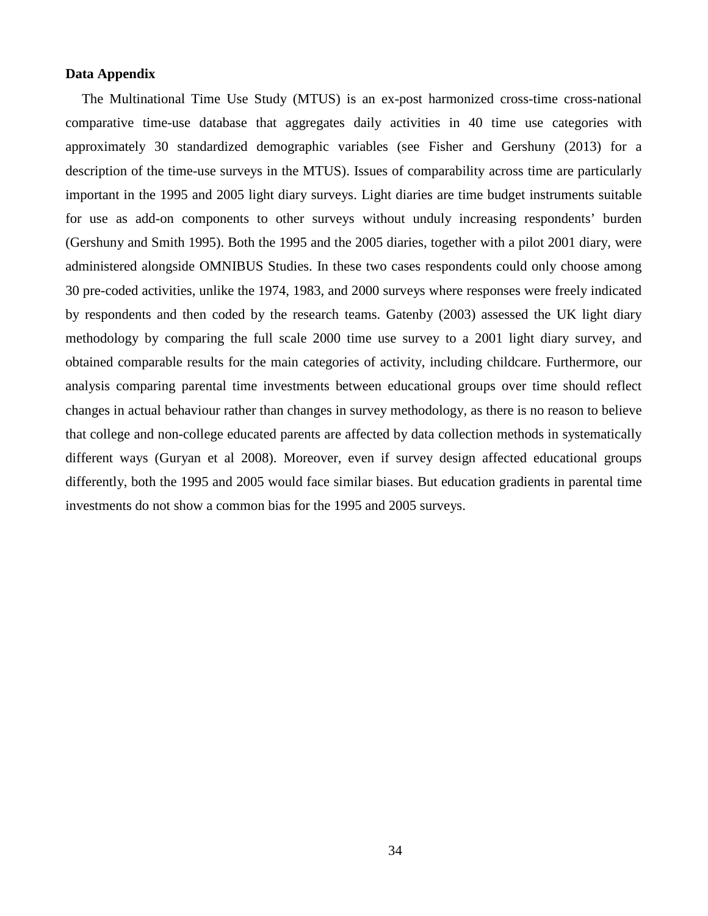#### **Data Appendix**

The Multinational Time Use Study (MTUS) is an ex-post harmonized cross-time cross-national comparative time-use database that aggregates daily activities in 40 time use categories with approximately 30 standardized demographic variables (see Fisher and Gershuny (2013) for a description of the time-use surveys in the MTUS). Issues of comparability across time are particularly important in the 1995 and 2005 light diary surveys. Light diaries are time budget instruments suitable for use as add-on components to other surveys without unduly increasing respondents' burden (Gershuny and Smith 1995). Both the 1995 and the 2005 diaries, together with a pilot 2001 diary, were administered alongside OMNIBUS Studies. In these two cases respondents could only choose among 30 pre-coded activities, unlike the 1974, 1983, and 2000 surveys where responses were freely indicated by respondents and then coded by the research teams. Gatenby (2003) assessed the UK light diary methodology by comparing the full scale 2000 time use survey to a 2001 light diary survey, and obtained comparable results for the main categories of activity, including childcare. Furthermore, our analysis comparing parental time investments between educational groups over time should reflect changes in actual behaviour rather than changes in survey methodology, as there is no reason to believe that college and non-college educated parents are affected by data collection methods in systematically different ways (Guryan et al 2008). Moreover, even if survey design affected educational groups differently, both the 1995 and 2005 would face similar biases. But education gradients in parental time investments do not show a common bias for the 1995 and 2005 surveys.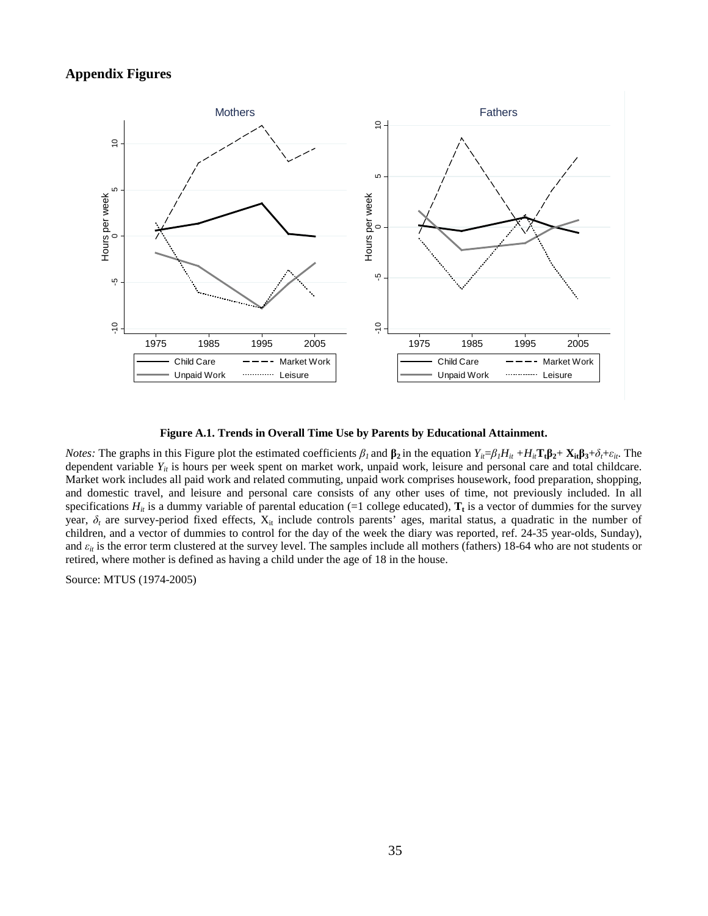### **Appendix Figures**



#### **Figure A.1. Trends in Overall Time Use by Parents by Educational Attainment.**

*Notes:* The graphs in this Figure plot the estimated coefficients  $\beta_l$  and  $\beta_2$  in the equation  $Y_{ii} = \beta_l H_{ii} + H_{ii}T_t \beta_2 + X_{it} \beta_3 + \delta_t + \varepsilon_{it}$ . The dependent variable  $Y_{it}$  is hours per week spent on market work, unpaid work, leisure and personal care and total childcare. Market work includes all paid work and related commuting, unpaid work comprises housework, food preparation, shopping, and domestic travel, and leisure and personal care consists of any other uses of time, not previously included. In all specifications  $H_{ii}$  is a dummy variable of parental education (=1 college educated),  $T_t$  is a vector of dummies for the survey year,  $\delta_t$  are survey-period fixed effects,  $X_{it}$  include controls parents' ages, marital status, a quadratic in the number of children, and a vector of dummies to control for the day of the week the diary was reported, ref. 24-35 year-olds, Sunday), and  $\varepsilon_{it}$  is the error term clustered at the survey level. The samples include all mothers (fathers) 18-64 who are not students or retired, where mother is defined as having a child under the age of 18 in the house.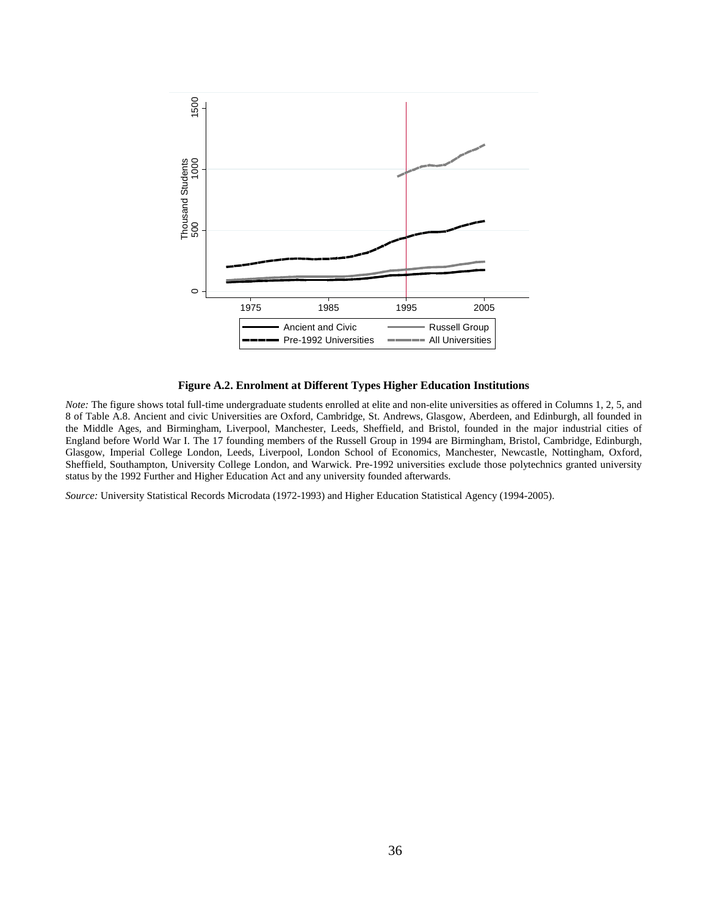

#### **Figure A.2. Enrolment at Different Types Higher Education Institutions**

*Note:* The figure shows total full-time undergraduate students enrolled at elite and non-elite universities as offered in Columns 1, 2, 5, and 8 of Table A.8. Ancient and civic Universities are Oxford, Cambridge, St. Andrews, Glasgow, Aberdeen, and Edinburgh, all founded in the Middle Ages, and Birmingham, Liverpool, Manchester, Leeds, Sheffield, and Bristol, founded in the major industrial cities of England before World War I. The 17 founding members of the Russell Group in 1994 are Birmingham, Bristol, Cambridge, Edinburgh, Glasgow, Imperial College London, Leeds, Liverpool, London School of Economics, Manchester, Newcastle, Nottingham, Oxford, Sheffield, Southampton, University College London, and Warwick. Pre-1992 universities exclude those polytechnics granted university status by the 1992 Further and Higher Education Act and any university founded afterwards.

*Source:* University Statistical Records Microdata (1972-1993) and Higher Education Statistical Agency (1994-2005).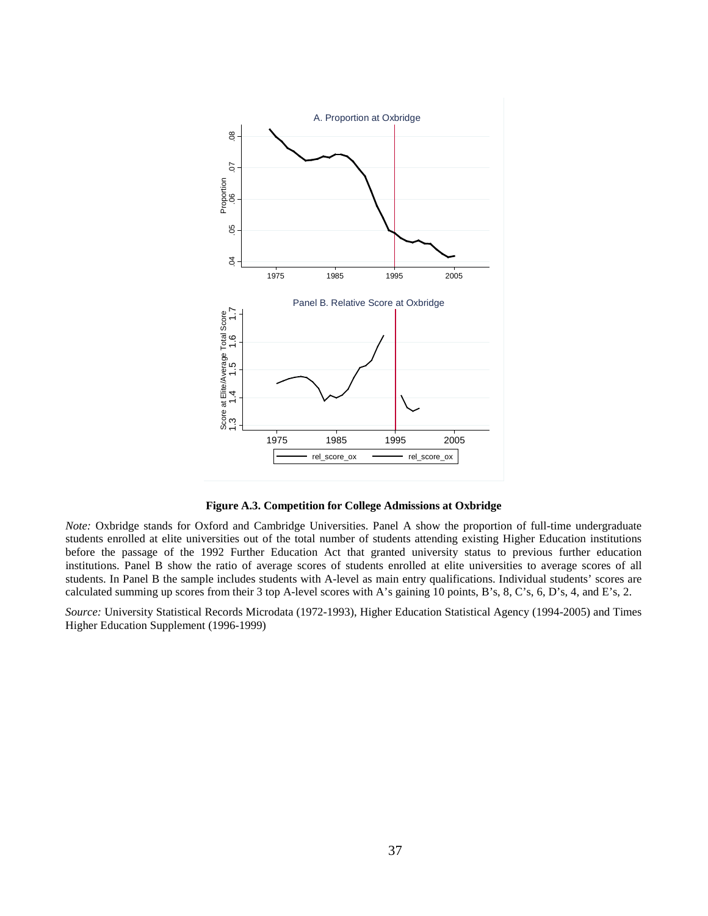

**Figure A.3. Competition for College Admissions at Oxbridge** 

*Note:* Oxbridge stands for Oxford and Cambridge Universities. Panel A show the proportion of full-time undergraduate students enrolled at elite universities out of the total number of students attending existing Higher Education institutions before the passage of the 1992 Further Education Act that granted university status to previous further education institutions. Panel B show the ratio of average scores of students enrolled at elite universities to average scores of all students. In Panel B the sample includes students with A-level as main entry qualifications. Individual students' scores are calculated summing up scores from their 3 top A-level scores with A's gaining 10 points, B's, 8, C's, 6, D's, 4, and E's, 2.

*Source:* University Statistical Records Microdata (1972-1993), Higher Education Statistical Agency (1994-2005) and Times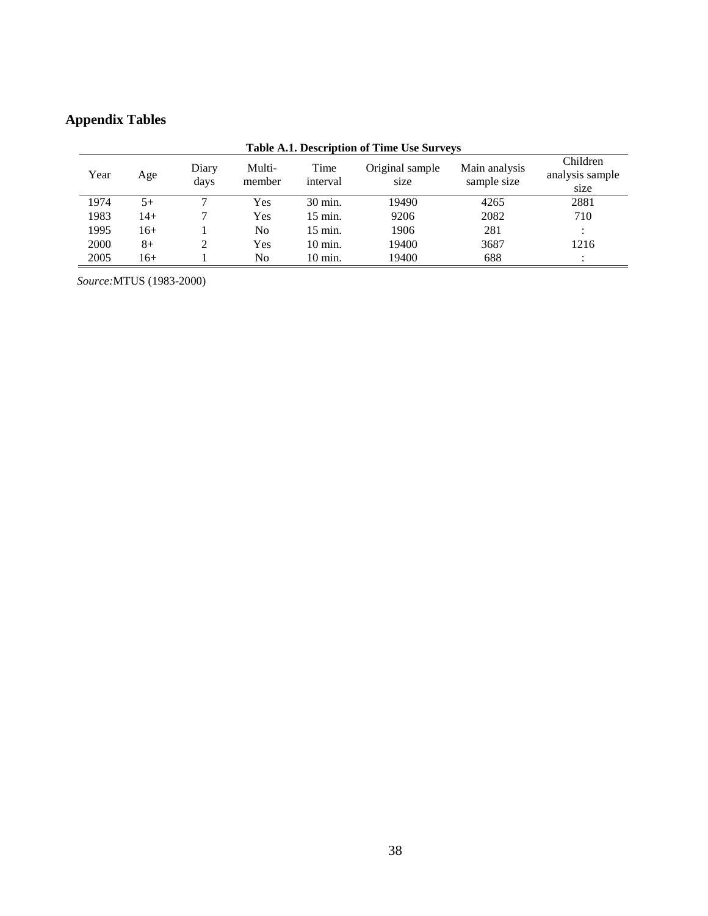# **Appendix Tables**

|      | Table A.I. Description of This Use Surveys |               |                  |                   |                         |                              |                                     |  |
|------|--------------------------------------------|---------------|------------------|-------------------|-------------------------|------------------------------|-------------------------------------|--|
| Year | Age                                        | Diary<br>days | Multi-<br>member | Time<br>interval  | Original sample<br>size | Main analysis<br>sample size | Children<br>analysis sample<br>size |  |
| 1974 | 5+                                         |               | Yes              | 30 min.           | 19490                   | 4265                         | 2881                                |  |
| 1983 | 14+                                        |               | Yes              | $15$ min.         | 9206                    | 2082                         | 710                                 |  |
| 1995 | 16+                                        |               | No.              | $15$ min.         | 1906                    | 281                          | $\bullet$                           |  |
| 2000 | $8+$                                       | 2             | Yes              | $10 \text{ min.}$ | 19400                   | 3687                         | 1216                                |  |
| 2005 | 16+                                        |               | No               | $10 \text{ min.}$ | 19400                   | 688                          | $\bullet$                           |  |

# **Table A.1. Description of Time Use Surveys**

*Source:*MTUS (1983-2000)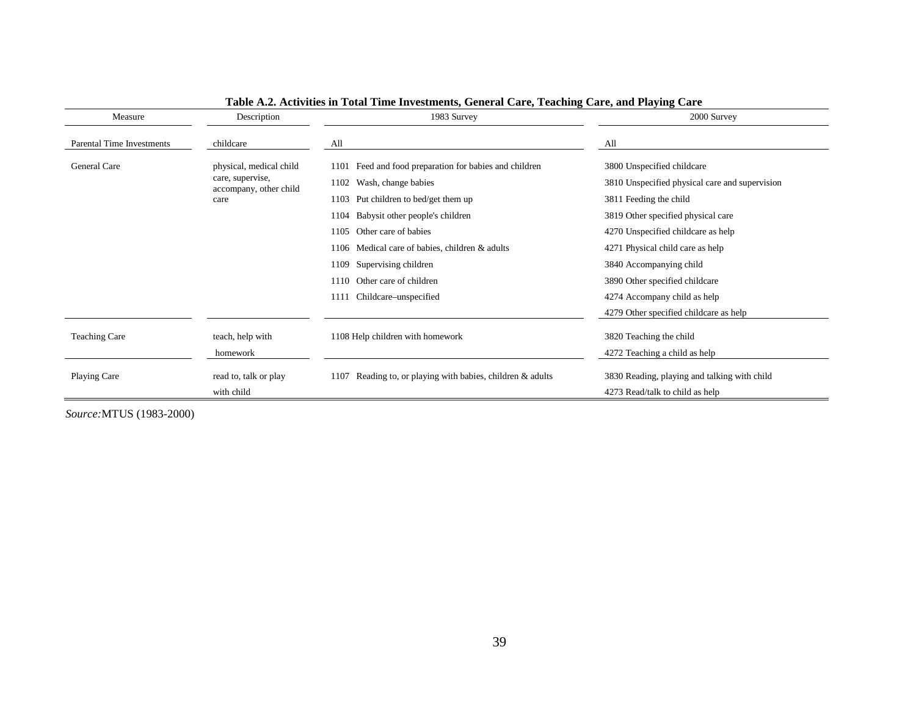| Measure                   | Description                                | 1983 Survey                                                   | 2000 Survey                                    |
|---------------------------|--------------------------------------------|---------------------------------------------------------------|------------------------------------------------|
| Parental Time Investments | childcare                                  | All                                                           | All                                            |
| General Care              | physical, medical child                    | Feed and food preparation for babies and children<br>1101     | 3800 Unspecified childcare                     |
|                           | care, supervise,<br>accompany, other child | 1102 Wash, change babies                                      | 3810 Unspecified physical care and supervision |
|                           | care                                       | Put children to bed/get them up<br>1103                       | 3811 Feeding the child                         |
|                           |                                            | Babysit other people's children<br>1104                       | 3819 Other specified physical care             |
|                           |                                            | Other care of babies<br>1105                                  | 4270 Unspecified childcare as help             |
|                           |                                            | Medical care of babies, children & adults<br>1106             | 4271 Physical child care as help               |
|                           |                                            | Supervising children<br>1109                                  | 3840 Accompanying child                        |
|                           |                                            | Other care of children<br>1110                                | 3890 Other specified childcare                 |
|                           |                                            | Childcare–unspecified<br>1111                                 | 4274 Accompany child as help                   |
|                           |                                            |                                                               | 4279 Other specified childcare as help         |
| <b>Teaching Care</b>      | teach, help with                           | 1108 Help children with homework                              | 3820 Teaching the child                        |
|                           | homework                                   |                                                               | 4272 Teaching a child as help                  |
| Playing Care              | read to, talk or play                      | Reading to, or playing with babies, children & adults<br>1107 | 3830 Reading, playing and talking with child   |
|                           | with child                                 |                                                               | 4273 Read/talk to child as help                |

#### **Table A.2. Activities in Total Time Investments, General Care, Teaching Care, and Playing Care**

*Source:*MTUS (1983-2000)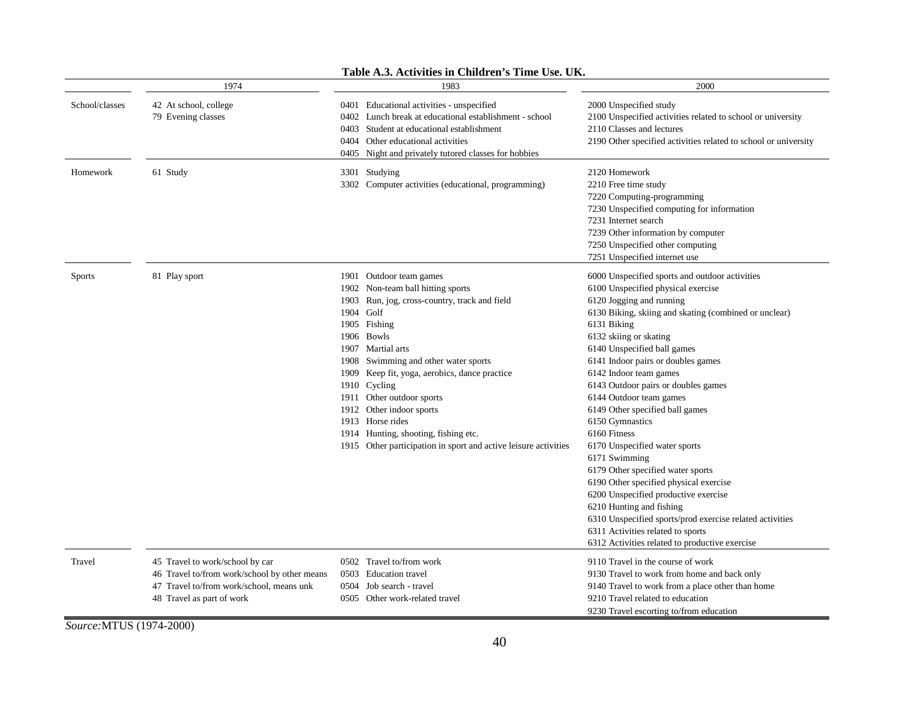|                | 1974                                                                                                                                                     | 1983                                                                                                                                                                                                                                                                                                                                                                                                                                                                              | 2000                                                                                                                                                                                                                                                                                                                                                                                                                                                                                                                                                                                                                                                                                                                                                                                                              |
|----------------|----------------------------------------------------------------------------------------------------------------------------------------------------------|-----------------------------------------------------------------------------------------------------------------------------------------------------------------------------------------------------------------------------------------------------------------------------------------------------------------------------------------------------------------------------------------------------------------------------------------------------------------------------------|-------------------------------------------------------------------------------------------------------------------------------------------------------------------------------------------------------------------------------------------------------------------------------------------------------------------------------------------------------------------------------------------------------------------------------------------------------------------------------------------------------------------------------------------------------------------------------------------------------------------------------------------------------------------------------------------------------------------------------------------------------------------------------------------------------------------|
| School/classes | 42 At school, college<br>79 Evening classes                                                                                                              | 0401 Educational activities - unspecified<br>Lunch break at educational establishment - school<br>0402<br>0403 Student at educational establishment<br>0404 Other educational activities<br>0405<br>Night and privately tutored classes for hobbies                                                                                                                                                                                                                               | 2000 Unspecified study<br>2100 Unspecified activities related to school or university<br>2110 Classes and lectures<br>2190 Other specified activities related to school or university                                                                                                                                                                                                                                                                                                                                                                                                                                                                                                                                                                                                                             |
| Homework       | 61 Study                                                                                                                                                 | 3301 Studying<br>3302 Computer activities (educational, programming)                                                                                                                                                                                                                                                                                                                                                                                                              | 2120 Homework<br>2210 Free time study<br>7220 Computing-programming<br>7230 Unspecified computing for information<br>7231 Internet search<br>7239 Other information by computer<br>7250 Unspecified other computing<br>7251 Unspecified internet use                                                                                                                                                                                                                                                                                                                                                                                                                                                                                                                                                              |
| <b>Sports</b>  | 81 Play sport                                                                                                                                            | 1901 Outdoor team games<br>1902 Non-team ball hitting sports<br>Run, jog, cross-country, track and field<br>1903<br>1904 Golf<br>1905 Fishing<br>1906 Bowls<br>1907 Martial arts<br>1908 Swimming and other water sports<br>1909 Keep fit, yoga, aerobics, dance practice<br>1910 Cycling<br>1911 Other outdoor sports<br>1912 Other indoor sports<br>1913 Horse rides<br>1914 Hunting, shooting, fishing etc.<br>1915 Other participation in sport and active leisure activities | 6000 Unspecified sports and outdoor activities<br>6100 Unspecified physical exercise<br>6120 Jogging and running<br>6130 Biking, skiing and skating (combined or unclear)<br>6131 Biking<br>6132 skiing or skating<br>6140 Unspecified ball games<br>6141 Indoor pairs or doubles games<br>6142 Indoor team games<br>6143 Outdoor pairs or doubles games<br>6144 Outdoor team games<br>6149 Other specified ball games<br>6150 Gymnastics<br>6160 Fitness<br>6170 Unspecified water sports<br>6171 Swimming<br>6179 Other specified water sports<br>6190 Other specified physical exercise<br>6200 Unspecified productive exercise<br>6210 Hunting and fishing<br>6310 Unspecified sports/prod exercise related activities<br>6311 Activities related to sports<br>6312 Activities related to productive exercise |
| Travel         | 45 Travel to work/school by car<br>46 Travel to/from work/school by other means<br>47 Travel to/from work/school, means unk<br>48 Travel as part of work | 0502 Travel to/from work<br>0503<br><b>Education travel</b><br>0504<br>Job search - travel<br>0505 Other work-related travel                                                                                                                                                                                                                                                                                                                                                      | 9110 Travel in the course of work<br>9130 Travel to work from home and back only<br>9140 Travel to work from a place other than home<br>9210 Travel related to education<br>9230 Travel escorting to/from education                                                                                                                                                                                                                                                                                                                                                                                                                                                                                                                                                                                               |

#### **Table A.3. Activities in Children's Time Use. UK.**

*Source:*MTUS (1974-2000)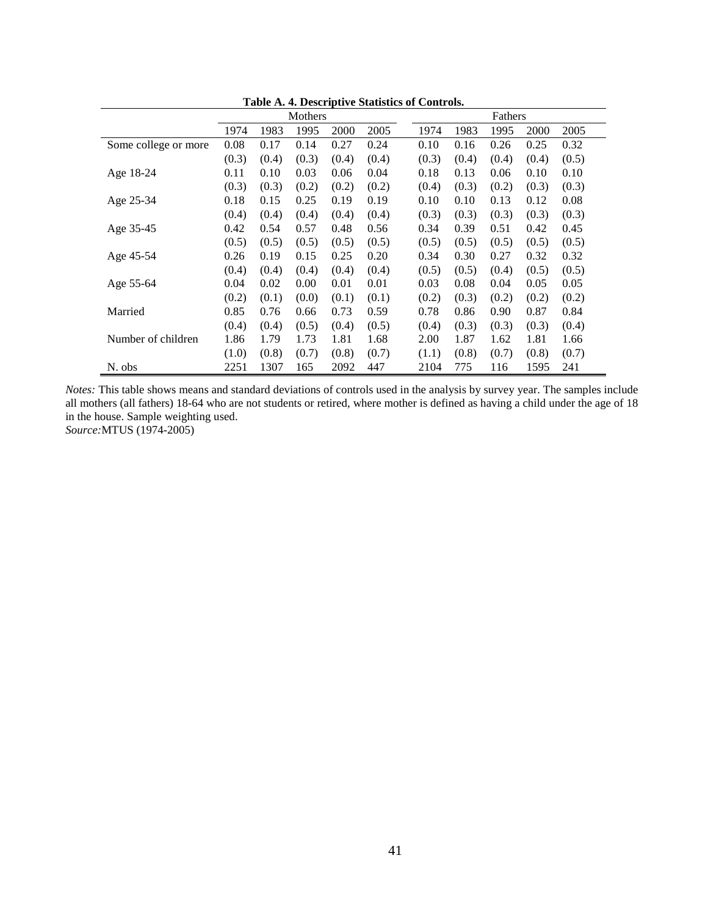|                      | Mothers |       |       |       | Fathers |       |       |       |       |       |
|----------------------|---------|-------|-------|-------|---------|-------|-------|-------|-------|-------|
|                      | 1974    | 1983  | 1995  | 2000  | 2005    | 1974  | 1983  | 1995  | 2000  | 2005  |
| Some college or more | 0.08    | 0.17  | 0.14  | 0.27  | 0.24    | 0.10  | 0.16  | 0.26  | 0.25  | 0.32  |
|                      | (0.3)   | (0.4) | (0.3) | (0.4) | (0.4)   | (0.3) | (0.4) | (0.4) | (0.4) | (0.5) |
| Age 18-24            | 0.11    | 0.10  | 0.03  | 0.06  | 0.04    | 0.18  | 0.13  | 0.06  | 0.10  | 0.10  |
|                      | (0.3)   | (0.3) | (0.2) | (0.2) | (0.2)   | (0.4) | (0.3) | (0.2) | (0.3) | (0.3) |
| Age 25-34            | 0.18    | 0.15  | 0.25  | 0.19  | 0.19    | 0.10  | 0.10  | 0.13  | 0.12  | 0.08  |
|                      | (0.4)   | (0.4) | (0.4) | (0.4) | (0.4)   | (0.3) | (0.3) | (0.3) | (0.3) | (0.3) |
| Age 35-45            | 0.42    | 0.54  | 0.57  | 0.48  | 0.56    | 0.34  | 0.39  | 0.51  | 0.42  | 0.45  |
|                      | (0.5)   | (0.5) | (0.5) | (0.5) | (0.5)   | (0.5) | (0.5) | (0.5) | (0.5) | (0.5) |
| Age 45-54            | 0.26    | 0.19  | 0.15  | 0.25  | 0.20    | 0.34  | 0.30  | 0.27  | 0.32  | 0.32  |
|                      | (0.4)   | (0.4) | (0.4) | (0.4) | (0.4)   | (0.5) | (0.5) | (0.4) | (0.5) | (0.5) |
| Age 55-64            | 0.04    | 0.02  | 0.00  | 0.01  | 0.01    | 0.03  | 0.08  | 0.04  | 0.05  | 0.05  |
|                      | (0.2)   | (0.1) | (0.0) | (0.1) | (0.1)   | (0.2) | (0.3) | (0.2) | (0.2) | (0.2) |
| Married              | 0.85    | 0.76  | 0.66  | 0.73  | 0.59    | 0.78  | 0.86  | 0.90  | 0.87  | 0.84  |
|                      | (0.4)   | (0.4) | (0.5) | (0.4) | (0.5)   | (0.4) | (0.3) | (0.3) | (0.3) | (0.4) |
| Number of children   | 1.86    | 1.79  | 1.73  | 1.81  | 1.68    | 2.00  | 1.87  | 1.62  | 1.81  | 1.66  |
|                      | (1.0)   | (0.8) | (0.7) | (0.8) | (0.7)   | (1.1) | (0.8) | (0.7) | (0.8) | (0.7) |
| N. obs               | 2251    | 1307  | 165   | 2092  | 447     | 2104  | 775   | 116   | 1595  | 241   |

**Table A. 4. Descriptive Statistics of Controls.**

*Notes:* This table shows means and standard deviations of controls used in the analysis by survey year. The samples include all mothers (all fathers) 18-64 who are not students or retired, where mother is defined as having a child under the age of 18 in the house. Sample weighting used.

*Source:*MTUS (1974-2005)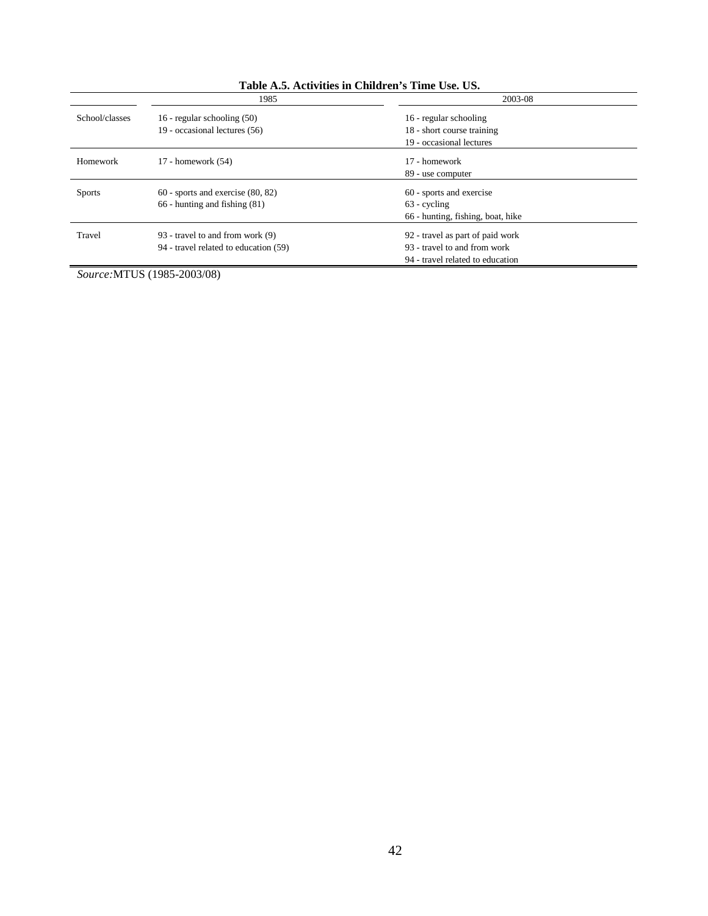|                | 1985                                                                       | 2003-08                                                                                              |  |
|----------------|----------------------------------------------------------------------------|------------------------------------------------------------------------------------------------------|--|
| School/classes | 16 - regular schooling (50)                                                | 16 - regular schooling                                                                               |  |
|                | 19 - occasional lectures (56)                                              | 18 - short course training                                                                           |  |
|                |                                                                            | 19 - occasional lectures                                                                             |  |
| Homework       | 17 - homework $(54)$                                                       | 17 - homework<br>89 - use computer                                                                   |  |
| <b>Sports</b>  | $60$ - sports and exercise $(80, 82)$<br>$66$ - hunting and fishing $(81)$ | 60 - sports and exercise<br>$63$ - cycling<br>66 - hunting, fishing, boat, hike                      |  |
| Travel         | 93 - travel to and from work (9)<br>94 - travel related to education (59)  | 92 - travel as part of paid work<br>93 - travel to and from work<br>94 - travel related to education |  |

### **Table A.5. Activities in Children's Time Use. US.**

*Source:*MTUS (1985-2003/08)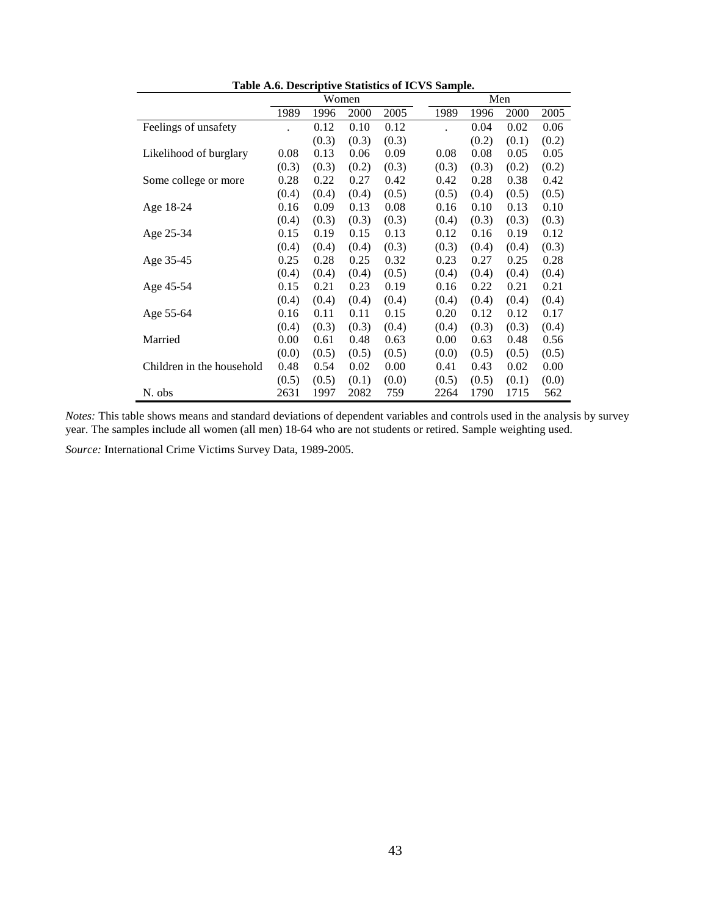|                           |       |       |       |       | Table A.O. Descriptive biatistics of IC vD bampic. |       |       |       |
|---------------------------|-------|-------|-------|-------|----------------------------------------------------|-------|-------|-------|
|                           |       | Women |       |       | Men                                                |       |       |       |
|                           | 1989  | 1996  | 2000  | 2005  | 1989                                               | 1996  | 2000  | 2005  |
| Feelings of unsafety      |       | 0.12  | 0.10  | 0.12  |                                                    | 0.04  | 0.02  | 0.06  |
|                           |       | (0.3) | (0.3) | (0.3) |                                                    | (0.2) | (0.1) | (0.2) |
| Likelihood of burglary    | 0.08  | 0.13  | 0.06  | 0.09  | 0.08                                               | 0.08  | 0.05  | 0.05  |
|                           | (0.3) | (0.3) | (0.2) | (0.3) | (0.3)                                              | (0.3) | (0.2) | (0.2) |
| Some college or more      | 0.28  | 0.22  | 0.27  | 0.42  | 0.42                                               | 0.28  | 0.38  | 0.42  |
|                           | (0.4) | (0.4) | (0.4) | (0.5) | (0.5)                                              | (0.4) | (0.5) | (0.5) |
| Age 18-24                 | 0.16  | 0.09  | 0.13  | 0.08  | 0.16                                               | 0.10  | 0.13  | 0.10  |
|                           | (0.4) | (0.3) | (0.3) | (0.3) | (0.4)                                              | (0.3) | (0.3) | (0.3) |
| Age 25-34                 | 0.15  | 0.19  | 0.15  | 0.13  | 0.12                                               | 0.16  | 0.19  | 0.12  |
|                           | (0.4) | (0.4) | (0.4) | (0.3) | (0.3)                                              | (0.4) | (0.4) | (0.3) |
| Age 35-45                 | 0.25  | 0.28  | 0.25  | 0.32  | 0.23                                               | 0.27  | 0.25  | 0.28  |
|                           | (0.4) | (0.4) | (0.4) | (0.5) | (0.4)                                              | (0.4) | (0.4) | (0.4) |
| Age 45-54                 | 0.15  | 0.21  | 0.23  | 0.19  | 0.16                                               | 0.22  | 0.21  | 0.21  |
|                           | (0.4) | (0.4) | (0.4) | (0.4) | (0.4)                                              | (0.4) | (0.4) | (0.4) |
| Age 55-64                 | 0.16  | 0.11  | 0.11  | 0.15  | 0.20                                               | 0.12  | 0.12  | 0.17  |
|                           | (0.4) | (0.3) | (0.3) | (0.4) | (0.4)                                              | (0.3) | (0.3) | (0.4) |
| Married                   | 0.00  | 0.61  | 0.48  | 0.63  | 0.00                                               | 0.63  | 0.48  | 0.56  |
|                           | (0.0) | (0.5) | (0.5) | (0.5) | (0.0)                                              | (0.5) | (0.5) | (0.5) |
| Children in the household | 0.48  | 0.54  | 0.02  | 0.00  | 0.41                                               | 0.43  | 0.02  | 0.00  |
|                           | (0.5) | (0.5) | (0.1) | (0.0) | (0.5)                                              | (0.5) | (0.1) | (0.0) |
| N. obs                    | 2631  | 1997  | 2082  | 759   | 2264                                               | 1790  | 1715  | 562   |

**Table A.6. Descriptive Statistics of ICVS Sample.**

*Notes:* This table shows means and standard deviations of dependent variables and controls used in the analysis by survey year. The samples include all women (all men) 18-64 who are not students or retired. Sample weighting used.

*Source:* International Crime Victims Survey Data, 1989-2005.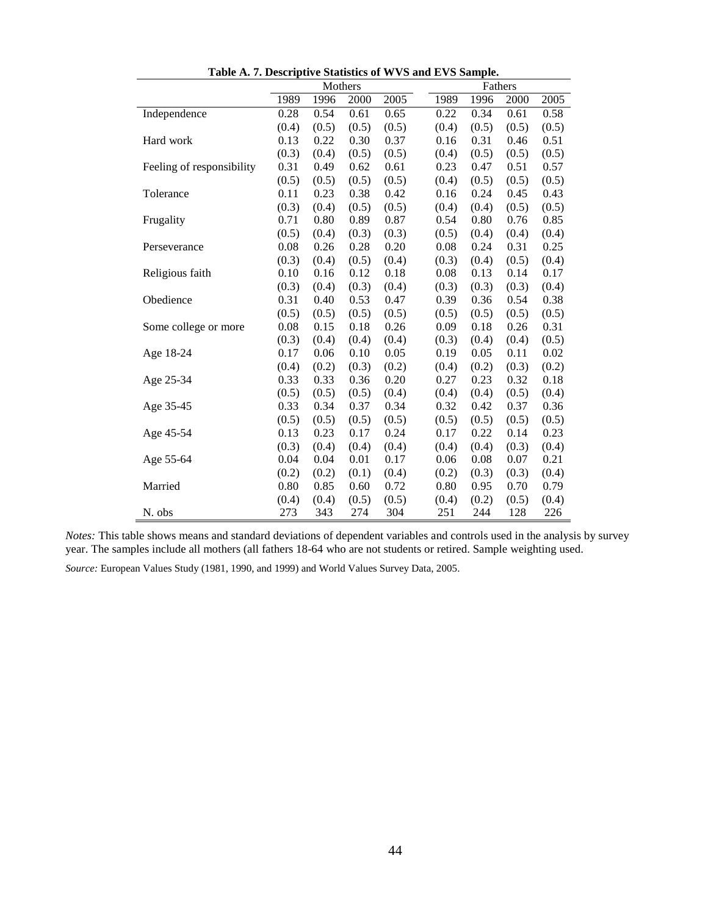|                           | rabic $A$ . T. Descriptive biatistics or $W$ O and E $W$ bampic.<br>Mothers<br>Fathers |       |       |       |       |       |       |       |
|---------------------------|----------------------------------------------------------------------------------------|-------|-------|-------|-------|-------|-------|-------|
|                           | 1989                                                                                   | 1996  | 2000  | 2005  | 1989  | 1996  | 2000  | 2005  |
|                           |                                                                                        |       |       |       |       |       |       |       |
| Independence              | 0.28                                                                                   | 0.54  | 0.61  | 0.65  | 0.22  | 0.34  | 0.61  | 0.58  |
|                           | (0.4)                                                                                  | (0.5) | (0.5) | (0.5) | (0.4) | (0.5) | (0.5) | (0.5) |
| Hard work                 | 0.13                                                                                   | 0.22  | 0.30  | 0.37  | 0.16  | 0.31  | 0.46  | 0.51  |
|                           | (0.3)                                                                                  | (0.4) | (0.5) | (0.5) | (0.4) | (0.5) | (0.5) | (0.5) |
| Feeling of responsibility | 0.31                                                                                   | 0.49  | 0.62  | 0.61  | 0.23  | 0.47  | 0.51  | 0.57  |
|                           | (0.5)                                                                                  | (0.5) | (0.5) | (0.5) | (0.4) | (0.5) | (0.5) | (0.5) |
| Tolerance                 | 0.11                                                                                   | 0.23  | 0.38  | 0.42  | 0.16  | 0.24  | 0.45  | 0.43  |
|                           | (0.3)                                                                                  | (0.4) | (0.5) | (0.5) | (0.4) | (0.4) | (0.5) | (0.5) |
| Frugality                 | 0.71                                                                                   | 0.80  | 0.89  | 0.87  | 0.54  | 0.80  | 0.76  | 0.85  |
|                           | (0.5)                                                                                  | (0.4) | (0.3) | (0.3) | (0.5) | (0.4) | (0.4) | (0.4) |
| Perseverance              | 0.08                                                                                   | 0.26  | 0.28  | 0.20  | 0.08  | 0.24  | 0.31  | 0.25  |
|                           | (0.3)                                                                                  | (0.4) | (0.5) | (0.4) | (0.3) | (0.4) | (0.5) | (0.4) |
| Religious faith           | 0.10                                                                                   | 0.16  | 0.12  | 0.18  | 0.08  | 0.13  | 0.14  | 0.17  |
|                           | (0.3)                                                                                  | (0.4) | (0.3) | (0.4) | (0.3) | (0.3) | (0.3) | (0.4) |
| Obedience                 | 0.31                                                                                   | 0.40  | 0.53  | 0.47  | 0.39  | 0.36  | 0.54  | 0.38  |
|                           | (0.5)                                                                                  | (0.5) | (0.5) | (0.5) | (0.5) | (0.5) | (0.5) | (0.5) |
| Some college or more      | 0.08                                                                                   | 0.15  | 0.18  | 0.26  | 0.09  | 0.18  | 0.26  | 0.31  |
|                           | (0.3)                                                                                  | (0.4) | (0.4) | (0.4) | (0.3) | (0.4) | (0.4) | (0.5) |
| Age 18-24                 | 0.17                                                                                   | 0.06  | 0.10  | 0.05  | 0.19  | 0.05  | 0.11  | 0.02  |
|                           | (0.4)                                                                                  | (0.2) | (0.3) | (0.2) | (0.4) | (0.2) | (0.3) | (0.2) |
| Age 25-34                 | 0.33                                                                                   | 0.33  | 0.36  | 0.20  | 0.27  | 0.23  | 0.32  | 0.18  |
|                           | (0.5)                                                                                  | (0.5) | (0.5) | (0.4) | (0.4) | (0.4) | (0.5) | (0.4) |
| Age 35-45                 | 0.33                                                                                   | 0.34  | 0.37  | 0.34  | 0.32  | 0.42  | 0.37  | 0.36  |
|                           | (0.5)                                                                                  | (0.5) | (0.5) | (0.5) | (0.5) | (0.5) | (0.5) | (0.5) |
| Age 45-54                 | 0.13                                                                                   | 0.23  | 0.17  | 0.24  | 0.17  | 0.22  | 0.14  | 0.23  |
|                           | (0.3)                                                                                  | (0.4) | (0.4) | (0.4) | (0.4) | (0.4) | (0.3) | (0.4) |
| Age 55-64                 | 0.04                                                                                   | 0.04  | 0.01  | 0.17  | 0.06  | 0.08  | 0.07  | 0.21  |
|                           | (0.2)                                                                                  | (0.2) | (0.1) | (0.4) | (0.2) | (0.3) | (0.3) | (0.4) |
| Married                   | 0.80                                                                                   | 0.85  | 0.60  | 0.72  | 0.80  | 0.95  | 0.70  | 0.79  |
|                           | (0.4)                                                                                  | (0.4) | (0.5) | (0.5) | (0.4) | (0.2) | (0.5) | (0.4) |
| N. obs                    | 273                                                                                    | 343   | 274   | 304   | 251   | 244   | 128   | 226   |

**Table A. 7. Descriptive Statistics of WVS and EVS Sample.**

*Notes:* This table shows means and standard deviations of dependent variables and controls used in the analysis by survey year. The samples include all mothers (all fathers 18-64 who are not students or retired. Sample weighting used.

*Source:* European Values Study (1981, 1990, and 1999) and World Values Survey Data, 2005.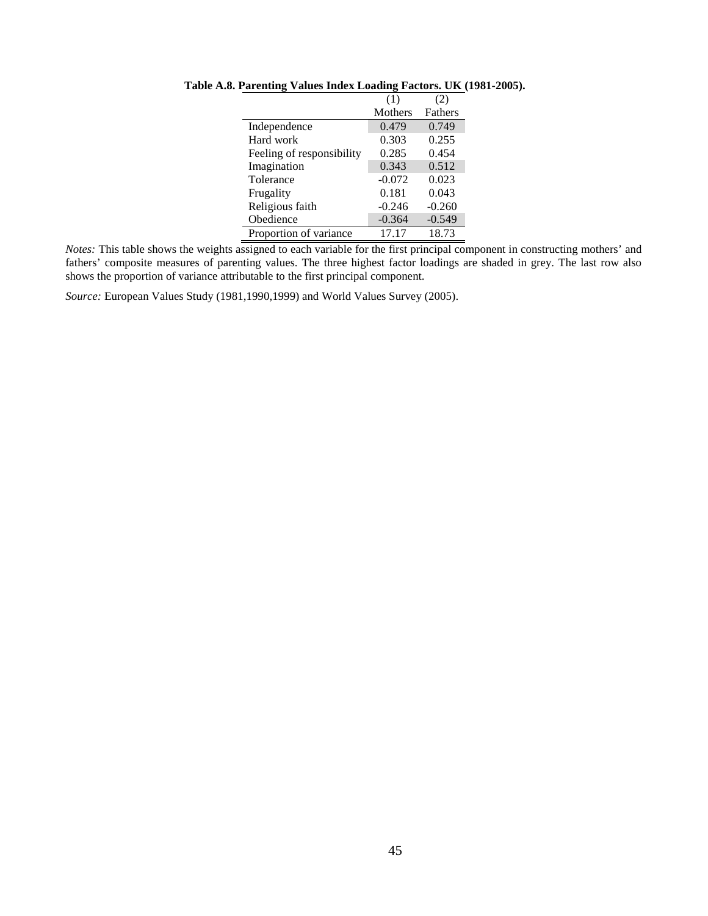|                           | (1)      | (2)            |
|---------------------------|----------|----------------|
|                           | Mothers  | <b>Fathers</b> |
| Independence              | 0.479    | 0.749          |
| Hard work                 | 0.303    | 0.255          |
| Feeling of responsibility | 0.285    | 0.454          |
| Imagination               | 0.343    | 0.512          |
| Tolerance                 | $-0.072$ | 0.023          |
| Frugality                 | 0.181    | 0.043          |
| Religious faith           | $-0.246$ | $-0.260$       |
| Obedience                 | $-0.364$ | $-0.549$       |
| Proportion of variance    | 17.17    | 18.73          |

**Table A.8. Parenting Values Index Loading Factors. UK (1981-2005).**

*Notes:* This table shows the weights assigned to each variable for the first principal component in constructing mothers' and fathers' composite measures of parenting values. The three highest factor loadings are shaded in grey. The last row also shows the proportion of variance attributable to the first principal component.

*Source:* European Values Study (1981,1990,1999) and World Values Survey (2005).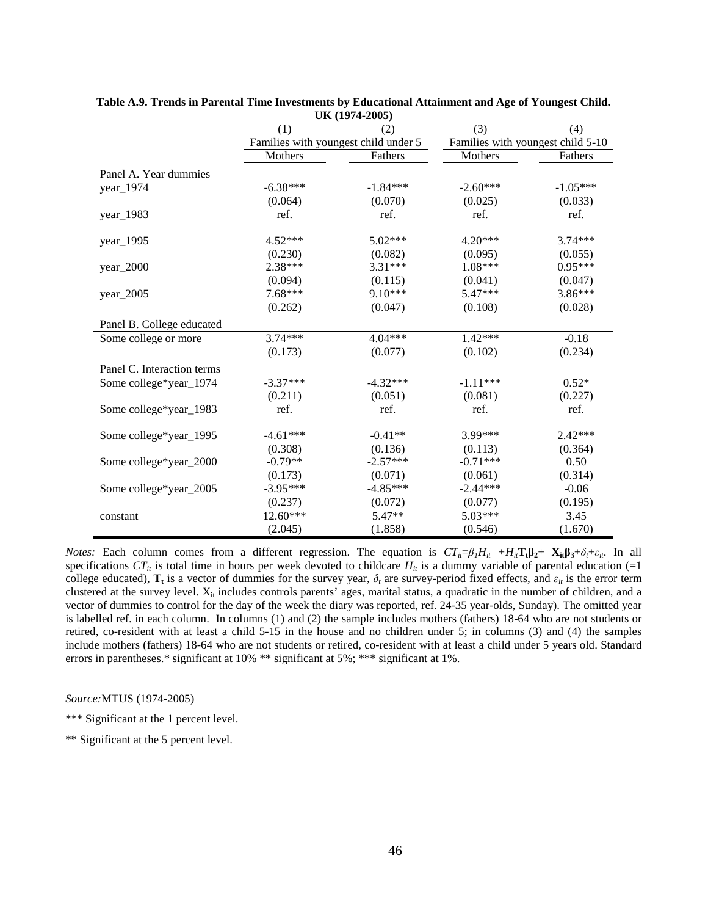| UN (1974-2003) |            |                                      |                                   |  |  |  |  |  |  |  |  |
|----------------|------------|--------------------------------------|-----------------------------------|--|--|--|--|--|--|--|--|
| (1)            | (2)        | (3)                                  | (4)                               |  |  |  |  |  |  |  |  |
|                |            |                                      | Families with youngest child 5-10 |  |  |  |  |  |  |  |  |
| Mothers        | Fathers    | Mothers                              | Fathers                           |  |  |  |  |  |  |  |  |
|                |            |                                      |                                   |  |  |  |  |  |  |  |  |
| $-6.38***$     | $-1.84***$ | $-2.60***$                           | $-1.05***$                        |  |  |  |  |  |  |  |  |
| (0.064)        | (0.070)    | (0.025)                              | (0.033)                           |  |  |  |  |  |  |  |  |
| ref.           | ref.       | ref.                                 | ref.                              |  |  |  |  |  |  |  |  |
| 4.52***        | $5.02***$  | 4.20***                              | $3.74***$                         |  |  |  |  |  |  |  |  |
| (0.230)        | (0.082)    | (0.095)                              | (0.055)                           |  |  |  |  |  |  |  |  |
| 2.38***        | $3.31***$  | $1.08***$                            | $0.95***$                         |  |  |  |  |  |  |  |  |
| (0.094)        | (0.115)    | (0.041)                              | (0.047)                           |  |  |  |  |  |  |  |  |
| 7.68***        | $9.10***$  | $5.47***$                            | 3.86***                           |  |  |  |  |  |  |  |  |
| (0.262)        | (0.047)    | (0.108)                              | (0.028)                           |  |  |  |  |  |  |  |  |
|                |            |                                      |                                   |  |  |  |  |  |  |  |  |
| $3.74***$      | $4.04***$  | $1.42***$                            | $-0.18$                           |  |  |  |  |  |  |  |  |
| (0.173)        | (0.077)    | (0.102)                              | (0.234)                           |  |  |  |  |  |  |  |  |
|                |            |                                      |                                   |  |  |  |  |  |  |  |  |
| $-3.37***$     | $-4.32***$ | $-1.11***$                           | $0.52*$                           |  |  |  |  |  |  |  |  |
| (0.211)        | (0.051)    | (0.081)                              | (0.227)                           |  |  |  |  |  |  |  |  |
|                | ref.       | ref.                                 | ref.                              |  |  |  |  |  |  |  |  |
| $-4.61***$     | $-0.41**$  | 3.99***                              | $2.42***$                         |  |  |  |  |  |  |  |  |
| (0.308)        | (0.136)    |                                      | (0.364)                           |  |  |  |  |  |  |  |  |
| $-0.79**$      | $-2.57***$ | $-0.71***$                           | 0.50                              |  |  |  |  |  |  |  |  |
| (0.173)        | (0.071)    | (0.061)                              | (0.314)                           |  |  |  |  |  |  |  |  |
| $-3.95***$     | $-4.85***$ | $-2.44***$                           | $-0.06$                           |  |  |  |  |  |  |  |  |
| (0.237)        | (0.072)    | (0.077)                              | (0.195)                           |  |  |  |  |  |  |  |  |
| $12.60***$     | $5.47**$   | $5.03***$                            | 3.45                              |  |  |  |  |  |  |  |  |
| (2.045)        | (1.858)    | (0.546)                              | (1.670)                           |  |  |  |  |  |  |  |  |
|                | ref.       | Families with youngest child under 5 | (0.113)                           |  |  |  |  |  |  |  |  |

**Table A.9. Trends in Parental Time Investments by Educational Attainment and Age of Youngest Child. UK (1974-2005)**

*Notes:* Each column comes from a different regression. The equation is  $CT_i = \beta_1 H_i t + H_i t \mathbf{I}_t \mathbf{B}_2 + \mathbf{X}_i t \mathbf{B}_3 + \delta_t + \varepsilon_i t$ . In all specifications  $CT_{it}$  is total time in hours per week devoted to childcare  $H_{it}$  is a dummy variable of parental education (=1 college educated),  $T_t$  is a vector of dummies for the survey year,  $\delta_t$  are survey-period fixed effects, and  $\varepsilon_{it}$  is the error term clustered at the survey level.  $X_{it}$  includes controls parents' ages, marital status, a quadratic in the number of children, and a vector of dummies to control for the day of the week the diary was reported, ref. 24-35 year-olds, Sunday). The omitted year is labelled ref. in each column. In columns (1) and (2) the sample includes mothers (fathers) 18-64 who are not students or retired, co-resident with at least a child 5-15 in the house and no children under 5; in columns (3) and (4) the samples include mothers (fathers) 18-64 who are not students or retired, co-resident with at least a child under 5 years old. Standard errors in parentheses.\* significant at 10% \*\* significant at 5%; \*\*\* significant at 1%.

*Source:*MTUS (1974-2005)

\*\*\* Significant at the 1 percent level.

\*\* Significant at the 5 percent level.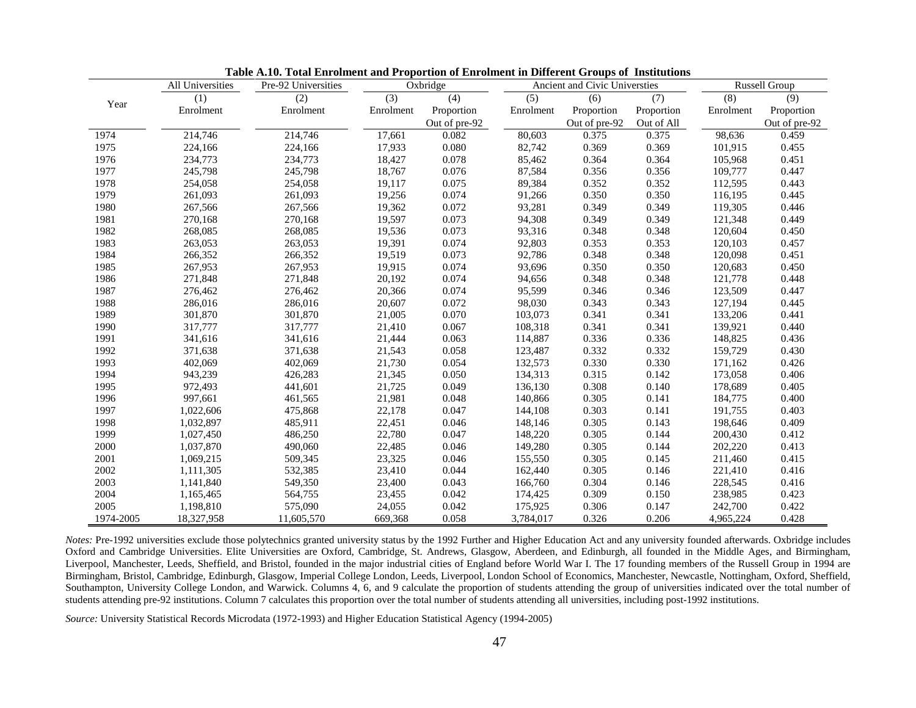|           | All Universities | Pre-92 Universities | Oxbridge  |               |           | Ancient and Civic Universties | <b>Russell Group</b> |           |                  |
|-----------|------------------|---------------------|-----------|---------------|-----------|-------------------------------|----------------------|-----------|------------------|
|           | (1)              | (2)                 | (3)       | (4)           | (5)       | (6)                           | (7)                  | (8)       | $\overline{(9)}$ |
| Year      | Enrolment        | Enrolment           | Enrolment | Proportion    | Enrolment | Proportion                    | Proportion           | Enrolment | Proportion       |
|           |                  |                     |           | Out of pre-92 |           | Out of pre-92                 | Out of All           |           | Out of pre-92    |
| 1974      | 214,746          | 214,746             | 17,661    | 0.082         | 80,603    | 0.375                         | 0.375                | 98,636    | 0.459            |
| 1975      | 224,166          | 224,166             | 17,933    | 0.080         | 82,742    | 0.369                         | 0.369                | 101,915   | 0.455            |
| 1976      | 234,773          | 234,773             | 18,427    | 0.078         | 85,462    | 0.364                         | 0.364                | 105,968   | 0.451            |
| 1977      | 245,798          | 245,798             | 18,767    | 0.076         | 87,584    | 0.356                         | 0.356                | 109,777   | 0.447            |
| 1978      | 254,058          | 254,058             | 19,117    | 0.075         | 89,384    | 0.352                         | 0.352                | 112,595   | 0.443            |
| 1979      | 261,093          | 261,093             | 19,256    | 0.074         | 91,266    | 0.350                         | 0.350                | 116,195   | 0.445            |
| 1980      | 267,566          | 267,566             | 19,362    | 0.072         | 93,281    | 0.349                         | 0.349                | 119,305   | 0.446            |
| 1981      | 270,168          | 270,168             | 19,597    | 0.073         | 94,308    | 0.349                         | 0.349                | 121,348   | 0.449            |
| 1982      | 268,085          | 268,085             | 19,536    | 0.073         | 93,316    | 0.348                         | 0.348                | 120,604   | 0.450            |
| 1983      | 263,053          | 263,053             | 19,391    | 0.074         | 92,803    | 0.353                         | 0.353                | 120,103   | 0.457            |
| 1984      | 266,352          | 266,352             | 19,519    | 0.073         | 92,786    | 0.348                         | 0.348                | 120,098   | 0.451            |
| 1985      | 267,953          | 267,953             | 19,915    | 0.074         | 93,696    | 0.350                         | 0.350                | 120,683   | 0.450            |
| 1986      | 271,848          | 271,848             | 20,192    | 0.074         | 94,656    | 0.348                         | 0.348                | 121,778   | 0.448            |
| 1987      | 276,462          | 276,462             | 20,366    | 0.074         | 95,599    | 0.346                         | 0.346                | 123,509   | 0.447            |
| 1988      | 286,016          | 286,016             | 20,607    | 0.072         | 98,030    | 0.343                         | 0.343                | 127,194   | 0.445            |
| 1989      | 301,870          | 301,870             | 21,005    | 0.070         | 103,073   | 0.341                         | 0.341                | 133,206   | 0.441            |
| 1990      | 317,777          | 317,777             | 21,410    | 0.067         | 108,318   | 0.341                         | 0.341                | 139,921   | 0.440            |
| 1991      | 341,616          | 341,616             | 21,444    | 0.063         | 114,887   | 0.336                         | 0.336                | 148,825   | 0.436            |
| 1992      | 371,638          | 371,638             | 21,543    | 0.058         | 123,487   | 0.332                         | 0.332                | 159,729   | 0.430            |
| 1993      | 402,069          | 402,069             | 21,730    | 0.054         | 132,573   | 0.330                         | 0.330                | 171,162   | 0.426            |
| 1994      | 943,239          | 426,283             | 21,345    | 0.050         | 134,313   | 0.315                         | 0.142                | 173,058   | 0.406            |
| 1995      | 972,493          | 441,601             | 21,725    | 0.049         | 136,130   | 0.308                         | 0.140                | 178,689   | 0.405            |
| 1996      | 997,661          | 461,565             | 21,981    | 0.048         | 140,866   | 0.305                         | 0.141                | 184,775   | 0.400            |
| 1997      | 1,022,606        | 475,868             | 22,178    | 0.047         | 144,108   | 0.303                         | 0.141                | 191,755   | 0.403            |
| 1998      | 1,032,897        | 485,911             | 22,451    | 0.046         | 148,146   | 0.305                         | 0.143                | 198,646   | 0.409            |
| 1999      | 1,027,450        | 486,250             | 22,780    | 0.047         | 148,220   | 0.305                         | 0.144                | 200,430   | 0.412            |
| 2000      | 1,037,870        | 490,060             | 22,485    | 0.046         | 149,280   | 0.305                         | 0.144                | 202,220   | 0.413            |
| 2001      | 1,069,215        | 509,345             | 23,325    | 0.046         | 155,550   | 0.305                         | 0.145                | 211,460   | 0.415            |
| 2002      | 1,111,305        | 532,385             | 23,410    | 0.044         | 162,440   | 0.305                         | 0.146                | 221,410   | 0.416            |
| 2003      | 1,141,840        | 549,350             | 23,400    | 0.043         | 166,760   | 0.304                         | 0.146                | 228,545   | 0.416            |
| 2004      | 1,165,465        | 564,755             | 23,455    | 0.042         | 174,425   | 0.309                         | 0.150                | 238,985   | 0.423            |
| 2005      | 1,198,810        | 575,090             | 24,055    | 0.042         | 175,925   | 0.306                         | 0.147                | 242,700   | 0.422            |
| 1974-2005 | 18,327,958       | 11,605,570          | 669,368   | 0.058         | 3,784,017 | 0.326                         | 0.206                | 4,965,224 | 0.428            |

**Table A.10. Total Enrolment and Proportion of Enrolment in Different Groups of Institutions**

*Notes:* Pre-1992 universities exclude those polytechnics granted university status by the 1992 Further and Higher Education Act and any university founded afterwards. Oxbridge includes Oxford and Cambridge Universities. Elite Universities are Oxford, Cambridge, St. Andrews, Glasgow, Aberdeen, and Edinburgh, all founded in the Middle Ages, and Birmingham, Liverpool, Manchester, Leeds, Sheffield, and Bristol, founded in the major industrial cities of England before World War I. The 17 founding members of the Russell Group in 1994 are Birmingham, Bristol, Cambridge, Edinburgh, Glasgow, Imperial College London, Leeds, Liverpool, London School of Economics, Manchester, Newcastle, Nottingham, Oxford, Sheffield, Southampton, University College London, and Warwick. Columns 4, 6, and 9 calculate the proportion of students attending the group of universities indicated over the total number of students attending pre-92 institutions. Column 7 calculates this proportion over the total number of students attending all universities, including post-1992 institutions.

*Source:* University Statistical Records Microdata (1972-1993) and Higher Education Statistical Agency (1994-2005)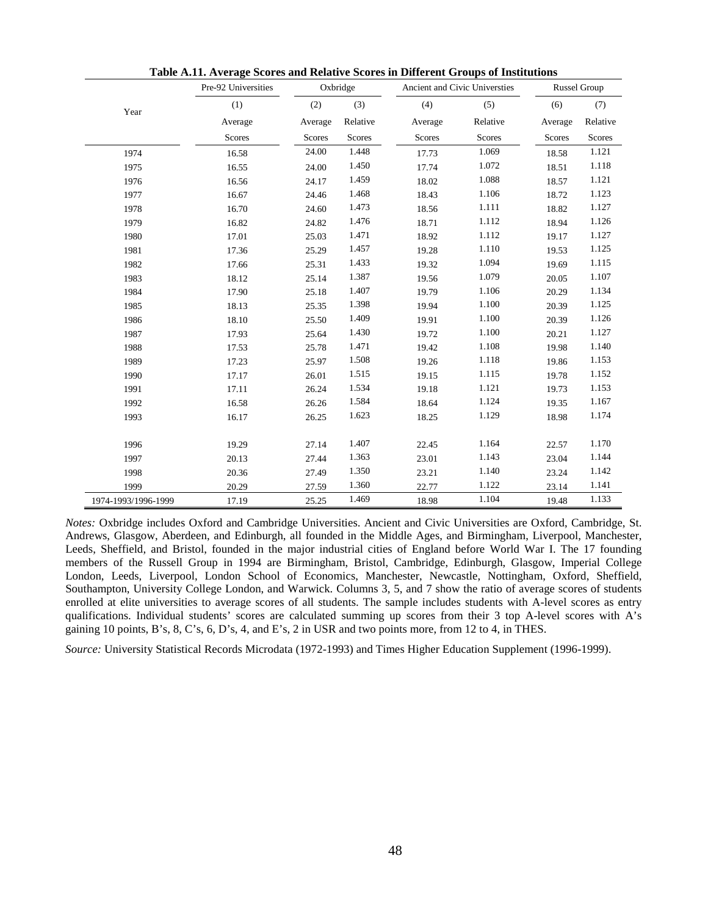|                     | Pre-92 Universities |         | Oxbridge |               | Ancient and Civic Universties |         | <b>Russel Group</b> |
|---------------------|---------------------|---------|----------|---------------|-------------------------------|---------|---------------------|
| Year                | (1)                 | (2)     | (3)      | (4)           | (5)                           | (6)     | (7)                 |
|                     | Average             | Average | Relative | Average       | Relative                      | Average | Relative            |
|                     | Scores              | Scores  | Scores   | <b>Scores</b> | <b>Scores</b>                 | Scores  | Scores              |
| 1974                | 16.58               | 24.00   | 1.448    | 17.73         | 1.069                         | 18.58   | 1.121               |
| 1975                | 16.55               | 24.00   | 1.450    | 17.74         | 1.072                         | 18.51   | 1.118               |
| 1976                | 16.56               | 24.17   | 1.459    | 18.02         | 1.088                         | 18.57   | 1.121               |
| 1977                | 16.67               | 24.46   | 1.468    | 18.43         | 1.106                         | 18.72   | 1.123               |
| 1978                | 16.70               | 24.60   | 1.473    | 18.56         | 1.111                         | 18.82   | 1.127               |
| 1979                | 16.82               | 24.82   | 1.476    | 18.71         | 1.112                         | 18.94   | 1.126               |
| 1980                | 17.01               | 25.03   | 1.471    | 18.92         | 1.112                         | 19.17   | 1.127               |
| 1981                | 17.36               | 25.29   | 1.457    | 19.28         | 1.110                         | 19.53   | 1.125               |
| 1982                | 17.66               | 25.31   | 1.433    | 19.32         | 1.094                         | 19.69   | 1.115               |
| 1983                | 18.12               | 25.14   | 1.387    | 19.56         | 1.079                         | 20.05   | 1.107               |
| 1984                | 17.90               | 25.18   | 1.407    | 19.79         | 1.106                         | 20.29   | 1.134               |
| 1985                | 18.13               | 25.35   | 1.398    | 19.94         | 1.100                         | 20.39   | 1.125               |
| 1986                | 18.10               | 25.50   | 1.409    | 19.91         | 1.100                         | 20.39   | 1.126               |
| 1987                | 17.93               | 25.64   | 1.430    | 19.72         | 1.100                         | 20.21   | 1.127               |
| 1988                | 17.53               | 25.78   | 1.471    | 19.42         | 1.108                         | 19.98   | 1.140               |
| 1989                | 17.23               | 25.97   | 1.508    | 19.26         | 1.118                         | 19.86   | 1.153               |
| 1990                | 17.17               | 26.01   | 1.515    | 19.15         | 1.115                         | 19.78   | 1.152               |
| 1991                | 17.11               | 26.24   | 1.534    | 19.18         | 1.121                         | 19.73   | 1.153               |
| 1992                | 16.58               | 26.26   | 1.584    | 18.64         | 1.124                         | 19.35   | 1.167               |
| 1993                | 16.17               | 26.25   | 1.623    | 18.25         | 1.129                         | 18.98   | 1.174               |
| 1996                | 19.29               | 27.14   | 1.407    | 22.45         | 1.164                         | 22.57   | 1.170               |
| 1997                | 20.13               | 27.44   | 1.363    | 23.01         | 1.143                         | 23.04   | 1.144               |
| 1998                | 20.36               | 27.49   | 1.350    | 23.21         | 1.140                         | 23.24   | 1.142               |
| 1999                | 20.29               | 27.59   | 1.360    | 22.77         | 1.122                         | 23.14   | 1.141               |
| 1974-1993/1996-1999 | 17.19               | 25.25   | 1.469    | 18.98         | 1.104                         | 19.48   | 1.133               |

**Table A.11. Average Scores and Relative Scores in Different Groups of Institutions**

*Notes:* Oxbridge includes Oxford and Cambridge Universities. Ancient and Civic Universities are Oxford, Cambridge, St. Andrews, Glasgow, Aberdeen, and Edinburgh, all founded in the Middle Ages, and Birmingham, Liverpool, Manchester, Leeds, Sheffield, and Bristol, founded in the major industrial cities of England before World War I. The 17 founding members of the Russell Group in 1994 are Birmingham, Bristol, Cambridge, Edinburgh, Glasgow, Imperial College London, Leeds, Liverpool, London School of Economics, Manchester, Newcastle, Nottingham, Oxford, Sheffield, Southampton, University College London, and Warwick. Columns 3, 5, and 7 show the ratio of average scores of students enrolled at elite universities to average scores of all students. The sample includes students with A-level scores as entry qualifications. Individual students' scores are calculated summing up scores from their 3 top A-level scores with A's gaining 10 points, B's, 8, C's, 6, D's, 4, and E's, 2 in USR and two points more, from 12 to 4, in THES.

*Source:* University Statistical Records Microdata (1972-1993) and Times Higher Education Supplement (1996-1999).